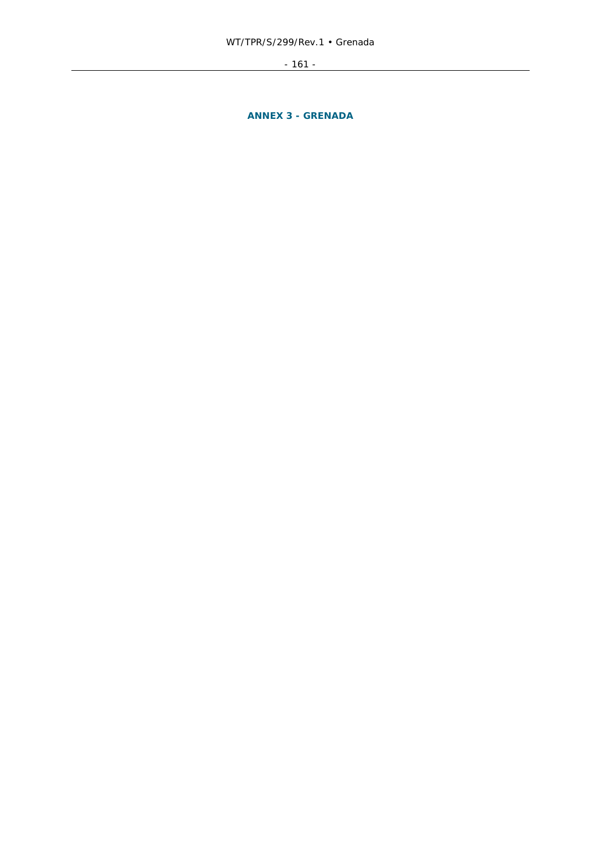- 161 -

**ANNEX 3 - GRENADA**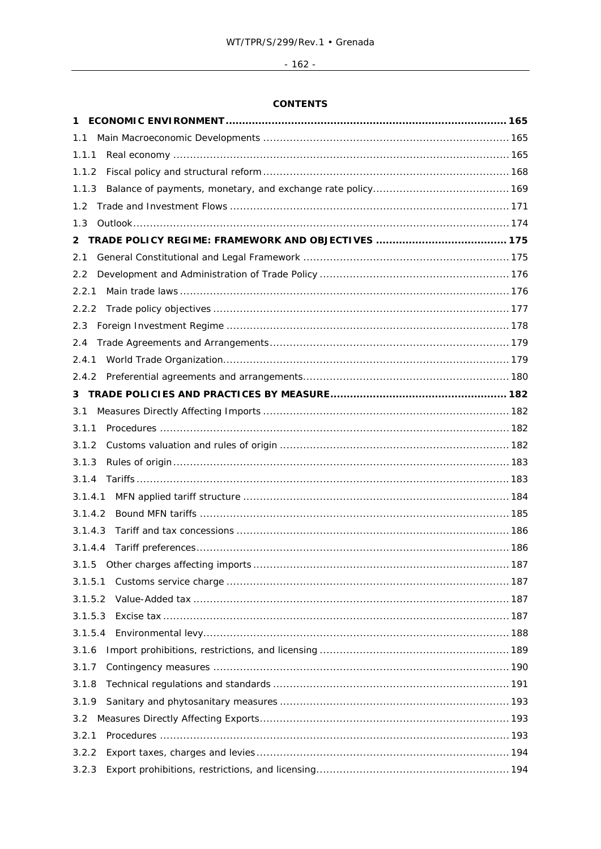# $-162 -$

# **CONTENTS**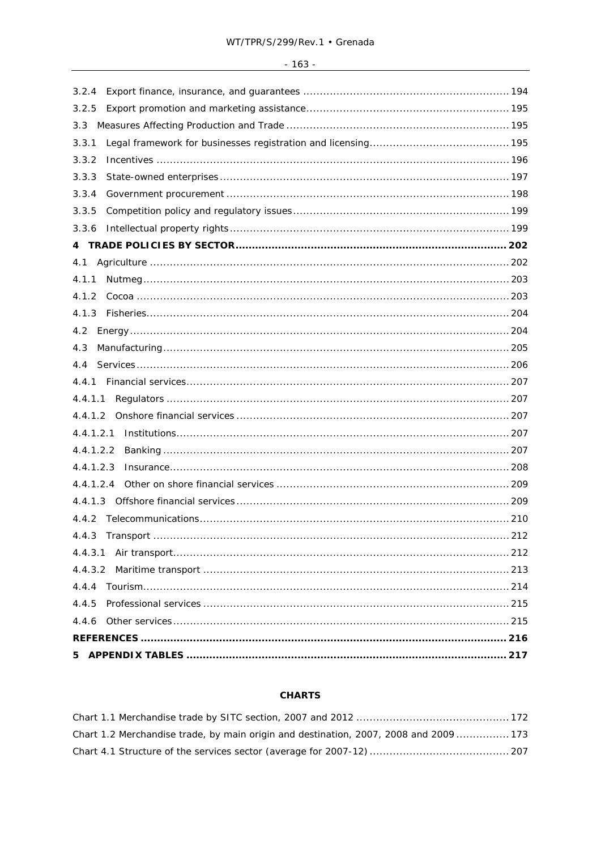| 100<br>$\overline{\phantom{0}}$<br>$\sim$<br>. טט |
|---------------------------------------------------|
|---------------------------------------------------|

| 3.2.4     |  |
|-----------|--|
| 3.2.5     |  |
| 3.3       |  |
| 3.3.1     |  |
| 3.3.2     |  |
| 3.3.3     |  |
| 3.3.4     |  |
| 3.3.5     |  |
| 3.3.6     |  |
|           |  |
|           |  |
| 4.1.1     |  |
| 4.1.2     |  |
|           |  |
| 4.2       |  |
| 4.3       |  |
|           |  |
| 4.4.1     |  |
| 4.4.1.1   |  |
|           |  |
| 4.4.1.2.1 |  |
| 4.4.1.2.2 |  |
| 4.4.1.2.3 |  |
| 4.4.1.2.4 |  |
|           |  |
|           |  |
| 4.4.3     |  |
| 4.4.3.1   |  |
|           |  |
| 4.4.4     |  |
| 4.4.5     |  |
| 4.4.6     |  |
|           |  |
| 5.        |  |

# **CHARTS**

| Chart 1.2 Merchandise trade, by main origin and destination, 2007, 2008 and 2009 173 |  |
|--------------------------------------------------------------------------------------|--|
|                                                                                      |  |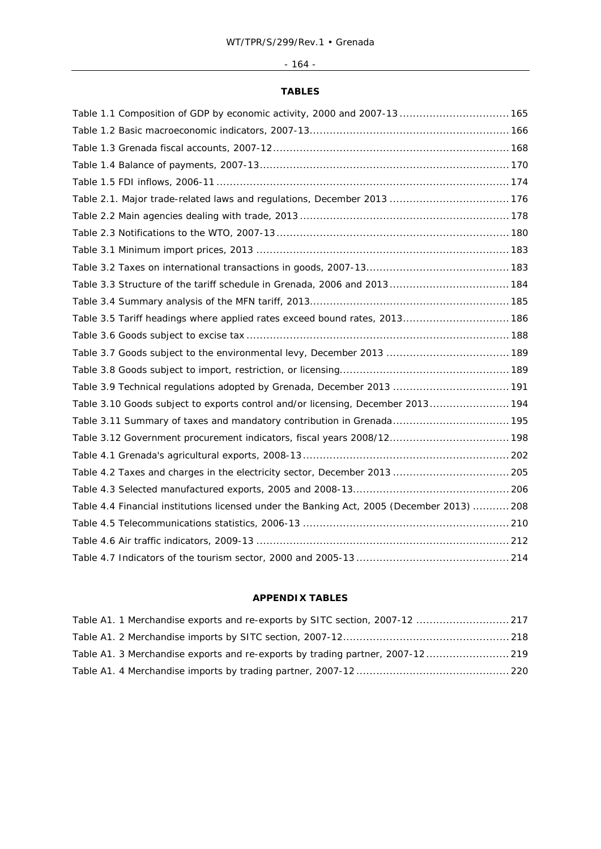# - 164 -

# **TABLES**

| Table 1.1 Composition of GDP by economic activity, 2000 and 2007-13  165                   |  |
|--------------------------------------------------------------------------------------------|--|
|                                                                                            |  |
|                                                                                            |  |
|                                                                                            |  |
|                                                                                            |  |
| Table 2.1. Major trade-related laws and regulations, December 2013  176                    |  |
|                                                                                            |  |
|                                                                                            |  |
|                                                                                            |  |
|                                                                                            |  |
| Table 3.3 Structure of the tariff schedule in Grenada, 2006 and 2013 184                   |  |
|                                                                                            |  |
| Table 3.5 Tariff headings where applied rates exceed bound rates, 2013 186                 |  |
|                                                                                            |  |
| Table 3.7 Goods subject to the environmental levy, December 2013  189                      |  |
|                                                                                            |  |
| Table 3.9 Technical regulations adopted by Grenada, December 2013  191                     |  |
| Table 3.10 Goods subject to exports control and/or licensing, December 2013 194            |  |
| Table 3.11 Summary of taxes and mandatory contribution in Grenada 195                      |  |
| Table 3.12 Government procurement indicators, fiscal years 2008/12 198                     |  |
|                                                                                            |  |
| Table 4.2 Taxes and charges in the electricity sector, December 2013  205                  |  |
|                                                                                            |  |
| Table 4.4 Financial institutions licensed under the Banking Act, 2005 (December 2013)  208 |  |
|                                                                                            |  |
|                                                                                            |  |
|                                                                                            |  |

# **APPENDIX TABLES**

| Table A1. 1 Merchandise exports and re-exports by SITC section, 2007-12  217   |  |
|--------------------------------------------------------------------------------|--|
|                                                                                |  |
| Table A1. 3 Merchandise exports and re-exports by trading partner, 2007-12 219 |  |
|                                                                                |  |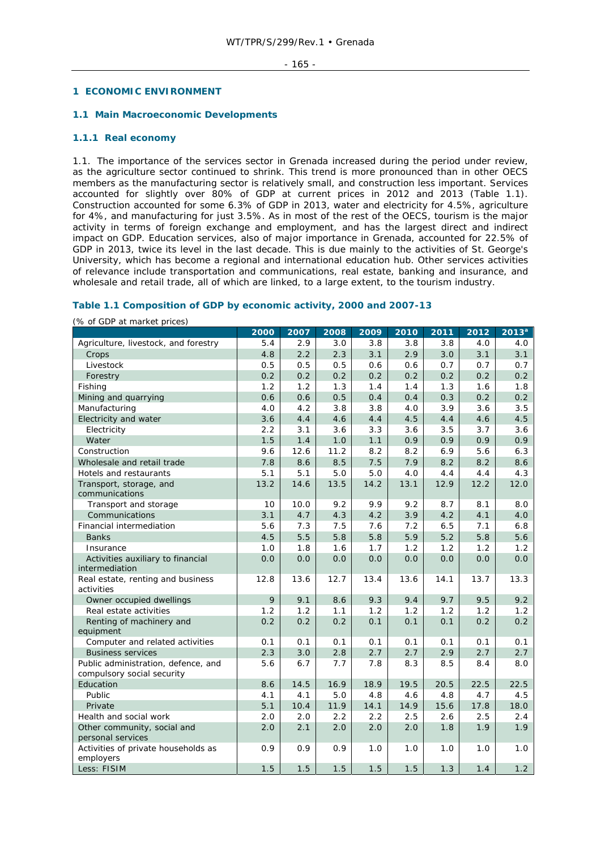## **1 ECONOMIC ENVIRONMENT**

### **1.1 Main Macroeconomic Developments**

## **1.1.1 Real economy**

1.1. The importance of the services sector in Grenada increased during the period under review, as the agriculture sector continued to shrink. This trend is more pronounced than in other OECS members as the manufacturing sector is relatively small, and construction less important. Services accounted for slightly over 80% of GDP at current prices in 2012 and 2013 (Table 1.1). Construction accounted for some 6.3% of GDP in 2013, water and electricity for 4.5%, agriculture for 4%, and manufacturing for just 3.5%. As in most of the rest of the OECS, tourism is the major activity in terms of foreign exchange and employment, and has the largest direct and indirect impact on GDP. Education services, also of major importance in Grenada, accounted for 22.5% of GDP in 2013, twice its level in the last decade. This is due mainly to the activities of St. George's University, which has become a regional and international education hub. Other services activities of relevance include transportation and communications, real estate, banking and insurance, and wholesale and retail trade, all of which are linked, to a large extent, to the tourism industry.

# **Table 1.1 Composition of GDP by economic activity, 2000 and 2007-13**

| yo or open at market prices,          | 2000 | 2007 | 2008 | 2009 | 2010 | 2011 | 2012 | 2013 <sup>a</sup> |
|---------------------------------------|------|------|------|------|------|------|------|-------------------|
| Agriculture, livestock, and forestry  | 5.4  | 2.9  | 3.0  | 3.8  | 3.8  | 3.8  | 4.0  | 4.0               |
| Crops                                 | 4.8  | 2.2  | 2.3  | 3.1  | 2.9  | 3.0  | 3.1  | 3.1               |
| Livestock                             | 0.5  | 0.5  | 0.5  | 0.6  | 0.6  | 0.7  | 0.7  | 0.7               |
| Forestry                              | 0.2  | 0.2  | 0.2  | 0.2  | 0.2  | 0.2  | 0.2  | 0.2               |
| Fishing                               | 1.2  | 1.2  | 1.3  | 1.4  | 1.4  | 1.3  | 1.6  | 1.8               |
| Mining and quarrying                  | 0.6  | 0.6  | 0.5  | 0.4  | 0.4  | 0.3  | 0.2  | 0.2               |
| Manufacturing                         | 4.0  | 4.2  | 3.8  | 3.8  | 4.0  | 3.9  | 3.6  | 3.5               |
| Electricity and water                 | 3.6  | 4.4  | 4.6  | 4.4  | 4.5  | 4.4  | 4.6  | 4.5               |
| Electricity                           | 2.2  | 3.1  | 3.6  | 3.3  | 3.6  | 3.5  | 3.7  | 3.6               |
| Water                                 | 1.5  | 1.4  | 1.0  | 1.1  | 0.9  | 0.9  | 0.9  | 0.9               |
| Construction                          | 9.6  | 12.6 | 11.2 | 8.2  | 8.2  | 6.9  | 5.6  | 6.3               |
| Wholesale and retail trade            | 7.8  | 8.6  | 8.5  | 7.5  | 7.9  | 8.2  | 8.2  | 8.6               |
| Hotels and restaurants                | 5.1  | 5.1  | 5.0  | 5.0  | 4.0  | 4.4  | 4.4  | 4.3               |
| Transport, storage, and               | 13.2 | 14.6 | 13.5 | 14.2 | 13.1 | 12.9 | 12.2 | 12.0              |
| communications                        |      |      |      |      |      |      |      |                   |
| Transport and storage                 | 10   | 10.0 | 9.2  | 9.9  | 9.2  | 8.7  | 8.1  | 8.0               |
| Communications                        | 3.1  | 4.7  | 4.3  | 4.2  | 3.9  | 4.2  | 4.1  | 4.0               |
| Financial intermediation              | 5.6  | 7.3  | 7.5  | 7.6  | 7.2  | 6.5  | 7.1  | 6.8               |
| <b>Banks</b>                          | 4.5  | 5.5  | 5.8  | 5.8  | 5.9  | 5.2  | 5.8  | 5.6               |
| Insurance                             | 1.0  | 1.8  | 1.6  | 1.7  | 1.2  | 1.2  | 1.2  | 1.2               |
| Activities auxiliary to financial     | 0.0  | 0.0  | 0.0  | 0.0  | 0.0  | 0.0  | 0.0  | 0.0               |
| intermediation                        |      |      |      |      |      |      |      |                   |
| Real estate, renting and business     | 12.8 | 13.6 | 12.7 | 13.4 | 13.6 | 14.1 | 13.7 | 13.3              |
| activities                            |      |      |      |      |      |      |      |                   |
| Owner occupied dwellings              | 9    | 9.1  | 8.6  | 9.3  | 9.4  | 9.7  | 9.5  | 9.2               |
| Real estate activities                | 1.2  | 1.2  | 1.1  | 1.2  | 1.2  | 1.2  | 1.2  | 1.2               |
| Renting of machinery and<br>equipment | 0.2  | 0.2  | 0.2  | 0.1  | 0.1  | 0.1  | 0.2  | 0.2               |
| Computer and related activities       | 0.1  | 0.1  | 0.1  | 0.1  | 0.1  | 0.1  | 0.1  | 0.1               |
| <b>Business services</b>              | 2.3  | 3.0  | 2.8  | 2.7  | 2.7  | 2.9  | 2.7  | 2.7               |
| Public administration, defence, and   | 5.6  | 6.7  | 7.7  | 7.8  | 8.3  | 8.5  | 8.4  | 8.0               |
| compulsory social security            |      |      |      |      |      |      |      |                   |
| Education                             | 8.6  | 14.5 | 16.9 | 18.9 | 19.5 | 20.5 | 22.5 | 22.5              |
| Public                                | 4.1  | 4.1  | 5.0  | 4.8  | 4.6  | 4.8  | 4.7  | 4.5               |
| Private                               | 5.1  | 10.4 | 11.9 | 14.1 | 14.9 | 15.6 | 17.8 | 18.0              |
| Health and social work                | 2.0  | 2.0  | 2.2  | 2.2  | 2.5  | 2.6  | 2.5  | 2.4               |
| Other community, social and           | 2.0  | 2.1  | 2.0  | 2.0  | 2.0  | 1.8  | 1.9  | 1.9               |
| personal services                     |      |      |      |      |      |      |      |                   |
| Activities of private households as   | 0.9  | 0.9  | 0.9  | 1.0  | 1.0  | 1.0  | 1.0  | 1.0               |
| employers                             |      |      |      |      |      |      |      |                   |
| Less: FISIM                           | 1.5  | 1.5  | 1.5  | 1.5  | 1.5  | 1.3  | 1.4  | 1.2               |

(% of GDP at market prices)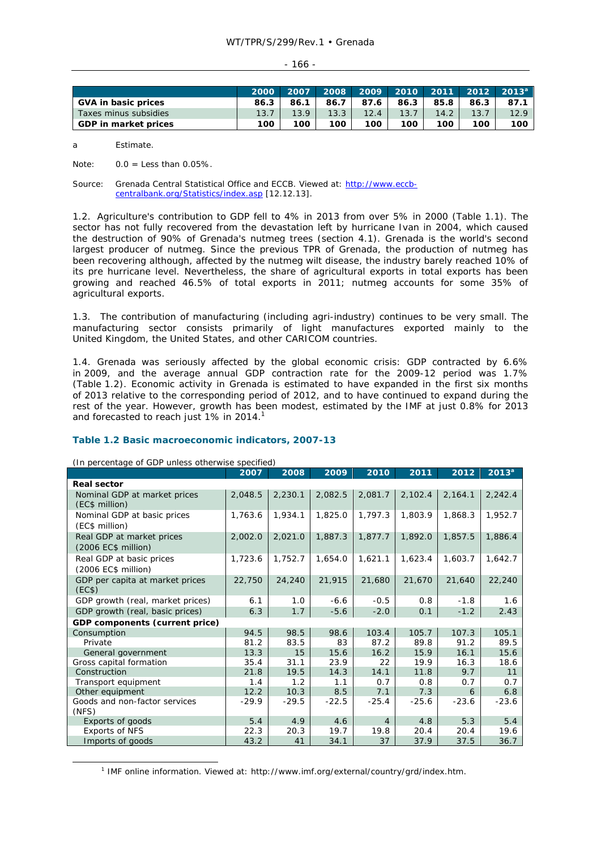| ۰.<br>۰.<br>.,<br>× |  |
|---------------------|--|

|                            | 2000 | 2007 | 2008 |      |      |      |      | $2009$ 2010 2011 2012 2013 $^{\rm a}$ . |
|----------------------------|------|------|------|------|------|------|------|-----------------------------------------|
| <b>GVA in basic prices</b> | 86.3 | 86.1 | 86.7 | 87.6 | 86.3 | 85.8 | 86.3 | 87.1                                    |
| Taxes minus subsidies      | 13.7 | 13.9 | 13.3 |      | 13.7 | 14.2 | 13.7 | 12.9                                    |
| GDP in market prices       | 100  | 100  | 100  | 100  | 100  | 100  | 100  | 100                                     |

a Estimate.

Note:  $0.0 =$  Less than  $0.05\%$ .

Source: Grenada Central Statistical Office and ECCB. Viewed at: http://www.eccbcentralbank.org/Statistics/index.asp [12.12.13].

1.2. Agriculture's contribution to GDP fell to 4% in 2013 from over 5% in 2000 (Table 1.1). The sector has not fully recovered from the devastation left by hurricane Ivan in 2004, which caused the destruction of 90% of Grenada's nutmeg trees (section 4.1). Grenada is the world's second largest producer of nutmeg. Since the previous TPR of Grenada, the production of nutmeg has been recovering although, affected by the nutmeg wilt disease, the industry barely reached 10% of its pre hurricane level. Nevertheless, the share of agricultural exports in total exports has been growing and reached 46.5% of total exports in 2011; nutmeg accounts for some 35% of agricultural exports.

1.3. The contribution of manufacturing (including agri-industry) continues to be very small. The manufacturing sector consists primarily of light manufactures exported mainly to the United Kingdom, the United States, and other CARICOM countries.

1.4. Grenada was seriously affected by the global economic crisis: GDP contracted by 6.6% in 2009, and the average annual GDP contraction rate for the 2009-12 period was 1.7% (Table 1.2). Economic activity in Grenada is estimated to have expanded in the first six months of 2013 relative to the corresponding period of 2012, and to have continued to expand during the rest of the year. However, growth has been modest, estimated by the IMF at just 0.8% for 2013 and forecasted to reach just 1% in 2014.<sup>1</sup>

# **Table 1.2 Basic macroeconomic indicators, 2007-13**

(In percentage of GDP unless otherwise specified)

|                                                  | 2007    | 2008    | 2009    | 2010           | 2011    | 2012    | 2013 <sup>a</sup> |
|--------------------------------------------------|---------|---------|---------|----------------|---------|---------|-------------------|
| <b>Real sector</b>                               |         |         |         |                |         |         |                   |
| Nominal GDP at market prices<br>(EC\$ million)   | 2,048.5 | 2,230.1 | 2,082.5 | 2,081.7        | 2,102.4 | 2,164.1 | 2,242.4           |
| Nominal GDP at basic prices<br>(EC\$ million)    | 1,763.6 | 1,934.1 | 1,825.0 | 1,797.3        | 1,803.9 | 1,868.3 | 1,952.7           |
| Real GDP at market prices<br>(2006 EC\$ million) | 2,002.0 | 2,021.0 | 1,887.3 | 1,877.7        | 1,892.0 | 1,857.5 | 1,886.4           |
| Real GDP at basic prices<br>(2006 EC\$ million)  | 1,723.6 | 1,752.7 | 1,654.0 | 1,621.1        | 1,623.4 | 1,603.7 | 1,642.7           |
| GDP per capita at market prices<br>(EC\$)        | 22,750  | 24,240  | 21,915  | 21,680         | 21,670  | 21,640  | 22,240            |
| GDP growth (real, market prices)                 | 6.1     | 1.0     | $-6.6$  | $-0.5$         | 0.8     | $-1.8$  | 1.6               |
| GDP growth (real, basic prices)                  | 6.3     | 1.7     | $-5.6$  | $-2.0$         | 0.1     | $-1.2$  | 2.43              |
| GDP components (current price)                   |         |         |         |                |         |         |                   |
| Consumption                                      | 94.5    | 98.5    | 98.6    | 103.4          | 105.7   | 107.3   | 105.1             |
| Private                                          | 81.2    | 83.5    | 83      | 87.2           | 89.8    | 91.2    | 89.5              |
| General government                               | 13.3    | 15      | 15.6    | 16.2           | 15.9    | 16.1    | 15.6              |
| Gross capital formation                          | 35.4    | 31.1    | 23.9    | 22             | 19.9    | 16.3    | 18.6              |
| Construction                                     | 21.8    | 19.5    | 14.3    | 14.1           | 11.8    | 9.7     | 11                |
| Transport equipment                              | 1.4     | 1.2     | 1.1     | 0.7            | 0.8     | 0.7     | 0.7               |
| Other equipment                                  | 12.2    | 10.3    | 8.5     | 7.1            | 7.3     | 6       | 6.8               |
| Goods and non-factor services<br>(NFS)           | $-29.9$ | $-29.5$ | $-22.5$ | $-25.4$        | $-25.6$ | $-23.6$ | $-23.6$           |
| Exports of goods                                 | 5.4     | 4.9     | 4.6     | $\overline{4}$ | 4.8     | 5.3     | 5.4               |
| <b>Exports of NFS</b>                            | 22.3    | 20.3    | 19.7    | 19.8           | 20.4    | 20.4    | 19.6              |
| Imports of goods                                 | 43.2    | 41      | 34.1    | 37             | 37.9    | 37.5    | 36.7              |

 $\frac{1}{1}$ <sup>1</sup> IMF online information. Viewed at: http://www.imf.org/external/country/grd/index.htm.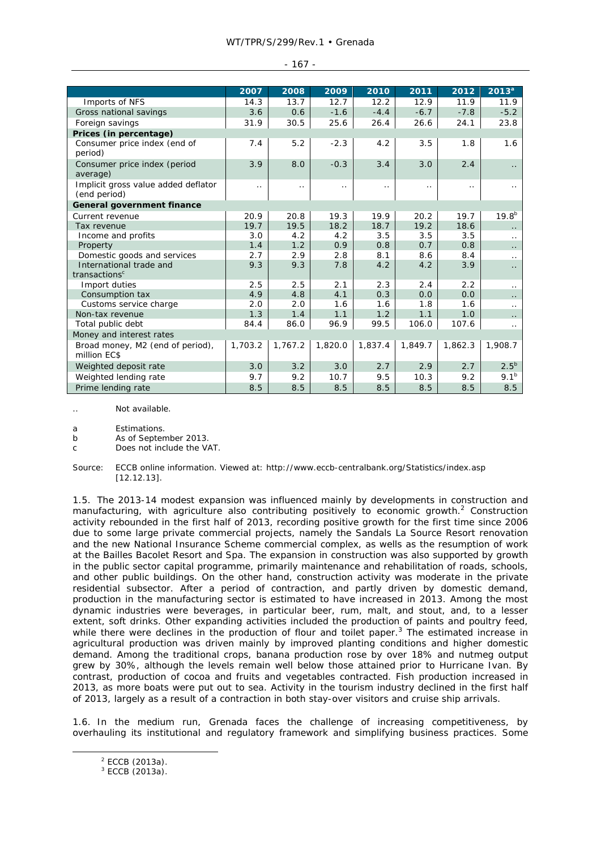#### WT/TPR/S/299/Rev.1 • Grenada

|                                                      | 2007      | 2008      | 2009      | 2010     | 2011      | 2012     | 2013 <sup>a</sup>    |
|------------------------------------------------------|-----------|-----------|-----------|----------|-----------|----------|----------------------|
| Imports of NFS                                       | 14.3      | 13.7      | 12.7      | 12.2     | 12.9      | 11.9     | 11.9                 |
| Gross national savings                               | 3.6       | 0.6       | $-1.6$    | $-4.4$   | $-6.7$    | $-7.8$   | $-5.2$               |
| Foreign savings                                      | 31.9      | 30.5      | 25.6      | 26.4     | 26.6      | 24.1     | 23.8                 |
| Prices (in percentage)                               |           |           |           |          |           |          |                      |
| Consumer price index (end of<br>period)              | 7.4       | 5.2       | $-2.3$    | 4.2      | 3.5       | 1.8      | 1.6                  |
| Consumer price index (period<br>average)             | 3.9       | 8.0       | $-0.3$    | 3.4      | 3.0       | 2.4      |                      |
| Implicit gross value added deflator<br>(end period)  | $\cdot$ . | $\cdot$ . | $\cdot$ . | $\ldots$ | $\cdot$ . | $\ldots$ | $\ddot{\phantom{0}}$ |
| General government finance                           |           |           |           |          |           |          |                      |
| Current revenue                                      | 20.9      | 20.8      | 19.3      | 19.9     | 20.2      | 19.7     | $19.8^{b}$           |
| Tax revenue                                          | 19.7      | 19.5      | 18.2      | 18.7     | 19.2      | 18.6     |                      |
| Income and profits                                   | 3.0       | 4.2       | 4.2       | 3.5      | 3.5       | 3.5      | $\cdot$ .            |
| Property                                             | 1.4       | 1.2       | 0.9       | 0.8      | 0.7       | 0.8      | $\ddot{\phantom{0}}$ |
| Domestic goods and services                          | 2.7       | 2.9       | 2.8       | 8.1      | 8.6       | 8.4      | $\cdot$ .            |
| International trade and<br>transactions <sup>c</sup> | 9.3       | 9.3       | 7.8       | 4.2      | 4.2       | 3.9      | $\ddot{\phantom{0}}$ |
| Import duties                                        | 2.5       | 2.5       | 2.1       | 2.3      | 2.4       | 2.2      | $\cdot$ .            |
| Consumption tax                                      | 4.9       | 4.8       | 4.1       | 0.3      | 0.0       | 0.0      |                      |
| Customs service charge                               | 2.0       | 2.0       | 1.6       | 1.6      | 1.8       | 1.6      | $\cdot$ .            |
| Non-tax revenue                                      | 1.3       | 1.4       | 1.1       | 1.2      | 1.1       | 1.0      | $\ddot{\phantom{0}}$ |
| Total public debt                                    | 84.4      | 86.0      | 96.9      | 99.5     | 106.0     | 107.6    | $\ddotsc$            |
| Money and interest rates                             |           |           |           |          |           |          |                      |
| Broad money, M2 (end of period),<br>million EC\$     | 1,703.2   | 1,767.2   | 1,820.0   | 1,837.4  | 1,849.7   | 1,862.3  | 1,908.7              |
| Weighted deposit rate                                | 3.0       | 3.2       | 3.0       | 2.7      | 2.9       | 2.7      | $2.5^{b}$            |
| Weighted lending rate                                | 9.7       | 9.2       | 10.7      | 9.5      | 10.3      | 9.2      | 9.1 <sup>b</sup>     |
| Prime lending rate                                   | 8.5       | 8.5       | 8.5       | 8.5      | 8.5       | 8.5      | 8.5                  |

#### - 167 -

Not available

a Estimations.

b As of September 2013.

c Does not include the VAT.

Source: ECCB online information. Viewed at: http://www.eccb-centralbank.org/Statistics/index.asp [12.12.13].

1.5. The 2013-14 modest expansion was influenced mainly by developments in construction and manufacturing, with agriculture also contributing positively to economic growth. $2$  Construction activity rebounded in the first half of 2013, recording positive growth for the first time since 2006 due to some large private commercial projects, namely the Sandals La Source Resort renovation and the new National Insurance Scheme commercial complex, as wells as the resumption of work at the Bailles Bacolet Resort and Spa. The expansion in construction was also supported by growth in the public sector capital programme, primarily maintenance and rehabilitation of roads, schools, and other public buildings. On the other hand, construction activity was moderate in the private residential subsector. After a period of contraction, and partly driven by domestic demand, production in the manufacturing sector is estimated to have increased in 2013. Among the most dynamic industries were beverages, in particular beer, rum, malt, and stout, and, to a lesser extent, soft drinks. Other expanding activities included the production of paints and poultry feed, while there were declines in the production of flour and toilet paper. $3$  The estimated increase in agricultural production was driven mainly by improved planting conditions and higher domestic demand. Among the traditional crops, banana production rose by over 18% and nutmeg output grew by 30%, although the levels remain well below those attained prior to Hurricane Ivan. By contrast, production of cocoa and fruits and vegetables contracted. Fish production increased in 2013, as more boats were put out to sea. Activity in the tourism industry declined in the first half of 2013, largely as a result of a contraction in both stay-over visitors and cruise ship arrivals.

1.6. In the medium run, Grenada faces the challenge of increasing competitiveness, by overhauling its institutional and regulatory framework and simplifying business practices. Some

 $\frac{1}{2}$ <sup>2</sup> ECCB (2013a).

<sup>3</sup> ECCB (2013a).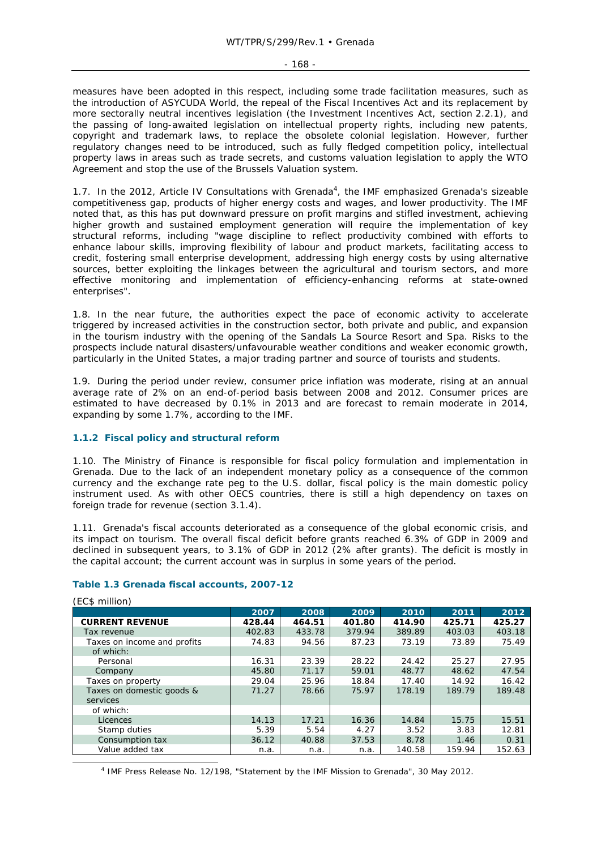$-168 -$ 

measures have been adopted in this respect, including some trade facilitation measures, such as the introduction of ASYCUDA World, the repeal of the Fiscal Incentives Act and its replacement by more sectorally neutral incentives legislation (the Investment Incentives Act, section 2.2.1), and the passing of long-awaited legislation on intellectual property rights, including new patents, copyright and trademark laws, to replace the obsolete colonial legislation. However, further regulatory changes need to be introduced, such as fully fledged competition policy, intellectual property laws in areas such as trade secrets, and customs valuation legislation to apply the WTO Agreement and stop the use of the Brussels Valuation system.

1.7. In the 2012, Article IV Consultations with Grenada<sup>4</sup>, the IMF emphasized Grenada's sizeable competitiveness gap, products of higher energy costs and wages, and lower productivity. The IMF noted that, as this has put downward pressure on profit margins and stifled investment, achieving higher growth and sustained employment generation will require the implementation of key structural reforms, including "wage discipline to reflect productivity combined with efforts to enhance labour skills, improving flexibility of labour and product markets, facilitating access to credit, fostering small enterprise development, addressing high energy costs by using alternative sources, better exploiting the linkages between the agricultural and tourism sectors, and more effective monitoring and implementation of efficiency-enhancing reforms at state-owned enterprises".

1.8. In the near future, the authorities expect the pace of economic activity to accelerate triggered by increased activities in the construction sector, both private and public, and expansion in the tourism industry with the opening of the Sandals La Source Resort and Spa. Risks to the prospects include natural disasters/unfavourable weather conditions and weaker economic growth, particularly in the United States, a major trading partner and source of tourists and students.

1.9. During the period under review, consumer price inflation was moderate, rising at an annual average rate of 2% on an end-of-period basis between 2008 and 2012. Consumer prices are estimated to have decreased by 0.1% in 2013 and are forecast to remain moderate in 2014, expanding by some 1.7%, according to the IMF.

# **1.1.2 Fiscal policy and structural reform**

1.10. The Ministry of Finance is responsible for fiscal policy formulation and implementation in Grenada. Due to the lack of an independent monetary policy as a consequence of the common currency and the exchange rate peg to the U.S. dollar, fiscal policy is the main domestic policy instrument used. As with other OECS countries, there is still a high dependency on taxes on foreign trade for revenue (section 3.1.4).

1.11. Grenada's fiscal accounts deteriorated as a consequence of the global economic crisis, and its impact on tourism. The overall fiscal deficit before grants reached 6.3% of GDP in 2009 and declined in subsequent years, to 3.1% of GDP in 2012 (2% after grants). The deficit is mostly in the capital account; the current account was in surplus in some years of the period.

# **Table 1.3 Grenada fiscal accounts, 2007-12**

| , וטווווווטוון שט           |        |        |        |        |        |        |
|-----------------------------|--------|--------|--------|--------|--------|--------|
|                             | 2007   | 2008   | 2009   | 2010   | 2011   | 2012   |
| <b>CURRENT REVENUE</b>      | 428.44 | 464.51 | 401.80 | 414.90 | 425.71 | 425.27 |
| Tax revenue                 | 402.83 | 433.78 | 379.94 | 389.89 | 403.03 | 403.18 |
| Taxes on income and profits | 74.83  | 94.56  | 87.23  | 73.19  | 73.89  | 75.49  |
| of which:                   |        |        |        |        |        |        |
| Personal                    | 16.31  | 23.39  | 28.22  | 24.42  | 25.27  | 27.95  |
| Company                     | 45.80  | 71.17  | 59.01  | 48.77  | 48.62  | 47.54  |
| Taxes on property           | 29.04  | 25.96  | 18.84  | 17.40  | 14.92  | 16.42  |
| Taxes on domestic goods &   | 71.27  | 78.66  | 75.97  | 178.19 | 189.79 | 189.48 |
| services                    |        |        |        |        |        |        |
| of which:                   |        |        |        |        |        |        |
| Licences                    | 14.13  | 17.21  | 16.36  | 14.84  | 15.75  | 15.51  |
| Stamp duties                | 5.39   | 5.54   | 4.27   | 3.52   | 3.83   | 12.81  |
| Consumption tax             | 36.12  | 40.88  | 37.53  | 8.78   | 1.46   | 0.31   |
| Value added tax             | n.a.   | n.a.   | n.a.   | 140.58 | 159.94 | 152.63 |

#### (EC\$ million)

 $\frac{1}{4}$ <sup>4</sup> IMF Press Release No. 12/198, "Statement by the IMF Mission to Grenada", 30 May 2012.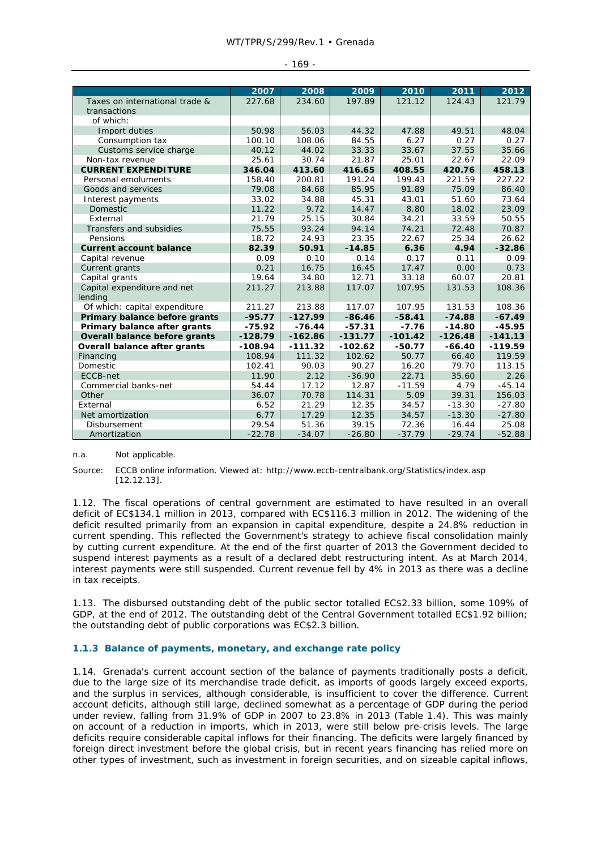#### WT/TPR/S/299/Rev.1 • Grenada

|                                      | 2007      | 2008      | 2009      | 2010      | 2011      | 2012      |
|--------------------------------------|-----------|-----------|-----------|-----------|-----------|-----------|
| Taxes on international trade &       | 227.68    | 234.60    | 197.89    | 121.12    | 124.43    | 121.79    |
| transactions                         |           |           |           |           |           |           |
| of which:                            |           |           |           |           |           |           |
| Import duties                        | 50.98     | 56.03     | 44.32     | 47.88     | 49.51     | 48.04     |
| Consumption tax                      | 100.10    | 108.06    | 84.55     | 6.27      | 0.27      | 0.27      |
| Customs service charge               | 40.12     | 44.02     | 33.33     | 33.67     | 37.55     | 35.66     |
| Non-tax revenue                      | 25.61     | 30.74     | 21.87     | 25.01     | 22.67     | 22.09     |
| <b>CURRENT EXPENDITURE</b>           | 346.04    | 413.60    | 416.65    | 408.55    | 420.76    | 458.13    |
| Personal emoluments                  | 158.40    | 200.81    | 191.24    | 199.43    | 221.59    | 227.22    |
| Goods and services                   | 79.08     | 84.68     | 85.95     | 91.89     | 75.09     | 86.40     |
| Interest payments                    | 33.02     | 34.88     | 45.31     | 43.01     | 51.60     | 73.64     |
| <b>Domestic</b>                      | 11.22     | 9.72      | 14.47     | 8.80      | 18.02     | 23.09     |
| External                             | 21.79     | 25.15     | 30.84     | 34.21     | 33.59     | 50.55     |
| Transfers and subsidies              | 75.55     | 93.24     | 94.14     | 74.21     | 72.48     | 70.87     |
| Pensions                             | 18.72     | 24.93     | 23.35     | 22.67     | 25.34     | 26.62     |
| <b>Current account balance</b>       | 82.39     | 50.91     | $-14.85$  | 6.36      | 4.94      | $-32.86$  |
| Capital revenue                      | 0.09      | 0.10      | 0.14      | 0.17      | 0.11      | 0.09      |
| Current grants                       | 0.21      | 16.75     | 16.45     | 17.47     | 0.00      | 0.73      |
| Capital grants                       | 19.64     | 34.80     | 12.71     | 33.18     | 60.07     | 20.81     |
| Capital expenditure and net          | 211.27    | 213.88    | 117.07    | 107.95    | 131.53    | 108.36    |
| lending                              |           |           |           |           |           |           |
| Of which: capital expenditure        | 211.27    | 213.88    | 117.07    | 107.95    | 131.53    | 108.36    |
| Primary balance before grants        | $-95.77$  | $-127.99$ | $-86.46$  | $-58.41$  | $-74.88$  | $-67.49$  |
| Primary balance after grants         | $-75.92$  | $-76.44$  | $-57.31$  | $-7.76$   | $-14.80$  | $-45.95$  |
| <b>Overall balance before grants</b> | $-128.79$ | $-162.86$ | $-131.77$ | $-101.42$ | $-126.48$ | $-141.13$ |
| Overall balance after grants         | $-108.94$ | $-111.32$ | $-102.62$ | $-50.77$  | $-66.40$  | $-119.59$ |
| Financing                            | 108.94    | 111.32    | 102.62    | 50.77     | 66.40     | 119.59    |
| <b>Domestic</b>                      | 102.41    | 90.03     | 90.27     | 16.20     | 79.70     | 113.15    |
| ECCB-net                             | 11.90     | 2.12      | $-36.90$  | 22.71     | 35.60     | 2.26      |
| Commercial banks-net                 | 54.44     | 17.12     | 12.87     | $-11.59$  | 4.79      | $-45.14$  |
| Other                                | 36.07     | 70.78     | 114.31    | 5.09      | 39.31     | 156.03    |
| External                             | 6.52      | 21.29     | 12.35     | 34.57     | $-13.30$  | $-27.80$  |
| Net amortization                     | 6.77      | 17.29     | 12.35     | 34.57     | $-13.30$  | $-27.80$  |
| Disbursement                         | 29.54     | 51.36     | 39.15     | 72.36     | 16.44     | 25.08     |
| Amortization                         | $-22.78$  | $-34.07$  | $-26.80$  | $-37.79$  | $-29.74$  | $-52.88$  |

#### $-169 -$

n.a. Not applicable.

Source: ECCB online information. Viewed at: http://www.eccb-centralbank.org/Statistics/index.asp [12.12.13].

1.12. The fiscal operations of central government are estimated to have resulted in an overall deficit of EC\$134.1 million in 2013, compared with EC\$116.3 million in 2012. The widening of the deficit resulted primarily from an expansion in capital expenditure, despite a 24.8% reduction in current spending. This reflected the Government's strategy to achieve fiscal consolidation mainly by cutting current expenditure. At the end of the first quarter of 2013 the Government decided to suspend interest payments as a result of a declared debt restructuring intent. As at March 2014, interest payments were still suspended. Current revenue fell by 4% in 2013 as there was a decline in tax receipts.

1.13. The disbursed outstanding debt of the public sector totalled EC\$2.33 billion, some 109% of GDP, at the end of 2012. The outstanding debt of the Central Government totalled EC\$1.92 billion; the outstanding debt of public corporations was EC\$2.3 billion.

# **1.1.3 Balance of payments, monetary, and exchange rate policy**

1.14. Grenada's current account section of the balance of payments traditionally posts a deficit, due to the large size of its merchandise trade deficit, as imports of goods largely exceed exports, and the surplus in services, although considerable, is insufficient to cover the difference. Current account deficits, although still large, declined somewhat as a percentage of GDP during the period under review, falling from 31.9% of GDP in 2007 to 23.8% in 2013 (Table 1.4). This was mainly on account of a reduction in imports, which in 2013, were still below pre-crisis levels. The large deficits require considerable capital inflows for their financing. The deficits were largely financed by foreign direct investment before the global crisis, but in recent years financing has relied more on other types of investment, such as investment in foreign securities, and on sizeable capital inflows,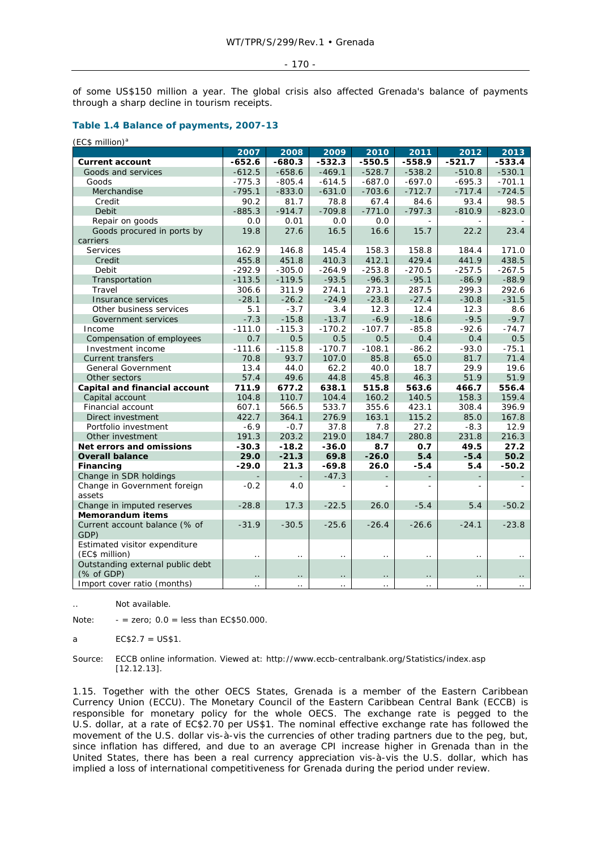#### - 170 -

of some US\$150 million a year. The global crisis also affected Grenada's balance of payments through a sharp decline in tourism receipts.

# **Table 1.4 Balance of payments, 2007-13**

| (EC\$ million) <sup>a</sup>                     |                      |                      |                      |                          |          |                          |                      |
|-------------------------------------------------|----------------------|----------------------|----------------------|--------------------------|----------|--------------------------|----------------------|
|                                                 | 2007                 | 2008                 | 2009                 | 2010                     | 2011     | 2012                     | 2013                 |
| <b>Current account</b>                          | $-652.6$             | $-680.3$             | $-532.3$             | $-550.5$                 | $-558.9$ | $-521.7$                 | $-533.4$             |
| Goods and services                              | $-612.5$             | $-658.6$             | $-469.1$             | $-528.7$                 | $-538.2$ | $-510.8$                 | $-530.1$             |
| Goods                                           | $-775.3$             | $-805.4$             | $-614.5$             | $-687.0$                 | $-697.0$ | $-695.3$                 | $-701.1$             |
| Merchandise                                     | $-795.1$             | $-833.0$             | $-631.0$             | $-703.6$                 | $-712.7$ | $-717.4$                 | $-724.5$             |
| Credit                                          | 90.2                 | 81.7                 | 78.8                 | 67.4                     | 84.6     | 93.4                     | 98.5                 |
| Debit                                           | $-885.3$             | $-914.7$             | $-709.8$             | $-771.0$                 | $-797.3$ | $-810.9$                 | $-823.0$             |
| Repair on goods                                 | 0.0                  | 0.01                 | 0.0                  | 0.0                      |          |                          |                      |
| Goods procured in ports by                      | 19.8                 | 27.6                 | 16.5                 | 16.6                     | 15.7     | 22.2                     | 23.4                 |
| carriers                                        |                      |                      |                      |                          |          |                          |                      |
| Services                                        | 162.9                | 146.8                | 145.4                | 158.3                    | 158.8    | 184.4                    | 171.0                |
| Credit                                          | 455.8                | 451.8                | 410.3                | 412.1                    | 429.4    | 441.9                    | 438.5                |
| Debit                                           | $-292.9$             | $-305.0$             | $-264.9$             | $-253.8$                 | $-270.5$ | $-257.5$                 | $-267.5$             |
| Transportation                                  | $-113.5$             | $-119.5$             | $-93.5$              | $-96.3$                  | $-95.1$  | $-86.9$                  | $-88.9$              |
| Travel                                          | 306.6                | 311.9                | 274.1                | 273.1                    | 287.5    | 299.3                    | 292.6                |
| Insurance services                              | $-28.1$              | $-26.2$              | $-24.9$              | $-23.8$                  | $-27.4$  | $-30.8$                  | $-31.5$              |
| Other business services                         | 5.1                  | $-3.7$               | 3.4                  | 12.3                     | 12.4     | 12.3                     | 8.6                  |
| Government services                             | $-7.3$               | $-15.8$              | $-13.7$              | $-6.9$                   | $-18.6$  | $-9.5$                   | $-9.7$               |
| Income                                          | $-111.0$             | $-115.3$             | $-170.2$             | $-107.7$                 | $-85.8$  | $-92.6$                  | $-74.7$              |
| Compensation of employees                       | 0.7                  | 0.5                  | 0.5                  | 0.5                      | 0.4      | 0.4                      | 0.5                  |
| Investment income                               | $-111.6$             | $-115.8$             | $-170.7$             | $-108.1$                 | $-86.2$  | $-93.0$                  | $-75.1$              |
| <b>Current transfers</b>                        | 70.8                 | 93.7                 | 107.0                | 85.8                     | 65.0     | 81.7                     | 71.4                 |
| General Government                              | 13.4                 | 44.0                 | 62.2                 | 40.0                     | 18.7     | 29.9                     | 19.6                 |
| Other sectors                                   | 57.4                 | 49.6                 | 44.8                 | 45.8                     | 46.3     | 51.9                     | 51.9                 |
| Capital and financial account                   | 711.9                | 677.2                | 638.1                | 515.8                    | 563.6    | 466.7                    | 556.4                |
| Capital account                                 | 104.8                | 110.7                | 104.4                | 160.2                    | 140.5    | 158.3                    | 159.4                |
| Financial account                               | 607.1                | 566.5                | 533.7                | 355.6                    | 423.1    | 308.4                    | 396.9                |
| Direct investment                               | 422.7                | 364.1                | 276.9                | 163.1                    | 115.2    | 85.0                     | 167.8                |
| Portfolio investment                            | $-6.9$               | $-0.7$               | 37.8                 | 7.8                      | 27.2     | $-8.3$                   | 12.9                 |
| Other investment                                | 191.3                | 203.2                | 219.0                | 184.7                    | 280.8    | 231.8                    | 216.3                |
| Net errors and omissions                        | -30.3                | $-18.2$              | $-36.0$              | 8.7                      | 0.7      | 49.5                     | 27.2                 |
| <b>Overall balance</b>                          | 29.0                 | $-21.3$              | 69.8                 | $-26.0$                  | 5.4      | $-5.4$                   | 50.2                 |
| Financing                                       | $-29.0$              | 21.3                 | -69.8                | 26.0                     | -5.4     | 5.4                      | $-50.2$              |
| Change in SDR holdings                          |                      |                      | $-47.3$              |                          |          |                          |                      |
| Change in Government foreign                    | $-0.2$               | 4.0                  |                      | $\overline{\phantom{a}}$ | L.       | $\overline{\phantom{a}}$ |                      |
| assets                                          |                      |                      |                      |                          |          |                          |                      |
| Change in imputed reserves                      | $-28.8$              | 17.3                 | $-22.5$              | 26.0                     | $-5.4$   | 5.4                      | $-50.2$              |
| <b>Memorandum items</b>                         |                      |                      |                      |                          |          |                          |                      |
| Current account balance (% of<br>GDP)           | $-31.9$              | $-30.5$              | $-25.6$              | $-26.4$                  | $-26.6$  | $-24.1$                  | $-23.8$              |
| Estimated visitor expenditure<br>(EC\$ million) | $\ddot{\phantom{0}}$ | $\ddot{\phantom{0}}$ | . .                  | $\ddot{\phantom{0}}$     |          | $\ddot{\phantom{0}}$     | $\ddot{\phantom{a}}$ |
| Outstanding external public debt<br>(% of GDP)  |                      |                      | $\ddot{\phantom{0}}$ | $\ddot{\phantom{0}}$     | . .      |                          |                      |
| Import cover ratio (months)                     |                      |                      |                      |                          |          |                          |                      |

.. Not available.

Note:  $-$  = zero;  $0.0$  = less than EC\$50.000.

a EC\$2.7 = US\$1.

Source: ECCB online information. Viewed at: http://www.eccb-centralbank.org/Statistics/index.asp [12.12.13].

1.15. Together with the other OECS States, Grenada is a member of the Eastern Caribbean Currency Union (ECCU). The Monetary Council of the Eastern Caribbean Central Bank (ECCB) is responsible for monetary policy for the whole OECS. The exchange rate is pegged to the U.S. dollar, at a rate of EC\$2.70 per US\$1. The nominal effective exchange rate has followed the movement of the U.S. dollar vis-à-vis the currencies of other trading partners due to the peg, but, since inflation has differed, and due to an average CPI increase higher in Grenada than in the United States, there has been a real currency appreciation vis-à-vis the U.S. dollar, which has implied a loss of international competitiveness for Grenada during the period under review.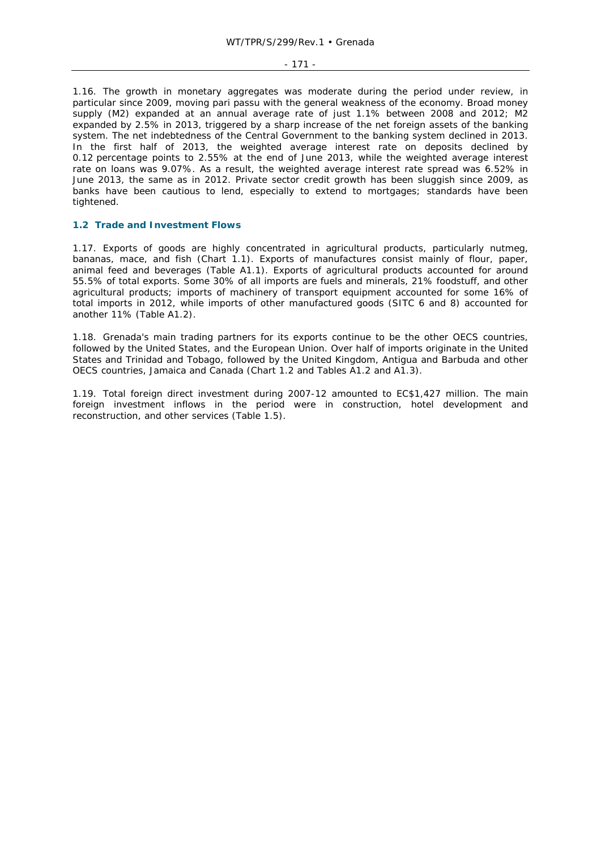#### - 171 -

1.16. The growth in monetary aggregates was moderate during the period under review, in particular since 2009, moving *pari passu* with the general weakness of the economy. Broad money supply (M2) expanded at an annual average rate of just 1.1% between 2008 and 2012; M2 expanded by 2.5% in 2013, triggered by a sharp increase of the net foreign assets of the banking system. The net indebtedness of the Central Government to the banking system declined in 2013. In the first half of 2013, the weighted average interest rate on deposits declined by 0.12 percentage points to 2.55% at the end of June 2013, while the weighted average interest rate on loans was 9.07%. As a result, the weighted average interest rate spread was 6.52% in June 2013, the same as in 2012. Private sector credit growth has been sluggish since 2009, as banks have been cautious to lend, especially to extend to mortgages; standards have been tightened.

### **1.2 Trade and Investment Flows**

1.17. Exports of goods are highly concentrated in agricultural products, particularly nutmeg, bananas, mace, and fish (Chart 1.1). Exports of manufactures consist mainly of flour, paper, animal feed and beverages (Table A1.1). Exports of agricultural products accounted for around 55.5% of total exports. Some 30% of all imports are fuels and minerals, 21% foodstuff, and other agricultural products; imports of machinery of transport equipment accounted for some 16% of total imports in 2012, while imports of other manufactured goods (SITC 6 and 8) accounted for another 11% (Table A1.2).

1.18. Grenada's main trading partners for its exports continue to be the other OECS countries, followed by the United States, and the European Union. Over half of imports originate in the United States and Trinidad and Tobago, followed by the United Kingdom, Antigua and Barbuda and other OECS countries, Jamaica and Canada (Chart 1.2 and Tables A1.2 and A1.3).

1.19. Total foreign direct investment during 2007-12 amounted to EC\$1,427 million. The main foreign investment inflows in the period were in construction, hotel development and reconstruction, and other services (Table 1.5).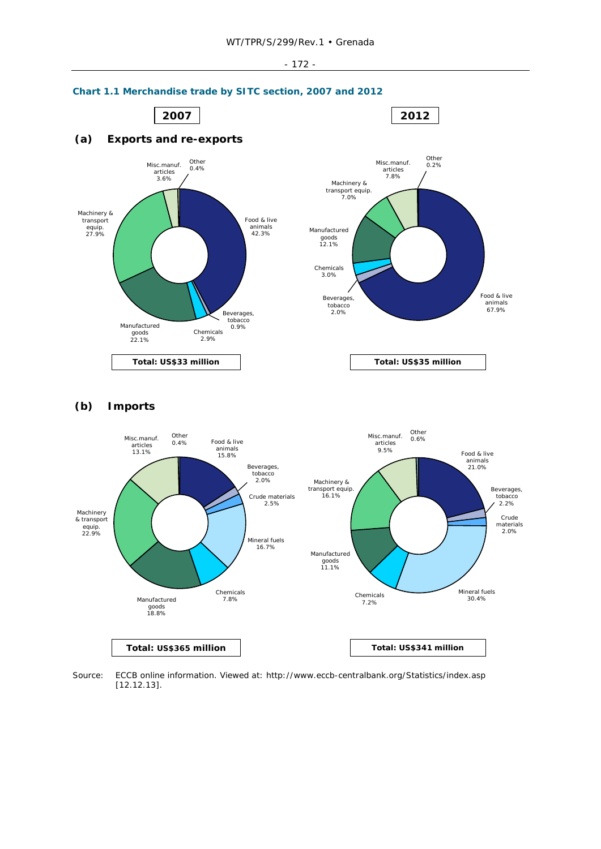#### - 172 -



**Chart 1.1 Merchandise trade by SITC section, 2007 and 2012** 

**Total: US\$365 million Total: US\$341 million**

Source: ECCB online information. Viewed at: http://www.eccb-centralbank.org/Statistics/index.asp [12.12.13].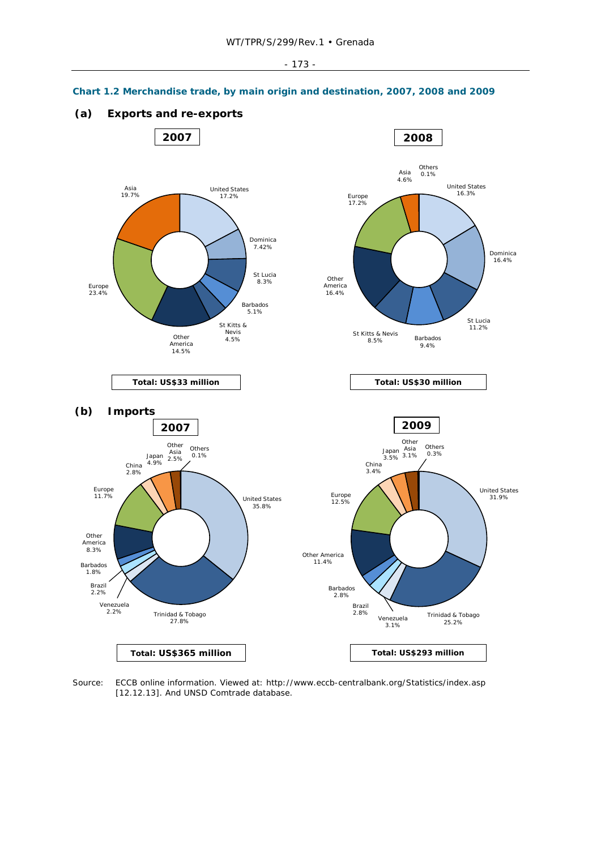#### - 173 -



**Chart 1.2 Merchandise trade, by main origin and destination, 2007, 2008 and 2009** 

**(a) Exports and re-exports**

Source: ECCB online information. Viewed at: http://www.eccb-centralbank.org/Statistics/index.asp [12.12.13]. And UNSD Comtrade database.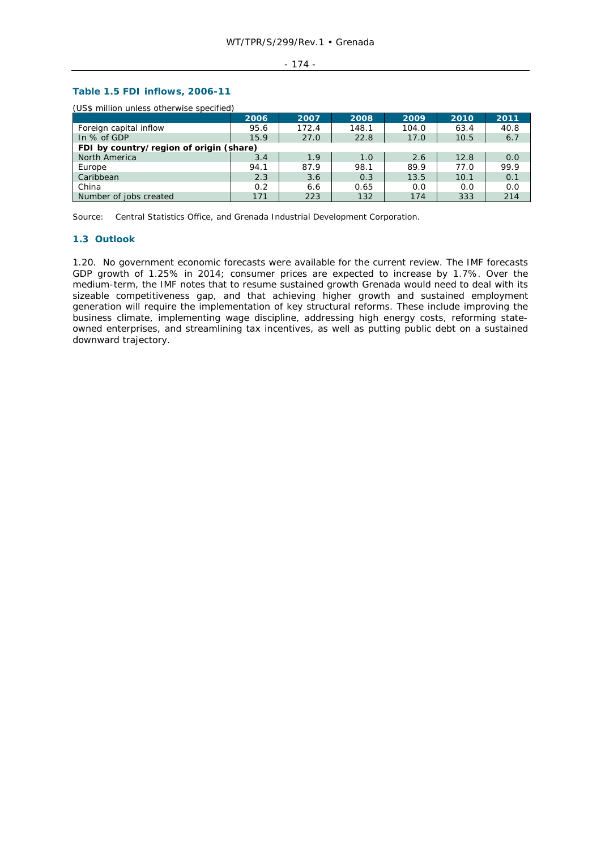#### - 174 -

# **Table 1.5 FDI inflows, 2006-11**

(US\$ million unless otherwise specified)

|                                         | 2006 | 2007  | 2008  | 2009  | 2010 | 2011 |  |  |
|-----------------------------------------|------|-------|-------|-------|------|------|--|--|
| Foreign capital inflow                  | 95.6 | 172.4 | 148.1 | 104.0 | 63.4 | 40.8 |  |  |
| In % of GDP                             | 15.9 | 27.0  | 22.8  | 17.0  | 10.5 | 6.7  |  |  |
| FDI by country/region of origin (share) |      |       |       |       |      |      |  |  |
| North America                           | 3.4  | 1.9   | 1.0   | 2.6   | 12.8 | 0.0  |  |  |
| Europe                                  | 94.1 | 87.9  | 98.1  | 89.9  | 77.0 | 99.9 |  |  |
| Caribbean                               | 2.3  | 3.6   | 0.3   | 13.5  | 10.1 | 0.1  |  |  |
| China                                   | 0.2  | 6.6   | 0.65  | 0.0   | 0.0  | 0.0  |  |  |
| Number of jobs created                  | 171  | 223   | 132   | 174   | 333  | 214  |  |  |

Source: Central Statistics Office, and Grenada Industrial Development Corporation.

### **1.3 Outlook**

1.20. No government economic forecasts were available for the current review. The IMF forecasts GDP growth of 1.25% in 2014; consumer prices are expected to increase by 1.7%. Over the medium-term, the IMF notes that to resume sustained growth Grenada would need to deal with its sizeable competitiveness gap, and that achieving higher growth and sustained employment generation will require the implementation of key structural reforms. These include improving the business climate, implementing wage discipline, addressing high energy costs, reforming stateowned enterprises, and streamlining tax incentives, as well as putting public debt on a sustained downward trajectory.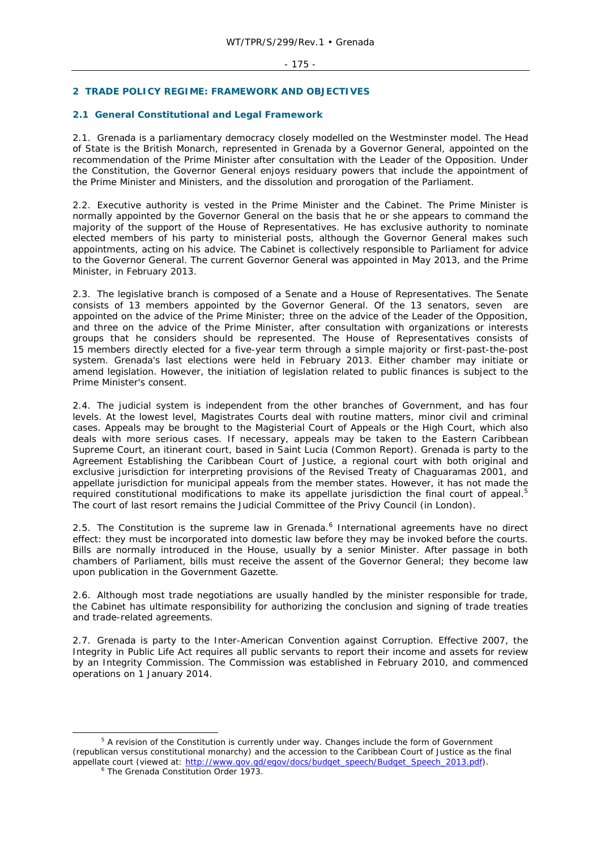# **2 TRADE POLICY REGIME: FRAMEWORK AND OBJECTIVES**

## **2.1 General Constitutional and Legal Framework**

2.1. Grenada is a parliamentary democracy closely modelled on the Westminster model. The Head of State is the British Monarch, represented in Grenada by a Governor General, appointed on the recommendation of the Prime Minister after consultation with the Leader of the Opposition. Under the Constitution, the Governor General enjoys residuary powers that include the appointment of the Prime Minister and Ministers, and the dissolution and prorogation of the Parliament.

2.2. Executive authority is vested in the Prime Minister and the Cabinet. The Prime Minister is normally appointed by the Governor General on the basis that he or she appears to command the majority of the support of the House of Representatives. He has exclusive authority to nominate elected members of his party to ministerial posts, although the Governor General makes such appointments, acting on his advice. The Cabinet is collectively responsible to Parliament for advice to the Governor General. The current Governor General was appointed in May 2013, and the Prime Minister, in February 2013.

2.3. The legislative branch is composed of a Senate and a House of Representatives. The Senate consists of 13 members appointed by the Governor General. Of the 13 senators, seven are appointed on the advice of the Prime Minister; three on the advice of the Leader of the Opposition, and three on the advice of the Prime Minister, after consultation with organizations or interests groups that he considers should be represented. The House of Representatives consists of 15 members directly elected for a five-year term through a simple majority or first-past-the-post system. Grenada's last elections were held in February 2013. Either chamber may initiate or amend legislation. However, the initiation of legislation related to public finances is subject to the Prime Minister's consent.

2.4. The judicial system is independent from the other branches of Government, and has four levels. At the lowest level, Magistrates Courts deal with routine matters, minor civil and criminal cases. Appeals may be brought to the Magisterial Court of Appeals or the High Court, which also deals with more serious cases. If necessary, appeals may be taken to the Eastern Caribbean Supreme Court, an itinerant court, based in Saint Lucia (Common Report). Grenada is party to the Agreement Establishing the Caribbean Court of Justice, a regional court with both original and exclusive jurisdiction for interpreting provisions of the Revised Treaty of Chaguaramas 2001, and appellate jurisdiction for municipal appeals from the member states. However, it has not made the required constitutional modifications to make its appellate jurisdiction the final court of appeal.<sup>5</sup> The court of last resort remains the Judicial Committee of the Privy Council (in London).

2.5. The Constitution is the supreme law in Grenada. $6$  International agreements have no direct effect: they must be incorporated into domestic law before they may be invoked before the courts. Bills are normally introduced in the House, usually by a senior Minister. After passage in both chambers of Parliament, bills must receive the assent of the Governor General; they become law upon publication in the *Government Gazette*.

2.6. Although most trade negotiations are usually handled by the minister responsible for trade, the Cabinet has ultimate responsibility for authorizing the conclusion and signing of trade treaties and trade-related agreements.

2.7. Grenada is party to the Inter-American Convention against Corruption. Effective 2007, the Integrity in Public Life Act requires all public servants to report their income and assets for review by an Integrity Commission. The Commission was established in February 2010, and commenced operations on 1 January 2014.

 $\frac{1}{5}$  $5$  A revision of the Constitution is currently under way. Changes include the form of Government (republican versus constitutional monarchy) and the accession to the Caribbean Court of Justice as the final appellate court (viewed at: http://www.gov.gd/egov/docs/budget\_speech/Budget\_Speech\_2013.pdf). <sup>6</sup> The Grenada Constitution Order 1973.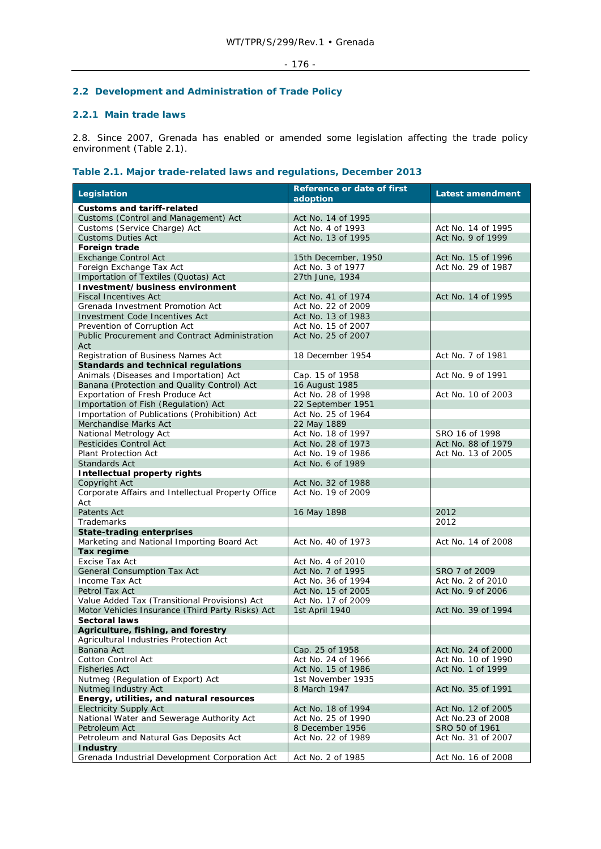# **2.2 Development and Administration of Trade Policy**

# **2.2.1 Main trade laws**

2.8. Since 2007, Grenada has enabled or amended some legislation affecting the trade policy environment (Table 2.1).

# **Table 2.1. Major trade-related laws and regulations, December 2013**

| <b>Customs and tariff-related</b><br>Customs (Control and Management) Act<br>Act No. 14 of 1995<br>Customs (Service Charge) Act<br>Act No. 4 of 1993<br>Act No. 14 of 1995<br><b>Customs Duties Act</b><br>Act No. 13 of 1995<br>Act No. 9 of 1999<br>Foreign trade<br><b>Exchange Control Act</b><br>15th December, 1950<br>Act No. 15 of 1996<br>Foreign Exchange Tax Act<br>Act No. 3 of 1977<br>Act No. 29 of 1987<br>Importation of Textiles (Quotas) Act<br>27th June, 1934<br>Investment/business environment<br><b>Fiscal Incentives Act</b><br>Act No. 41 of 1974<br>Act No. 14 of 1995<br>Grenada Investment Promotion Act<br>Act No. 22 of 2009<br><b>Investment Code Incentives Act</b><br>Act No. 13 of 1983<br>Prevention of Corruption Act<br>Act No. 15 of 2007<br>Public Procurement and Contract Administration<br>Act No. 25 of 2007<br>Act<br>Registration of Business Names Act<br>18 December 1954<br>Act No. 7 of 1981<br><b>Standards and technical regulations</b><br>Animals (Diseases and Importation) Act<br>Cap. 15 of 1958<br>Act No. 9 of 1991<br>Banana (Protection and Quality Control) Act<br>16 August 1985<br>Act No. 28 of 1998<br>Exportation of Fresh Produce Act<br>Act No. 10 of 2003<br>Importation of Fish (Regulation) Act<br>22 September 1951<br>Importation of Publications (Prohibition) Act<br>Act No. 25 of 1964<br>Merchandise Marks Act<br>22 May 1889<br>National Metrology Act<br>Act No. 18 of 1997<br>SRO 16 of 1998<br>Pesticides Control Act<br>Act No. 88 of 1979<br>Act No. 28 of 1973<br><b>Plant Protection Act</b><br>Act No. 19 of 1986<br>Act No. 13 of 2005<br>Standards Act<br>Act No. 6 of 1989<br><b>Intellectual property rights</b><br>Copyright Act<br>Act No. 32 of 1988<br>Corporate Affairs and Intellectual Property Office<br>Act No. 19 of 2009<br>Act<br><b>Patents Act</b><br>16 May 1898<br>2012<br>Trademarks<br>2012<br><b>State-trading enterprises</b><br>Marketing and National Importing Board Act<br>Act No. 40 of 1973<br>Act No. 14 of 2008<br>Tax regime<br>Excise Tax Act<br>Act No. 4 of 2010<br>General Consumption Tax Act<br>Act No. 7 of 1995<br>SRO 7 of 2009<br>Income Tax Act<br>Act No. 2 of 2010<br>Act No. 36 of 1994<br>Petrol Tax Act<br>Act No. 15 of 2005<br>Act No. 9 of 2006<br>Value Added Tax (Transitional Provisions) Act<br>Act No. 17 of 2009<br>Motor Vehicles Insurance (Third Party Risks) Act<br>1st April 1940<br>Act No. 39 of 1994<br><b>Sectoral laws</b><br>Agriculture, fishing, and forestry<br>Agricultural Industries Protection Act<br>Banana Act<br>Cap. 25 of 1958<br>Act No. 24 of 2000<br><b>Cotton Control Act</b><br>Act No. 24 of 1966<br>Act No. 10 of 1990<br><b>Fisheries Act</b><br>Act No. 15 of 1986<br>Act No. 1 of 1999<br>Nutmeg (Regulation of Export) Act<br>1st November 1935<br>Nutmeg Industry Act<br>8 March 1947<br>Act No. 35 of 1991<br>Energy, utilities, and natural resources<br><b>Electricity Supply Act</b><br>Act No. 18 of 1994<br>Act No. 12 of 2005<br>National Water and Sewerage Authority Act<br>Act No. 25 of 1990<br>Act No.23 of 2008<br>Petroleum Act<br>8 December 1956<br>SRO 50 of 1961<br>Petroleum and Natural Gas Deposits Act<br>Act No. 22 of 1989<br>Act No. 31 of 2007<br><b>Industry</b> | Legislation                                    | <b>Reference or date of first</b><br>adoption | <b>Latest amendment</b> |
|--------------------------------------------------------------------------------------------------------------------------------------------------------------------------------------------------------------------------------------------------------------------------------------------------------------------------------------------------------------------------------------------------------------------------------------------------------------------------------------------------------------------------------------------------------------------------------------------------------------------------------------------------------------------------------------------------------------------------------------------------------------------------------------------------------------------------------------------------------------------------------------------------------------------------------------------------------------------------------------------------------------------------------------------------------------------------------------------------------------------------------------------------------------------------------------------------------------------------------------------------------------------------------------------------------------------------------------------------------------------------------------------------------------------------------------------------------------------------------------------------------------------------------------------------------------------------------------------------------------------------------------------------------------------------------------------------------------------------------------------------------------------------------------------------------------------------------------------------------------------------------------------------------------------------------------------------------------------------------------------------------------------------------------------------------------------------------------------------------------------------------------------------------------------------------------------------------------------------------------------------------------------------------------------------------------------------------------------------------------------------------------------------------------------------------------------------------------------------------------------------------------------------------------------------------------------------------------------------------------------------------------------------------------------------------------------------------------------------------------------------------------------------------------------------------------------------------------------------------------------------------------------------------------------------------------------------------------------------------------------------------------------------------------------------------------------------------------------------------------------------------------------------------------------------------------------------------------------------------------------------------------------------------|------------------------------------------------|-----------------------------------------------|-------------------------|
|                                                                                                                                                                                                                                                                                                                                                                                                                                                                                                                                                                                                                                                                                                                                                                                                                                                                                                                                                                                                                                                                                                                                                                                                                                                                                                                                                                                                                                                                                                                                                                                                                                                                                                                                                                                                                                                                                                                                                                                                                                                                                                                                                                                                                                                                                                                                                                                                                                                                                                                                                                                                                                                                                                                                                                                                                                                                                                                                                                                                                                                                                                                                                                                                                                                                                |                                                |                                               |                         |
|                                                                                                                                                                                                                                                                                                                                                                                                                                                                                                                                                                                                                                                                                                                                                                                                                                                                                                                                                                                                                                                                                                                                                                                                                                                                                                                                                                                                                                                                                                                                                                                                                                                                                                                                                                                                                                                                                                                                                                                                                                                                                                                                                                                                                                                                                                                                                                                                                                                                                                                                                                                                                                                                                                                                                                                                                                                                                                                                                                                                                                                                                                                                                                                                                                                                                |                                                |                                               |                         |
|                                                                                                                                                                                                                                                                                                                                                                                                                                                                                                                                                                                                                                                                                                                                                                                                                                                                                                                                                                                                                                                                                                                                                                                                                                                                                                                                                                                                                                                                                                                                                                                                                                                                                                                                                                                                                                                                                                                                                                                                                                                                                                                                                                                                                                                                                                                                                                                                                                                                                                                                                                                                                                                                                                                                                                                                                                                                                                                                                                                                                                                                                                                                                                                                                                                                                |                                                |                                               |                         |
|                                                                                                                                                                                                                                                                                                                                                                                                                                                                                                                                                                                                                                                                                                                                                                                                                                                                                                                                                                                                                                                                                                                                                                                                                                                                                                                                                                                                                                                                                                                                                                                                                                                                                                                                                                                                                                                                                                                                                                                                                                                                                                                                                                                                                                                                                                                                                                                                                                                                                                                                                                                                                                                                                                                                                                                                                                                                                                                                                                                                                                                                                                                                                                                                                                                                                |                                                |                                               |                         |
|                                                                                                                                                                                                                                                                                                                                                                                                                                                                                                                                                                                                                                                                                                                                                                                                                                                                                                                                                                                                                                                                                                                                                                                                                                                                                                                                                                                                                                                                                                                                                                                                                                                                                                                                                                                                                                                                                                                                                                                                                                                                                                                                                                                                                                                                                                                                                                                                                                                                                                                                                                                                                                                                                                                                                                                                                                                                                                                                                                                                                                                                                                                                                                                                                                                                                |                                                |                                               |                         |
|                                                                                                                                                                                                                                                                                                                                                                                                                                                                                                                                                                                                                                                                                                                                                                                                                                                                                                                                                                                                                                                                                                                                                                                                                                                                                                                                                                                                                                                                                                                                                                                                                                                                                                                                                                                                                                                                                                                                                                                                                                                                                                                                                                                                                                                                                                                                                                                                                                                                                                                                                                                                                                                                                                                                                                                                                                                                                                                                                                                                                                                                                                                                                                                                                                                                                |                                                |                                               |                         |
|                                                                                                                                                                                                                                                                                                                                                                                                                                                                                                                                                                                                                                                                                                                                                                                                                                                                                                                                                                                                                                                                                                                                                                                                                                                                                                                                                                                                                                                                                                                                                                                                                                                                                                                                                                                                                                                                                                                                                                                                                                                                                                                                                                                                                                                                                                                                                                                                                                                                                                                                                                                                                                                                                                                                                                                                                                                                                                                                                                                                                                                                                                                                                                                                                                                                                |                                                |                                               |                         |
|                                                                                                                                                                                                                                                                                                                                                                                                                                                                                                                                                                                                                                                                                                                                                                                                                                                                                                                                                                                                                                                                                                                                                                                                                                                                                                                                                                                                                                                                                                                                                                                                                                                                                                                                                                                                                                                                                                                                                                                                                                                                                                                                                                                                                                                                                                                                                                                                                                                                                                                                                                                                                                                                                                                                                                                                                                                                                                                                                                                                                                                                                                                                                                                                                                                                                |                                                |                                               |                         |
|                                                                                                                                                                                                                                                                                                                                                                                                                                                                                                                                                                                                                                                                                                                                                                                                                                                                                                                                                                                                                                                                                                                                                                                                                                                                                                                                                                                                                                                                                                                                                                                                                                                                                                                                                                                                                                                                                                                                                                                                                                                                                                                                                                                                                                                                                                                                                                                                                                                                                                                                                                                                                                                                                                                                                                                                                                                                                                                                                                                                                                                                                                                                                                                                                                                                                |                                                |                                               |                         |
|                                                                                                                                                                                                                                                                                                                                                                                                                                                                                                                                                                                                                                                                                                                                                                                                                                                                                                                                                                                                                                                                                                                                                                                                                                                                                                                                                                                                                                                                                                                                                                                                                                                                                                                                                                                                                                                                                                                                                                                                                                                                                                                                                                                                                                                                                                                                                                                                                                                                                                                                                                                                                                                                                                                                                                                                                                                                                                                                                                                                                                                                                                                                                                                                                                                                                |                                                |                                               |                         |
|                                                                                                                                                                                                                                                                                                                                                                                                                                                                                                                                                                                                                                                                                                                                                                                                                                                                                                                                                                                                                                                                                                                                                                                                                                                                                                                                                                                                                                                                                                                                                                                                                                                                                                                                                                                                                                                                                                                                                                                                                                                                                                                                                                                                                                                                                                                                                                                                                                                                                                                                                                                                                                                                                                                                                                                                                                                                                                                                                                                                                                                                                                                                                                                                                                                                                |                                                |                                               |                         |
|                                                                                                                                                                                                                                                                                                                                                                                                                                                                                                                                                                                                                                                                                                                                                                                                                                                                                                                                                                                                                                                                                                                                                                                                                                                                                                                                                                                                                                                                                                                                                                                                                                                                                                                                                                                                                                                                                                                                                                                                                                                                                                                                                                                                                                                                                                                                                                                                                                                                                                                                                                                                                                                                                                                                                                                                                                                                                                                                                                                                                                                                                                                                                                                                                                                                                |                                                |                                               |                         |
|                                                                                                                                                                                                                                                                                                                                                                                                                                                                                                                                                                                                                                                                                                                                                                                                                                                                                                                                                                                                                                                                                                                                                                                                                                                                                                                                                                                                                                                                                                                                                                                                                                                                                                                                                                                                                                                                                                                                                                                                                                                                                                                                                                                                                                                                                                                                                                                                                                                                                                                                                                                                                                                                                                                                                                                                                                                                                                                                                                                                                                                                                                                                                                                                                                                                                |                                                |                                               |                         |
|                                                                                                                                                                                                                                                                                                                                                                                                                                                                                                                                                                                                                                                                                                                                                                                                                                                                                                                                                                                                                                                                                                                                                                                                                                                                                                                                                                                                                                                                                                                                                                                                                                                                                                                                                                                                                                                                                                                                                                                                                                                                                                                                                                                                                                                                                                                                                                                                                                                                                                                                                                                                                                                                                                                                                                                                                                                                                                                                                                                                                                                                                                                                                                                                                                                                                |                                                |                                               |                         |
|                                                                                                                                                                                                                                                                                                                                                                                                                                                                                                                                                                                                                                                                                                                                                                                                                                                                                                                                                                                                                                                                                                                                                                                                                                                                                                                                                                                                                                                                                                                                                                                                                                                                                                                                                                                                                                                                                                                                                                                                                                                                                                                                                                                                                                                                                                                                                                                                                                                                                                                                                                                                                                                                                                                                                                                                                                                                                                                                                                                                                                                                                                                                                                                                                                                                                |                                                |                                               |                         |
|                                                                                                                                                                                                                                                                                                                                                                                                                                                                                                                                                                                                                                                                                                                                                                                                                                                                                                                                                                                                                                                                                                                                                                                                                                                                                                                                                                                                                                                                                                                                                                                                                                                                                                                                                                                                                                                                                                                                                                                                                                                                                                                                                                                                                                                                                                                                                                                                                                                                                                                                                                                                                                                                                                                                                                                                                                                                                                                                                                                                                                                                                                                                                                                                                                                                                |                                                |                                               |                         |
|                                                                                                                                                                                                                                                                                                                                                                                                                                                                                                                                                                                                                                                                                                                                                                                                                                                                                                                                                                                                                                                                                                                                                                                                                                                                                                                                                                                                                                                                                                                                                                                                                                                                                                                                                                                                                                                                                                                                                                                                                                                                                                                                                                                                                                                                                                                                                                                                                                                                                                                                                                                                                                                                                                                                                                                                                                                                                                                                                                                                                                                                                                                                                                                                                                                                                |                                                |                                               |                         |
|                                                                                                                                                                                                                                                                                                                                                                                                                                                                                                                                                                                                                                                                                                                                                                                                                                                                                                                                                                                                                                                                                                                                                                                                                                                                                                                                                                                                                                                                                                                                                                                                                                                                                                                                                                                                                                                                                                                                                                                                                                                                                                                                                                                                                                                                                                                                                                                                                                                                                                                                                                                                                                                                                                                                                                                                                                                                                                                                                                                                                                                                                                                                                                                                                                                                                |                                                |                                               |                         |
|                                                                                                                                                                                                                                                                                                                                                                                                                                                                                                                                                                                                                                                                                                                                                                                                                                                                                                                                                                                                                                                                                                                                                                                                                                                                                                                                                                                                                                                                                                                                                                                                                                                                                                                                                                                                                                                                                                                                                                                                                                                                                                                                                                                                                                                                                                                                                                                                                                                                                                                                                                                                                                                                                                                                                                                                                                                                                                                                                                                                                                                                                                                                                                                                                                                                                |                                                |                                               |                         |
|                                                                                                                                                                                                                                                                                                                                                                                                                                                                                                                                                                                                                                                                                                                                                                                                                                                                                                                                                                                                                                                                                                                                                                                                                                                                                                                                                                                                                                                                                                                                                                                                                                                                                                                                                                                                                                                                                                                                                                                                                                                                                                                                                                                                                                                                                                                                                                                                                                                                                                                                                                                                                                                                                                                                                                                                                                                                                                                                                                                                                                                                                                                                                                                                                                                                                |                                                |                                               |                         |
|                                                                                                                                                                                                                                                                                                                                                                                                                                                                                                                                                                                                                                                                                                                                                                                                                                                                                                                                                                                                                                                                                                                                                                                                                                                                                                                                                                                                                                                                                                                                                                                                                                                                                                                                                                                                                                                                                                                                                                                                                                                                                                                                                                                                                                                                                                                                                                                                                                                                                                                                                                                                                                                                                                                                                                                                                                                                                                                                                                                                                                                                                                                                                                                                                                                                                |                                                |                                               |                         |
|                                                                                                                                                                                                                                                                                                                                                                                                                                                                                                                                                                                                                                                                                                                                                                                                                                                                                                                                                                                                                                                                                                                                                                                                                                                                                                                                                                                                                                                                                                                                                                                                                                                                                                                                                                                                                                                                                                                                                                                                                                                                                                                                                                                                                                                                                                                                                                                                                                                                                                                                                                                                                                                                                                                                                                                                                                                                                                                                                                                                                                                                                                                                                                                                                                                                                |                                                |                                               |                         |
|                                                                                                                                                                                                                                                                                                                                                                                                                                                                                                                                                                                                                                                                                                                                                                                                                                                                                                                                                                                                                                                                                                                                                                                                                                                                                                                                                                                                                                                                                                                                                                                                                                                                                                                                                                                                                                                                                                                                                                                                                                                                                                                                                                                                                                                                                                                                                                                                                                                                                                                                                                                                                                                                                                                                                                                                                                                                                                                                                                                                                                                                                                                                                                                                                                                                                |                                                |                                               |                         |
|                                                                                                                                                                                                                                                                                                                                                                                                                                                                                                                                                                                                                                                                                                                                                                                                                                                                                                                                                                                                                                                                                                                                                                                                                                                                                                                                                                                                                                                                                                                                                                                                                                                                                                                                                                                                                                                                                                                                                                                                                                                                                                                                                                                                                                                                                                                                                                                                                                                                                                                                                                                                                                                                                                                                                                                                                                                                                                                                                                                                                                                                                                                                                                                                                                                                                |                                                |                                               |                         |
|                                                                                                                                                                                                                                                                                                                                                                                                                                                                                                                                                                                                                                                                                                                                                                                                                                                                                                                                                                                                                                                                                                                                                                                                                                                                                                                                                                                                                                                                                                                                                                                                                                                                                                                                                                                                                                                                                                                                                                                                                                                                                                                                                                                                                                                                                                                                                                                                                                                                                                                                                                                                                                                                                                                                                                                                                                                                                                                                                                                                                                                                                                                                                                                                                                                                                |                                                |                                               |                         |
|                                                                                                                                                                                                                                                                                                                                                                                                                                                                                                                                                                                                                                                                                                                                                                                                                                                                                                                                                                                                                                                                                                                                                                                                                                                                                                                                                                                                                                                                                                                                                                                                                                                                                                                                                                                                                                                                                                                                                                                                                                                                                                                                                                                                                                                                                                                                                                                                                                                                                                                                                                                                                                                                                                                                                                                                                                                                                                                                                                                                                                                                                                                                                                                                                                                                                |                                                |                                               |                         |
|                                                                                                                                                                                                                                                                                                                                                                                                                                                                                                                                                                                                                                                                                                                                                                                                                                                                                                                                                                                                                                                                                                                                                                                                                                                                                                                                                                                                                                                                                                                                                                                                                                                                                                                                                                                                                                                                                                                                                                                                                                                                                                                                                                                                                                                                                                                                                                                                                                                                                                                                                                                                                                                                                                                                                                                                                                                                                                                                                                                                                                                                                                                                                                                                                                                                                |                                                |                                               |                         |
|                                                                                                                                                                                                                                                                                                                                                                                                                                                                                                                                                                                                                                                                                                                                                                                                                                                                                                                                                                                                                                                                                                                                                                                                                                                                                                                                                                                                                                                                                                                                                                                                                                                                                                                                                                                                                                                                                                                                                                                                                                                                                                                                                                                                                                                                                                                                                                                                                                                                                                                                                                                                                                                                                                                                                                                                                                                                                                                                                                                                                                                                                                                                                                                                                                                                                |                                                |                                               |                         |
|                                                                                                                                                                                                                                                                                                                                                                                                                                                                                                                                                                                                                                                                                                                                                                                                                                                                                                                                                                                                                                                                                                                                                                                                                                                                                                                                                                                                                                                                                                                                                                                                                                                                                                                                                                                                                                                                                                                                                                                                                                                                                                                                                                                                                                                                                                                                                                                                                                                                                                                                                                                                                                                                                                                                                                                                                                                                                                                                                                                                                                                                                                                                                                                                                                                                                |                                                |                                               |                         |
|                                                                                                                                                                                                                                                                                                                                                                                                                                                                                                                                                                                                                                                                                                                                                                                                                                                                                                                                                                                                                                                                                                                                                                                                                                                                                                                                                                                                                                                                                                                                                                                                                                                                                                                                                                                                                                                                                                                                                                                                                                                                                                                                                                                                                                                                                                                                                                                                                                                                                                                                                                                                                                                                                                                                                                                                                                                                                                                                                                                                                                                                                                                                                                                                                                                                                |                                                |                                               |                         |
|                                                                                                                                                                                                                                                                                                                                                                                                                                                                                                                                                                                                                                                                                                                                                                                                                                                                                                                                                                                                                                                                                                                                                                                                                                                                                                                                                                                                                                                                                                                                                                                                                                                                                                                                                                                                                                                                                                                                                                                                                                                                                                                                                                                                                                                                                                                                                                                                                                                                                                                                                                                                                                                                                                                                                                                                                                                                                                                                                                                                                                                                                                                                                                                                                                                                                |                                                |                                               |                         |
|                                                                                                                                                                                                                                                                                                                                                                                                                                                                                                                                                                                                                                                                                                                                                                                                                                                                                                                                                                                                                                                                                                                                                                                                                                                                                                                                                                                                                                                                                                                                                                                                                                                                                                                                                                                                                                                                                                                                                                                                                                                                                                                                                                                                                                                                                                                                                                                                                                                                                                                                                                                                                                                                                                                                                                                                                                                                                                                                                                                                                                                                                                                                                                                                                                                                                |                                                |                                               |                         |
|                                                                                                                                                                                                                                                                                                                                                                                                                                                                                                                                                                                                                                                                                                                                                                                                                                                                                                                                                                                                                                                                                                                                                                                                                                                                                                                                                                                                                                                                                                                                                                                                                                                                                                                                                                                                                                                                                                                                                                                                                                                                                                                                                                                                                                                                                                                                                                                                                                                                                                                                                                                                                                                                                                                                                                                                                                                                                                                                                                                                                                                                                                                                                                                                                                                                                |                                                |                                               |                         |
|                                                                                                                                                                                                                                                                                                                                                                                                                                                                                                                                                                                                                                                                                                                                                                                                                                                                                                                                                                                                                                                                                                                                                                                                                                                                                                                                                                                                                                                                                                                                                                                                                                                                                                                                                                                                                                                                                                                                                                                                                                                                                                                                                                                                                                                                                                                                                                                                                                                                                                                                                                                                                                                                                                                                                                                                                                                                                                                                                                                                                                                                                                                                                                                                                                                                                |                                                |                                               |                         |
|                                                                                                                                                                                                                                                                                                                                                                                                                                                                                                                                                                                                                                                                                                                                                                                                                                                                                                                                                                                                                                                                                                                                                                                                                                                                                                                                                                                                                                                                                                                                                                                                                                                                                                                                                                                                                                                                                                                                                                                                                                                                                                                                                                                                                                                                                                                                                                                                                                                                                                                                                                                                                                                                                                                                                                                                                                                                                                                                                                                                                                                                                                                                                                                                                                                                                |                                                |                                               |                         |
|                                                                                                                                                                                                                                                                                                                                                                                                                                                                                                                                                                                                                                                                                                                                                                                                                                                                                                                                                                                                                                                                                                                                                                                                                                                                                                                                                                                                                                                                                                                                                                                                                                                                                                                                                                                                                                                                                                                                                                                                                                                                                                                                                                                                                                                                                                                                                                                                                                                                                                                                                                                                                                                                                                                                                                                                                                                                                                                                                                                                                                                                                                                                                                                                                                                                                |                                                |                                               |                         |
|                                                                                                                                                                                                                                                                                                                                                                                                                                                                                                                                                                                                                                                                                                                                                                                                                                                                                                                                                                                                                                                                                                                                                                                                                                                                                                                                                                                                                                                                                                                                                                                                                                                                                                                                                                                                                                                                                                                                                                                                                                                                                                                                                                                                                                                                                                                                                                                                                                                                                                                                                                                                                                                                                                                                                                                                                                                                                                                                                                                                                                                                                                                                                                                                                                                                                |                                                |                                               |                         |
|                                                                                                                                                                                                                                                                                                                                                                                                                                                                                                                                                                                                                                                                                                                                                                                                                                                                                                                                                                                                                                                                                                                                                                                                                                                                                                                                                                                                                                                                                                                                                                                                                                                                                                                                                                                                                                                                                                                                                                                                                                                                                                                                                                                                                                                                                                                                                                                                                                                                                                                                                                                                                                                                                                                                                                                                                                                                                                                                                                                                                                                                                                                                                                                                                                                                                |                                                |                                               |                         |
|                                                                                                                                                                                                                                                                                                                                                                                                                                                                                                                                                                                                                                                                                                                                                                                                                                                                                                                                                                                                                                                                                                                                                                                                                                                                                                                                                                                                                                                                                                                                                                                                                                                                                                                                                                                                                                                                                                                                                                                                                                                                                                                                                                                                                                                                                                                                                                                                                                                                                                                                                                                                                                                                                                                                                                                                                                                                                                                                                                                                                                                                                                                                                                                                                                                                                |                                                |                                               |                         |
|                                                                                                                                                                                                                                                                                                                                                                                                                                                                                                                                                                                                                                                                                                                                                                                                                                                                                                                                                                                                                                                                                                                                                                                                                                                                                                                                                                                                                                                                                                                                                                                                                                                                                                                                                                                                                                                                                                                                                                                                                                                                                                                                                                                                                                                                                                                                                                                                                                                                                                                                                                                                                                                                                                                                                                                                                                                                                                                                                                                                                                                                                                                                                                                                                                                                                |                                                |                                               |                         |
|                                                                                                                                                                                                                                                                                                                                                                                                                                                                                                                                                                                                                                                                                                                                                                                                                                                                                                                                                                                                                                                                                                                                                                                                                                                                                                                                                                                                                                                                                                                                                                                                                                                                                                                                                                                                                                                                                                                                                                                                                                                                                                                                                                                                                                                                                                                                                                                                                                                                                                                                                                                                                                                                                                                                                                                                                                                                                                                                                                                                                                                                                                                                                                                                                                                                                |                                                |                                               |                         |
|                                                                                                                                                                                                                                                                                                                                                                                                                                                                                                                                                                                                                                                                                                                                                                                                                                                                                                                                                                                                                                                                                                                                                                                                                                                                                                                                                                                                                                                                                                                                                                                                                                                                                                                                                                                                                                                                                                                                                                                                                                                                                                                                                                                                                                                                                                                                                                                                                                                                                                                                                                                                                                                                                                                                                                                                                                                                                                                                                                                                                                                                                                                                                                                                                                                                                |                                                |                                               |                         |
|                                                                                                                                                                                                                                                                                                                                                                                                                                                                                                                                                                                                                                                                                                                                                                                                                                                                                                                                                                                                                                                                                                                                                                                                                                                                                                                                                                                                                                                                                                                                                                                                                                                                                                                                                                                                                                                                                                                                                                                                                                                                                                                                                                                                                                                                                                                                                                                                                                                                                                                                                                                                                                                                                                                                                                                                                                                                                                                                                                                                                                                                                                                                                                                                                                                                                |                                                |                                               |                         |
|                                                                                                                                                                                                                                                                                                                                                                                                                                                                                                                                                                                                                                                                                                                                                                                                                                                                                                                                                                                                                                                                                                                                                                                                                                                                                                                                                                                                                                                                                                                                                                                                                                                                                                                                                                                                                                                                                                                                                                                                                                                                                                                                                                                                                                                                                                                                                                                                                                                                                                                                                                                                                                                                                                                                                                                                                                                                                                                                                                                                                                                                                                                                                                                                                                                                                |                                                |                                               |                         |
|                                                                                                                                                                                                                                                                                                                                                                                                                                                                                                                                                                                                                                                                                                                                                                                                                                                                                                                                                                                                                                                                                                                                                                                                                                                                                                                                                                                                                                                                                                                                                                                                                                                                                                                                                                                                                                                                                                                                                                                                                                                                                                                                                                                                                                                                                                                                                                                                                                                                                                                                                                                                                                                                                                                                                                                                                                                                                                                                                                                                                                                                                                                                                                                                                                                                                |                                                |                                               |                         |
|                                                                                                                                                                                                                                                                                                                                                                                                                                                                                                                                                                                                                                                                                                                                                                                                                                                                                                                                                                                                                                                                                                                                                                                                                                                                                                                                                                                                                                                                                                                                                                                                                                                                                                                                                                                                                                                                                                                                                                                                                                                                                                                                                                                                                                                                                                                                                                                                                                                                                                                                                                                                                                                                                                                                                                                                                                                                                                                                                                                                                                                                                                                                                                                                                                                                                |                                                |                                               |                         |
|                                                                                                                                                                                                                                                                                                                                                                                                                                                                                                                                                                                                                                                                                                                                                                                                                                                                                                                                                                                                                                                                                                                                                                                                                                                                                                                                                                                                                                                                                                                                                                                                                                                                                                                                                                                                                                                                                                                                                                                                                                                                                                                                                                                                                                                                                                                                                                                                                                                                                                                                                                                                                                                                                                                                                                                                                                                                                                                                                                                                                                                                                                                                                                                                                                                                                |                                                |                                               |                         |
|                                                                                                                                                                                                                                                                                                                                                                                                                                                                                                                                                                                                                                                                                                                                                                                                                                                                                                                                                                                                                                                                                                                                                                                                                                                                                                                                                                                                                                                                                                                                                                                                                                                                                                                                                                                                                                                                                                                                                                                                                                                                                                                                                                                                                                                                                                                                                                                                                                                                                                                                                                                                                                                                                                                                                                                                                                                                                                                                                                                                                                                                                                                                                                                                                                                                                |                                                |                                               |                         |
|                                                                                                                                                                                                                                                                                                                                                                                                                                                                                                                                                                                                                                                                                                                                                                                                                                                                                                                                                                                                                                                                                                                                                                                                                                                                                                                                                                                                                                                                                                                                                                                                                                                                                                                                                                                                                                                                                                                                                                                                                                                                                                                                                                                                                                                                                                                                                                                                                                                                                                                                                                                                                                                                                                                                                                                                                                                                                                                                                                                                                                                                                                                                                                                                                                                                                |                                                |                                               |                         |
|                                                                                                                                                                                                                                                                                                                                                                                                                                                                                                                                                                                                                                                                                                                                                                                                                                                                                                                                                                                                                                                                                                                                                                                                                                                                                                                                                                                                                                                                                                                                                                                                                                                                                                                                                                                                                                                                                                                                                                                                                                                                                                                                                                                                                                                                                                                                                                                                                                                                                                                                                                                                                                                                                                                                                                                                                                                                                                                                                                                                                                                                                                                                                                                                                                                                                |                                                |                                               |                         |
|                                                                                                                                                                                                                                                                                                                                                                                                                                                                                                                                                                                                                                                                                                                                                                                                                                                                                                                                                                                                                                                                                                                                                                                                                                                                                                                                                                                                                                                                                                                                                                                                                                                                                                                                                                                                                                                                                                                                                                                                                                                                                                                                                                                                                                                                                                                                                                                                                                                                                                                                                                                                                                                                                                                                                                                                                                                                                                                                                                                                                                                                                                                                                                                                                                                                                |                                                |                                               |                         |
|                                                                                                                                                                                                                                                                                                                                                                                                                                                                                                                                                                                                                                                                                                                                                                                                                                                                                                                                                                                                                                                                                                                                                                                                                                                                                                                                                                                                                                                                                                                                                                                                                                                                                                                                                                                                                                                                                                                                                                                                                                                                                                                                                                                                                                                                                                                                                                                                                                                                                                                                                                                                                                                                                                                                                                                                                                                                                                                                                                                                                                                                                                                                                                                                                                                                                |                                                |                                               |                         |
|                                                                                                                                                                                                                                                                                                                                                                                                                                                                                                                                                                                                                                                                                                                                                                                                                                                                                                                                                                                                                                                                                                                                                                                                                                                                                                                                                                                                                                                                                                                                                                                                                                                                                                                                                                                                                                                                                                                                                                                                                                                                                                                                                                                                                                                                                                                                                                                                                                                                                                                                                                                                                                                                                                                                                                                                                                                                                                                                                                                                                                                                                                                                                                                                                                                                                |                                                |                                               |                         |
|                                                                                                                                                                                                                                                                                                                                                                                                                                                                                                                                                                                                                                                                                                                                                                                                                                                                                                                                                                                                                                                                                                                                                                                                                                                                                                                                                                                                                                                                                                                                                                                                                                                                                                                                                                                                                                                                                                                                                                                                                                                                                                                                                                                                                                                                                                                                                                                                                                                                                                                                                                                                                                                                                                                                                                                                                                                                                                                                                                                                                                                                                                                                                                                                                                                                                |                                                |                                               |                         |
|                                                                                                                                                                                                                                                                                                                                                                                                                                                                                                                                                                                                                                                                                                                                                                                                                                                                                                                                                                                                                                                                                                                                                                                                                                                                                                                                                                                                                                                                                                                                                                                                                                                                                                                                                                                                                                                                                                                                                                                                                                                                                                                                                                                                                                                                                                                                                                                                                                                                                                                                                                                                                                                                                                                                                                                                                                                                                                                                                                                                                                                                                                                                                                                                                                                                                |                                                |                                               |                         |
|                                                                                                                                                                                                                                                                                                                                                                                                                                                                                                                                                                                                                                                                                                                                                                                                                                                                                                                                                                                                                                                                                                                                                                                                                                                                                                                                                                                                                                                                                                                                                                                                                                                                                                                                                                                                                                                                                                                                                                                                                                                                                                                                                                                                                                                                                                                                                                                                                                                                                                                                                                                                                                                                                                                                                                                                                                                                                                                                                                                                                                                                                                                                                                                                                                                                                |                                                |                                               |                         |
|                                                                                                                                                                                                                                                                                                                                                                                                                                                                                                                                                                                                                                                                                                                                                                                                                                                                                                                                                                                                                                                                                                                                                                                                                                                                                                                                                                                                                                                                                                                                                                                                                                                                                                                                                                                                                                                                                                                                                                                                                                                                                                                                                                                                                                                                                                                                                                                                                                                                                                                                                                                                                                                                                                                                                                                                                                                                                                                                                                                                                                                                                                                                                                                                                                                                                | Grenada Industrial Development Corporation Act | Act No. 2 of 1985                             | Act No. 16 of 2008      |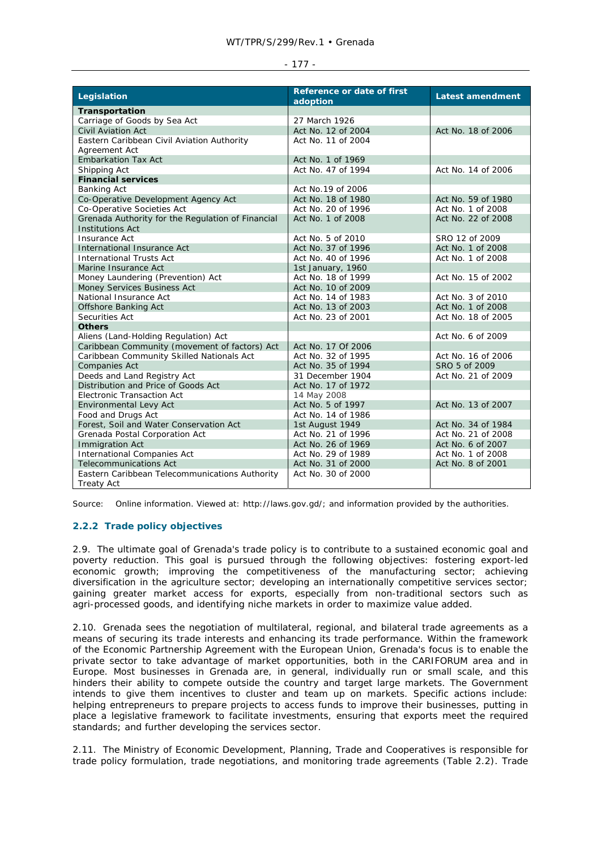| Legislation                                       | Reference or date of first<br>adoption | <b>Latest amendment</b> |
|---------------------------------------------------|----------------------------------------|-------------------------|
| Transportation                                    |                                        |                         |
| Carriage of Goods by Sea Act                      | 27 March 1926                          |                         |
| <b>Civil Aviation Act</b>                         | Act No. 12 of 2004                     | Act No. 18 of 2006      |
| Eastern Caribbean Civil Aviation Authority        | Act No. 11 of 2004                     |                         |
| Agreement Act                                     |                                        |                         |
| <b>Embarkation Tax Act</b>                        | Act No. 1 of 1969                      |                         |
| Shipping Act                                      | Act No. 47 of 1994                     | Act No. 14 of 2006      |
| <b>Financial services</b>                         |                                        |                         |
| <b>Banking Act</b>                                | Act No.19 of 2006                      |                         |
| Co-Operative Development Agency Act               | Act No. 18 of 1980                     | Act No. 59 of 1980      |
| Co-Operative Societies Act                        | Act No. 20 of 1996                     | Act No. 1 of 2008       |
| Grenada Authority for the Regulation of Financial | Act No. 1 of 2008                      | Act No. 22 of 2008      |
| <b>Institutions Act</b>                           |                                        |                         |
| <b>Insurance Act</b>                              | Act No. 5 of 2010                      | SRO 12 of 2009          |
| International Insurance Act                       | Act No. 37 of 1996                     | Act No. 1 of 2008       |
| <b>International Trusts Act</b>                   | Act No. 40 of 1996                     | Act No. 1 of 2008       |
| Marine Insurance Act                              | 1st January, 1960                      |                         |
| Money Laundering (Prevention) Act                 | Act No. 18 of 1999                     | Act No. 15 of 2002      |
| Money Services Business Act                       | Act No. 10 of 2009                     |                         |
| National Insurance Act                            | Act No. 14 of 1983                     | Act No. 3 of 2010       |
| <b>Offshore Banking Act</b>                       | Act No. 13 of 2003                     | Act No. 1 of 2008       |
| Securities Act                                    | Act No. 23 of 2001                     | Act No. 18 of 2005      |
| <b>Others</b>                                     |                                        |                         |
| Aliens (Land-Holding Regulation) Act              |                                        | Act No. 6 of 2009       |
| Caribbean Community (movement of factors) Act     | Act No. 17 Of 2006                     |                         |
| Caribbean Community Skilled Nationals Act         | Act No. 32 of 1995                     | Act No. 16 of 2006      |
| Companies Act                                     | Act No. 35 of 1994                     | SRO 5 of 2009           |
| Deeds and Land Registry Act                       | 31 December 1904                       | Act No. 21 of 2009      |
| Distribution and Price of Goods Act               | Act No. 17 of 1972                     |                         |
| <b>Electronic Transaction Act</b>                 | 14 May 2008                            |                         |
| Environmental Levy Act                            | Act No. 5 of 1997                      | Act No. 13 of 2007      |
| Food and Drugs Act                                | Act No. 14 of 1986                     |                         |
| Forest, Soil and Water Conservation Act           | 1st August 1949                        | Act No. 34 of 1984      |
| Grenada Postal Corporation Act                    | Act No. 21 of 1996                     | Act No. 21 of 2008      |
| <b>Immigration Act</b>                            | Act No. 26 of 1969                     | Act No. 6 of 2007       |
| International Companies Act                       | Act No. 29 of 1989                     | Act No. 1 of 2008       |
| <b>Telecommunications Act</b>                     | Act No. 31 of 2000                     | Act No. 8 of 2001       |
| Eastern Caribbean Telecommunications Authority    | Act No. 30 of 2000                     |                         |
| <b>Treaty Act</b>                                 |                                        |                         |

Source: Online information. Viewed at: http://laws.gov.gd/; and information provided by the authorities.

# **2.2.2 Trade policy objectives**

2.9. The ultimate goal of Grenada's trade policy is to contribute to a sustained economic goal and poverty reduction. This goal is pursued through the following objectives: fostering export-led economic growth; improving the competitiveness of the manufacturing sector; achieving diversification in the agriculture sector; developing an internationally competitive services sector; gaining greater market access for exports, especially from non-traditional sectors such as agri-processed goods, and identifying niche markets in order to maximize value added.

2.10. Grenada sees the negotiation of multilateral, regional, and bilateral trade agreements as a means of securing its trade interests and enhancing its trade performance. Within the framework of the Economic Partnership Agreement with the European Union, Grenada's focus is to enable the private sector to take advantage of market opportunities, both in the CARIFORUM area and in Europe. Most businesses in Grenada are, in general, individually run or small scale, and this hinders their ability to compete outside the country and target large markets. The Government intends to give them incentives to cluster and team up on markets. Specific actions include: helping entrepreneurs to prepare projects to access funds to improve their businesses, putting in place a legislative framework to facilitate investments, ensuring that exports meet the required standards; and further developing the services sector.

2.11. The Ministry of Economic Development, Planning, Trade and Cooperatives is responsible for trade policy formulation, trade negotiations, and monitoring trade agreements (Table 2.2). Trade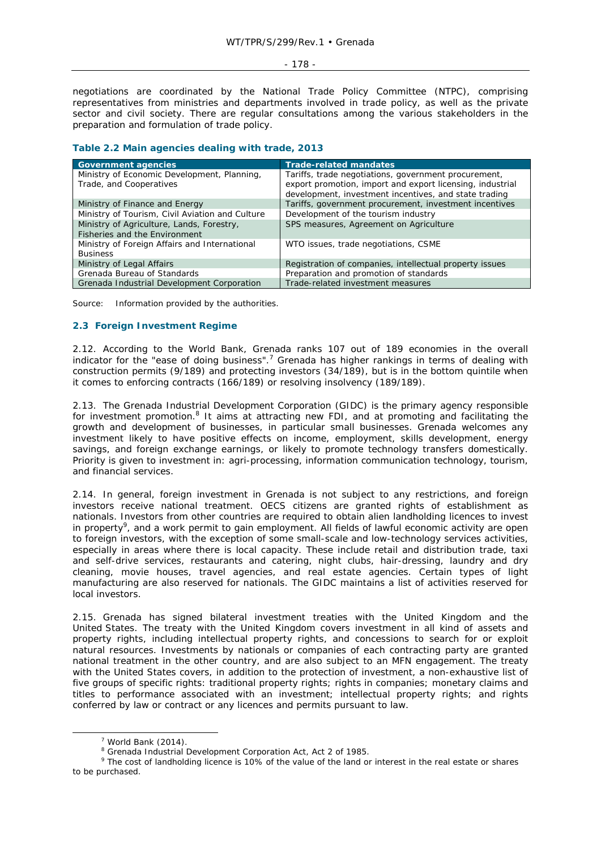negotiations are coordinated by the National Trade Policy Committee (NTPC), comprising representatives from ministries and departments involved in trade policy, as well as the private sector and civil society. There are regular consultations among the various stakeholders in the preparation and formulation of trade policy.

### **Table 2.2 Main agencies dealing with trade, 2013**

| <b>Government agencies</b>                                                 | <b>Trade-related mandates</b>                                                                                     |
|----------------------------------------------------------------------------|-------------------------------------------------------------------------------------------------------------------|
| Ministry of Economic Development, Planning,<br>Trade, and Cooperatives     | Tariffs, trade negotiations, government procurement,<br>export promotion, import and export licensing, industrial |
|                                                                            | development, investment incentives, and state trading                                                             |
| Ministry of Finance and Energy                                             | Tariffs, government procurement, investment incentives                                                            |
| Ministry of Tourism, Civil Aviation and Culture                            | Development of the tourism industry                                                                               |
| Ministry of Agriculture, Lands, Forestry,<br>Fisheries and the Environment | SPS measures, Agreement on Agriculture                                                                            |
| Ministry of Foreign Affairs and International<br><b>Business</b>           | WTO issues, trade negotiations, CSME                                                                              |
| Ministry of Legal Affairs                                                  | Registration of companies, intellectual property issues                                                           |
| Grenada Bureau of Standards                                                | Preparation and promotion of standards                                                                            |
| Grenada Industrial Development Corporation                                 | Trade-related investment measures                                                                                 |

Source: Information provided by the authorities.

# **2.3 Foreign Investment Regime**

2.12. According to the World Bank, Grenada ranks 107 out of 189 economies in the overall indicator for the "ease of doing business".<sup>7</sup> Grenada has higher rankings in terms of dealing with construction permits (9/189) and protecting investors (34/189), but is in the bottom quintile when it comes to enforcing contracts (166/189) or resolving insolvency (189/189).

2.13. The Grenada Industrial Development Corporation (GIDC) is the primary agency responsible for investment promotion.<sup>8</sup> It aims at attracting new FDI, and at promoting and facilitating the growth and development of businesses, in particular small businesses. Grenada welcomes any investment likely to have positive effects on income, employment, skills development, energy savings, and foreign exchange earnings, or likely to promote technology transfers domestically. Priority is given to investment in: agri-processing, information communication technology, tourism, and financial services.

2.14. In general, foreign investment in Grenada is not subject to any restrictions, and foreign investors receive national treatment. OECS citizens are granted rights of establishment as nationals. Investors from other countries are required to obtain alien landholding licences to invest in property<sup>9</sup>, and a work permit to gain employment. All fields of lawful economic activity are open to foreign investors, with the exception of some small-scale and low-technology services activities, especially in areas where there is local capacity. These include retail and distribution trade, taxi and self-drive services, restaurants and catering, night clubs, hair-dressing, laundry and dry cleaning, movie houses, travel agencies, and real estate agencies. Certain types of light manufacturing are also reserved for nationals. The GIDC maintains a list of activities reserved for local investors.

2.15. Grenada has signed bilateral investment treaties with the United Kingdom and the United States. The treaty with the United Kingdom covers investment in all kind of assets and property rights, including intellectual property rights, and concessions to search for or exploit natural resources. Investments by nationals or companies of each contracting party are granted national treatment in the other country, and are also subject to an MFN engagement. The treaty with the United States covers, in addition to the protection of investment, a non-exhaustive list of five groups of specific rights: traditional property rights; rights in companies; monetary claims and titles to performance associated with an investment; intellectual property rights; and rights conferred by law or contract or any licences and permits pursuant to law.

 $\overline{\phantom{a}}$  $7$  World Bank (2014).

<sup>&</sup>lt;sup>8</sup> Grenada Industrial Development Corporation Act, Act 2 of 1985.

<sup>&</sup>lt;sup>9</sup> The cost of landholding licence is 10% of the value of the land or interest in the real estate or shares to be purchased.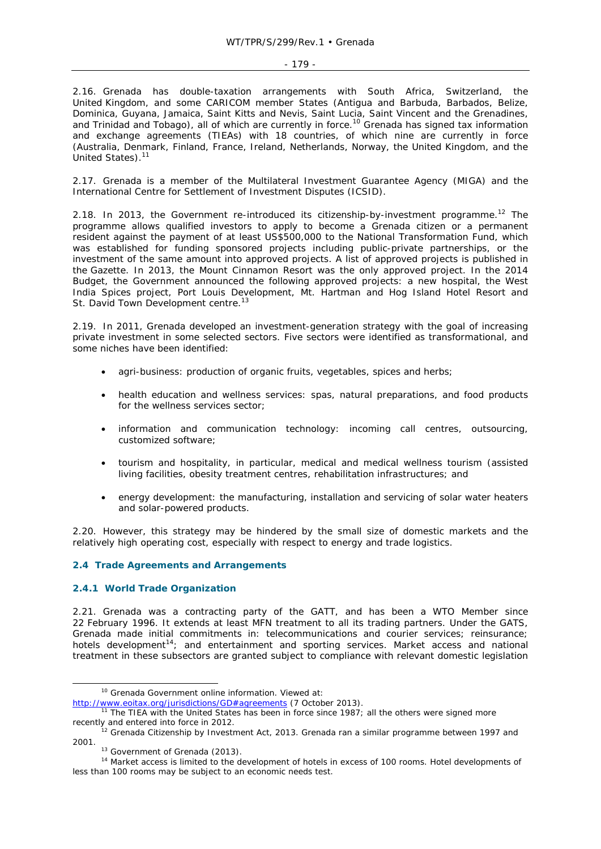2.16. Grenada has double-taxation arrangements with South Africa, Switzerland, the United Kingdom, and some CARICOM member States (Antigua and Barbuda, Barbados, Belize, Dominica, Guyana, Jamaica, Saint Kitts and Nevis, Saint Lucia, Saint Vincent and the Grenadines, and Trinidad and Tobago), all of which are currently in force.<sup>10</sup> Grenada has signed tax information and exchange agreements (TIEAs) with 18 countries, of which nine are currently in force (Australia, Denmark, Finland, France, Ireland, Netherlands, Norway, the United Kingdom, and the United States).<sup>11</sup>

2.17. Grenada is a member of the Multilateral Investment Guarantee Agency (MIGA) and the International Centre for Settlement of Investment Disputes (ICSID).

2.18. In 2013, the Government re-introduced its citizenship-by-investment programme.<sup>12</sup> The programme allows qualified investors to apply to become a Grenada citizen or a permanent resident against the payment of at least US\$500,000 to the National Transformation Fund, which was established for funding sponsored projects including public-private partnerships, or the investment of the same amount into approved projects. A list of approved projects is published in the *Gazette*. In 2013, the Mount Cinnamon Resort was the only approved project. In the 2014 Budget, the Government announced the following approved projects: a new hospital, the West India Spices project, Port Louis Development, Mt. Hartman and Hog Island Hotel Resort and St. David Town Development centre.<sup>13</sup>

2.19. In 2011, Grenada developed an investment-generation strategy with the goal of increasing private investment in some selected sectors. Five sectors were identified as transformational, and some niches have been identified:

- agri-business: production of organic fruits, vegetables, spices and herbs;
- health education and wellness services: spas, natural preparations, and food products for the wellness services sector;
- information and communication technology: incoming call centres, outsourcing, customized software;
- tourism and hospitality, in particular, medical and medical wellness tourism (assisted living facilities, obesity treatment centres, rehabilitation infrastructures; and
- energy development: the manufacturing, installation and servicing of solar water heaters and solar-powered products.

2.20. However, this strategy may be hindered by the small size of domestic markets and the relatively high operating cost, especially with respect to energy and trade logistics.

# **2.4 Trade Agreements and Arrangements**

# **2.4.1 World Trade Organization**

2.21. Grenada was a contracting party of the GATT, and has been a WTO Member since 22 February 1996. It extends at least MFN treatment to all its trading partners. Under the GATS, Grenada made initial commitments in: telecommunications and courier services; reinsurance; hotels development<sup>14</sup>; and entertainment and sporting services. Market access and national treatment in these subsectors are granted subject to compliance with relevant domestic legislation

<sup>&</sup>lt;sup>10</sup> Grenada Government online information. Viewed at:

http://www.eoitax.org/jurisdictions/GD#agreements (7 October 2013).<br><sup>11</sup> The TIEA with the United States has been in force since 1987; all the others were signed more<br>recently and entered into force in 2012.

 $2$  Grenada Citizenship by Investment Act, 2013. Grenada ran a similar programme between 1997 and 2001.<br><sup>13</sup> Government of Grenada (2013).<br><sup>14</sup> Market access is limited to the development of hotels in excess of 100 rooms. Hotel developments of

less than 100 rooms may be subject to an economic needs test.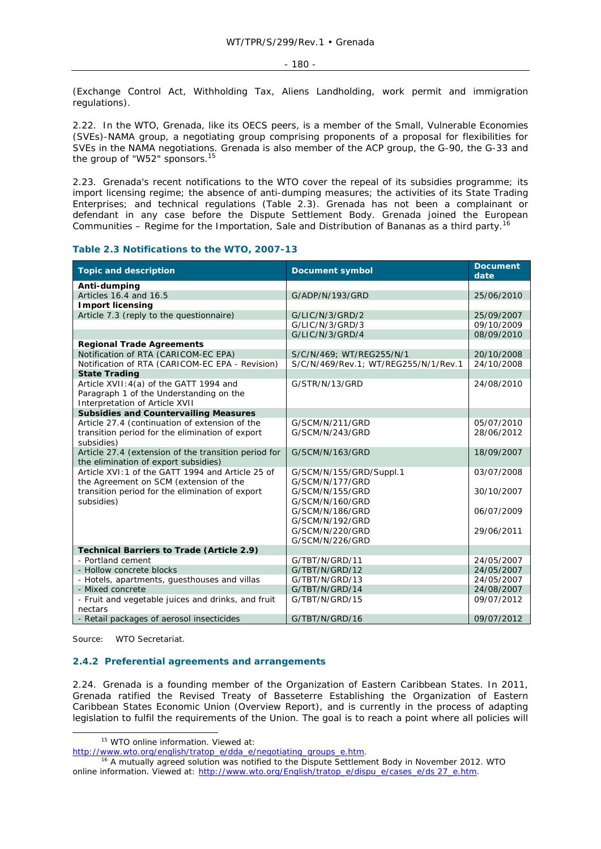(Exchange Control Act, Withholding Tax, Aliens Landholding, work permit and immigration regulations).

2.22. In the WTO, Grenada, like its OECS peers, is a member of the Small, Vulnerable Economies (SVEs)-NAMA group, a negotiating group comprising proponents of a proposal for flexibilities for SVEs in the NAMA negotiations. Grenada is also member of the ACP group, the G-90, the G-33 and the group of "W52" sponsors.<sup>15</sup>

2.23. Grenada's recent notifications to the WTO cover the repeal of its subsidies programme; its import licensing regime; the absence of anti-dumping measures; the activities of its State Trading Enterprises; and technical regulations (Table 2.3). Grenada has not been a complainant or defendant in any case before the Dispute Settlement Body. Grenada joined the *European Communities – Regime for the Importation, Sale and Distribution of Bananas* as a third party.16

### **Table 2.3 Notifications to the WTO, 2007-13**

| <b>Topic and description</b>                         | <b>Document symbol</b>               | <b>Document</b><br>date |
|------------------------------------------------------|--------------------------------------|-------------------------|
| Anti-dumping                                         |                                      |                         |
| Articles 16.4 and 16.5                               | G/ADP/N/193/GRD                      | 25/06/2010              |
| <b>Import licensing</b>                              |                                      |                         |
| Article 7.3 (reply to the questionnaire)             | G/LIC/N/3/GRD/2                      | 25/09/2007              |
|                                                      | G/LIC/N/3/GRD/3                      | 09/10/2009              |
|                                                      | G/LIC/N/3/GRD/4                      | 08/09/2010              |
| <b>Regional Trade Agreements</b>                     |                                      |                         |
| Notification of RTA (CARICOM-EC EPA)                 | S/C/N/469; WT/REG255/N/1             | 20/10/2008              |
| Notification of RTA (CARICOM-EC EPA - Revision)      | S/C/N/469/Rev.1: WT/REG255/N/1/Rev.1 | 24/10/2008              |
| <b>State Trading</b>                                 |                                      |                         |
| Article XVII: 4(a) of the GATT 1994 and              | G/STR/N/13/GRD                       | 24/08/2010              |
| Paragraph 1 of the Understanding on the              |                                      |                         |
| Interpretation of Article XVII                       |                                      |                         |
| <b>Subsidies and Countervailing Measures</b>         |                                      |                         |
| Article 27.4 (continuation of extension of the       | G/SCM/N/211/GRD                      | 05/07/2010              |
| transition period for the elimination of export      | G/SCM/N/243/GRD                      | 28/06/2012              |
| subsidies)                                           |                                      |                         |
| Article 27.4 (extension of the transition period for | G/SCM/N/163/GRD                      | 18/09/2007              |
| the elimination of export subsidies)                 |                                      |                         |
| Article XVI: 1 of the GATT 1994 and Article 25 of    | G/SCM/N/155/GRD/Suppl.1              | 03/07/2008              |
| the Agreement on SCM (extension of the               | G/SCM/N/177/GRD                      |                         |
| transition period for the elimination of export      | G/SCM/N/155/GRD                      | 30/10/2007              |
| subsidies)                                           | G/SCM/N/160/GRD                      |                         |
|                                                      | G/SCM/N/186/GRD                      | 06/07/2009              |
|                                                      | G/SCM/N/192/GRD                      |                         |
|                                                      | G/SCM/N/220/GRD                      | 29/06/2011              |
|                                                      | G/SCM/N/226/GRD                      |                         |
| <b>Technical Barriers to Trade (Article 2.9)</b>     |                                      |                         |
| - Portland cement                                    | G/TBT/N/GRD/11                       | 24/05/2007              |
| - Hollow concrete blocks                             | G/TBT/N/GRD/12                       | 24/05/2007              |
| - Hotels, apartments, guesthouses and villas         | G/TBT/N/GRD/13                       | 24/05/2007              |
| - Mixed concrete                                     | G/TBT/N/GRD/14                       | 24/08/2007              |
| - Fruit and vegetable juices and drinks, and fruit   | G/TBT/N/GRD/15                       | 09/07/2012              |
| nectars                                              |                                      |                         |
| - Retail packages of aerosol insecticides            | G/TBT/N/GRD/16                       | 09/07/2012              |

Source: WTO Secretariat.

### **2.4.2 Preferential agreements and arrangements**

2.24. Grenada is a founding member of the Organization of Eastern Caribbean States. In 2011, Grenada ratified the Revised Treaty of Basseterre Establishing the Organization of Eastern Caribbean States Economic Union (Overview Report), and is currently in the process of adapting legislation to fulfil the requirements of the Union. The goal is to reach a point where all policies will

<sup>&</sup>lt;sup>15</sup> WTO online information. Viewed at:

http://www.wto.org/english/tratop\_e/dda\_e/negotiating\_groups\_e.htm.<br><sup>16</sup> A mutually agreed solution was notified to the Dispute Settlement Body in November 2012. WTO online information. Viewed at: http://www.wto.org/English/tratop\_e/dispu\_e/cases\_e/ds 27\_e.htm.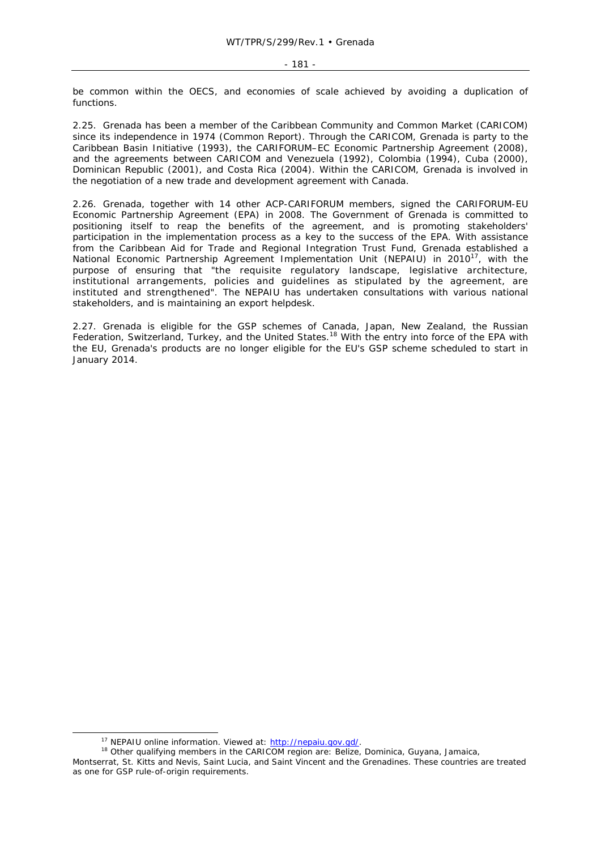be common within the OECS, and economies of scale achieved by avoiding a duplication of functions.

2.25. Grenada has been a member of the Caribbean Community and Common Market (CARICOM) since its independence in 1974 (Common Report). Through the CARICOM, Grenada is party to the Caribbean Basin Initiative (1993), the CARIFORUM–EC Economic Partnership Agreement (2008), and the agreements between CARICOM and Venezuela (1992), Colombia (1994), Cuba (2000), Dominican Republic (2001), and Costa Rica (2004). Within the CARICOM, Grenada is involved in the negotiation of a new trade and development agreement with Canada.

2.26. Grenada, together with 14 other ACP-CARIFORUM members, signed the CARIFORUM-EU Economic Partnership Agreement (EPA) in 2008. The Government of Grenada is committed to positioning itself to reap the benefits of the agreement, and is promoting stakeholders' participation in the implementation process as a key to the success of the EPA. With assistance from the Caribbean Aid for Trade and Regional Integration Trust Fund, Grenada established a National Economic Partnership Agreement Implementation Unit (NEPAIU) in 2010<sup>17</sup>, with the purpose of ensuring that "the requisite regulatory landscape, legislative architecture, institutional arrangements, policies and guidelines as stipulated by the agreement, are instituted and strengthened". The NEPAIU has undertaken consultations with various national stakeholders, and is maintaining an export helpdesk.

2.27. Grenada is eligible for the GSP schemes of Canada, Japan, New Zealand, the Russian Federation, Switzerland, Turkey, and the United States.<sup>18</sup> With the entry into force of the EPA with the EU, Grenada's products are no longer eligible for the EU's GSP scheme scheduled to start in January 2014.

<sup>&</sup>lt;sup>17</sup> NEPAIU online information. Viewed at: http://nepaiu.gov.gd/.<br><sup>18</sup> Other qualifying members in the CARICOM region are: Belize, Dominica, Guyana, Jamaica,

Montserrat, St. Kitts and Nevis, Saint Lucia, and Saint Vincent and the Grenadines. These countries are treated

as one for GSP rule-of-origin requirements.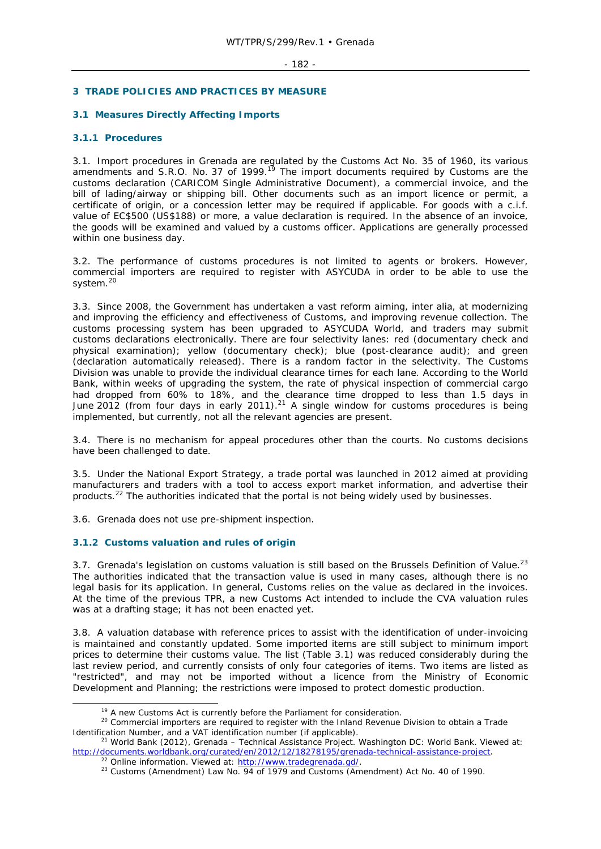# **3 TRADE POLICIES AND PRACTICES BY MEASURE**

# **3.1 Measures Directly Affecting Imports**

### **3.1.1 Procedures**

3.1. Import procedures in Grenada are regulated by the Customs Act No. 35 of 1960, its various amendments and S.R.O. No. 37 of 1999.<sup>19</sup> The import documents required by Customs are the customs declaration (CARICOM Single Administrative Document), a commercial invoice, and the bill of lading/airway or shipping bill. Other documents such as an import licence or permit, a certificate of origin, or a concession letter may be required if applicable. For goods with a c.i.f. value of EC\$500 (US\$188) or more, a value declaration is required. In the absence of an invoice, the goods will be examined and valued by a customs officer. Applications are generally processed within one business day.

3.2. The performance of customs procedures is not limited to agents or brokers. However, commercial importers are required to register with ASYCUDA in order to be able to use the system.<sup>20</sup>

3.3. Since 2008, the Government has undertaken a vast reform aiming, *inter alia*, at modernizing and improving the efficiency and effectiveness of Customs, and improving revenue collection. The customs processing system has been upgraded to ASYCUDA World, and traders may submit customs declarations electronically. There are four selectivity lanes: red (documentary check and physical examination); yellow (documentary check); blue (post-clearance audit); and green (declaration automatically released). There is a random factor in the selectivity. The Customs Division was unable to provide the individual clearance times for each lane. According to the World Bank, within weeks of upgrading the system, the rate of physical inspection of commercial cargo had dropped from 60% to 18%, and the clearance time dropped to less than 1.5 days in June 2012 (from four days in early 2011).<sup>21</sup> A single window for customs procedures is being implemented, but currently, not all the relevant agencies are present.

3.4. There is no mechanism for appeal procedures other than the courts. No customs decisions have been challenged to date.

3.5. Under the National Export Strategy, a trade portal was launched in 2012 aimed at providing manufacturers and traders with a tool to access export market information, and advertise their products.<sup>22</sup> The authorities indicated that the portal is not being widely used by businesses.

3.6. Grenada does not use pre-shipment inspection.

# **3.1.2 Customs valuation and rules of origin**

3.7. Grenada's legislation on customs valuation is still based on the Brussels Definition of Value.<sup>23</sup> The authorities indicated that the transaction value is used in many cases, although there is no legal basis for its application. In general, Customs relies on the value as declared in the invoices. At the time of the previous TPR, a new Customs Act intended to include the CVA valuation rules was at a drafting stage; it has not been enacted yet.

3.8. A valuation database with reference prices to assist with the identification of under-invoicing is maintained and constantly updated. Some imported items are still subject to minimum import prices to determine their customs value. The list (Table 3.1) was reduced considerably during the last review period, and currently consists of only four categories of items. Two items are listed as "restricted", and may not be imported without a licence from the Ministry of Economic Development and Planning; the restrictions were imposed to protect domestic production.

<sup>&</sup>lt;sup>19</sup> A new Customs Act is currently before the Parliament for consideration.<br><sup>20</sup> Commercial importers are required to register with the Inland Revenue Division to obtain a Trade Identification Number, and a VAT identification number (if applicable).<br><sup>21</sup> World Bank (2012), *Grenada – Technical Assistance Project*. Washington DC: World Bank. Viewed at:

http://documents.worldbank.org/curated/en/2012/12/18278195/grenada-technical-assistance-project.<br><sup>22</sup> Online information. Viewed at: http://www.tradegrenada.gd/.<br><sup>23</sup> Customs (Amendment) Law No. 94 of 1979 and Customs (Ame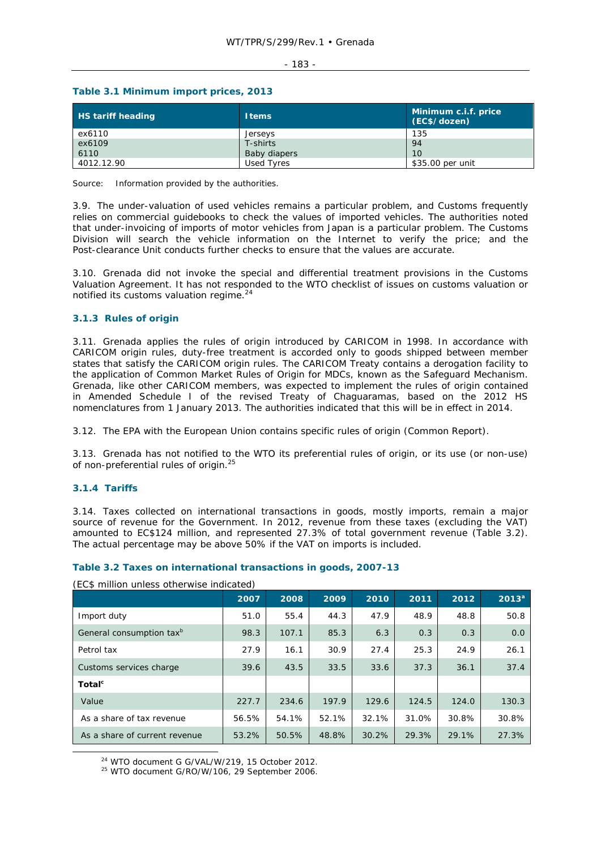#### $-183 -$

# **Table 3.1 Minimum import prices, 2013**

| <b>HS tariff heading</b> | <b>Items</b> | Minimum c.i.f. price<br>(EC\$/dozen) |
|--------------------------|--------------|--------------------------------------|
| ex6110                   | Jerseys      | 135                                  |
| ex6109                   | T-shirts     | 94                                   |
| 6110                     | Baby diapers | 10                                   |
| 4012.12.90               | Used Tyres   | \$35.00 per unit                     |

Source: Information provided by the authorities.

3.9. The under-valuation of used vehicles remains a particular problem, and Customs frequently relies on commercial guidebooks to check the values of imported vehicles. The authorities noted that under-invoicing of imports of motor vehicles from Japan is a particular problem. The Customs Division will search the vehicle information on the Internet to verify the price; and the Post-clearance Unit conducts further checks to ensure that the values are accurate.

3.10. Grenada did not invoke the special and differential treatment provisions in the Customs Valuation Agreement. It has not responded to the WTO checklist of issues on customs valuation or notified its customs valuation regime.<sup>24</sup>

### **3.1.3 Rules of origin**

3.11. Grenada applies the rules of origin introduced by CARICOM in 1998. In accordance with CARICOM origin rules, duty-free treatment is accorded only to goods shipped between member states that satisfy the CARICOM origin rules. The CARICOM Treaty contains a derogation facility to the application of Common Market Rules of Origin for MDCs, known as the Safeguard Mechanism. Grenada, like other CARICOM members, was expected to implement the rules of origin contained in Amended Schedule I of the revised Treaty of Chaguaramas, based on the 2012 HS nomenclatures from 1 January 2013. The authorities indicated that this will be in effect in 2014.

3.12. The EPA with the European Union contains specific rules of origin (Common Report).

3.13. Grenada has not notified to the WTO its preferential rules of origin, or its use (or non-use) of non-preferential rules of origin.25

# **3.1.4 Tariffs**

3.14. Taxes collected on international transactions in goods, mostly imports, remain a major source of revenue for the Government. In 2012, revenue from these taxes (excluding the VAT) amounted to EC\$124 million, and represented 27.3% of total government revenue (Table 3.2). The actual percentage may be above 50% if the VAT on imports is included.

# **Table 3.2 Taxes on international transactions in goods, 2007-13**

|                                      | 2007  | 2008  | 2009  | 2010  | 2011  | 2012  | $2013^a$ |
|--------------------------------------|-------|-------|-------|-------|-------|-------|----------|
| Import duty                          | 51.0  | 55.4  | 44.3  | 47.9  | 48.9  | 48.8  | 50.8     |
| General consumption tax <sup>b</sup> | 98.3  | 107.1 | 85.3  | 6.3   | 0.3   | 0.3   | 0.0      |
| Petrol tax                           | 27.9  | 16.1  | 30.9  | 27.4  | 25.3  | 24.9  | 26.1     |
| Customs services charge              | 39.6  | 43.5  | 33.5  | 33.6  | 37.3  | 36.1  | 37.4     |
| Total <sup>c</sup>                   |       |       |       |       |       |       |          |
| Value                                | 227.7 | 234.6 | 197.9 | 129.6 | 124.5 | 124.0 | 130.3    |
| As a share of tax revenue            | 56.5% | 54.1% | 52.1% | 32.1% | 31.0% | 30.8% | 30.8%    |
| As a share of current revenue        | 53.2% | 50.5% | 48.8% | 30.2% | 29.3% | 29.1% | 27.3%    |

(EC\$ million unless otherwise indicated)

 $^{24}$  WTO document G G/VAL/W/219, 15 October 2012.<br> $^{25}$  WTO document G/RO/W/106, 29 September 2006.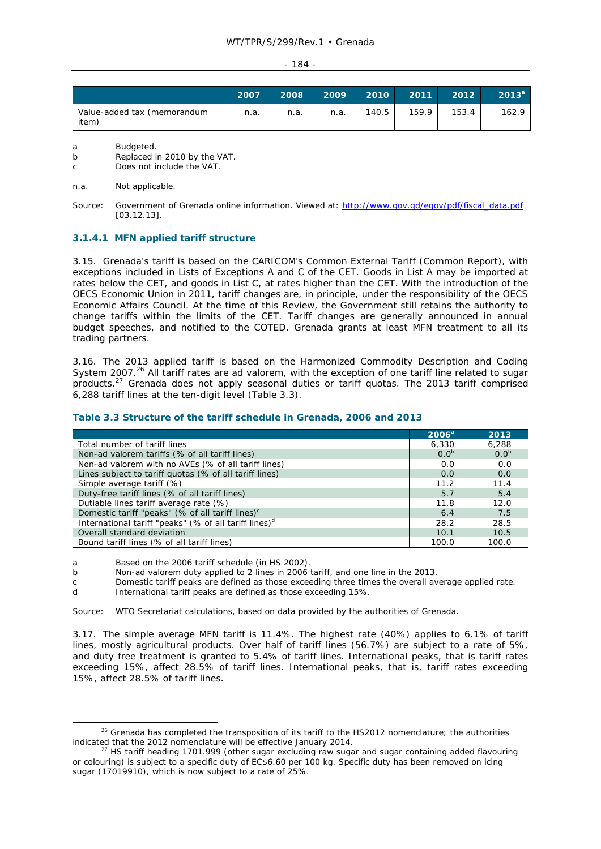#### $-184 -$

|                                      | 2007 | 2008 | 2009 | 2010  | 2011  | 2012  | $2013^{\circ}$ |
|--------------------------------------|------|------|------|-------|-------|-------|----------------|
| Value-added tax (memorandum<br>item) | n.a. | n.a. | n.a. | 140.5 | 159.9 | 153.4 | 162.9          |

a Budgeted.

b Replaced in 2010 by the VAT.

c Does not include the VAT.

#### n.a. Not applicable.

Source: Government of Grenada online information. Viewed at: http://www.gov.gd/egov/pdf/fiscal\_data.pdf [03.12.13].

## **3.1.4.1 MFN applied tariff structure**

3.15. Grenada's tariff is based on the CARICOM's Common External Tariff (Common Report), with exceptions included in Lists of Exceptions A and C of the CET. Goods in List A may be imported at rates below the CET, and goods in List C, at rates higher than the CET. With the introduction of the OECS Economic Union in 2011, tariff changes are, in principle, under the responsibility of the OECS Economic Affairs Council. At the time of this Review, the Government still retains the authority to change tariffs within the limits of the CET. Tariff changes are generally announced in annual budget speeches, and notified to the COTED. Grenada grants at least MFN treatment to all its trading partners.

3.16. The 2013 applied tariff is based on the Harmonized Commodity Description and Coding System 2007.<sup>26</sup> All tariff rates are *ad valorem*, with the exception of one tariff line related to sugar products.27 Grenada does not apply seasonal duties or tariff quotas. The 2013 tariff comprised 6,288 tariff lines at the ten-digit level (Table 3.3).

### **Table 3.3 Structure of the tariff schedule in Grenada, 2006 and 2013**

|                                                                   | 2006 <sup>a</sup> | 2013             |
|-------------------------------------------------------------------|-------------------|------------------|
| Total number of tariff lines                                      | 6,330             | 6,288            |
| Non-ad valorem tariffs (% of all tariff lines)                    | 0.0 <sup>b</sup>  | 0.0 <sup>b</sup> |
| Non-ad valorem with no AVEs (% of all tariff lines)               | 0.0               | 0.0              |
| Lines subject to tariff quotas (% of all tariff lines)            | 0.0               | 0.0              |
| Simple average tariff (%)                                         | 11.2              | 11.4             |
| Duty-free tariff lines (% of all tariff lines)                    | 5.7               | 5.4              |
| Dutiable lines tariff average rate (%)                            | 11.8              | 12.0             |
| Domestic tariff "peaks" (% of all tariff lines) <sup>c</sup>      | 6.4               | 7.5              |
| International tariff "peaks" (% of all tariff lines) <sup>d</sup> | 28.2              | 28.5             |
| Overall standard deviation                                        | 10.1              | 10.5             |
| Bound tariff lines (% of all tariff lines)                        | 100.0             | 100.0            |

a Based on the 2006 tariff schedule (in HS 2002).

b Non-*ad valorem* duty applied to 2 lines in 2006 tariff, and one line in the 2013.

c Domestic tariff peaks are defined as those exceeding three times the overall average applied rate.

d International tariff peaks are defined as those exceeding 15%.

Source: WTO Secretariat calculations, based on data provided by the authorities of Grenada.

3.17. The simple average MFN tariff is 11.4%. The highest rate (40%) applies to 6.1% of tariff lines, mostly agricultural products. Over half of tariff lines (56.7%) are subject to a rate of 5%, and duty free treatment is granted to 5.4% of tariff lines. International peaks, that is tariff rates exceeding 15%, affect 28.5% of tariff lines. International peaks, that is, tariff rates exceeding 15%, affect 28.5% of tariff lines.

<sup>&</sup>lt;sup>26</sup> Grenada has completed the transposition of its tariff to the HS2012 nomenclature; the authorities indicated that the 2012 nomenclature will be effective January 2014.<br><sup>27</sup> HS tariff heading 1701.999 (other sugar excluding raw sugar and sugar containing added flavouring

or colouring) is subject to a specific duty of EC\$6.60 per 100 kg. Specific duty has been removed on icing sugar (17019910), which is now subject to a rate of 25%.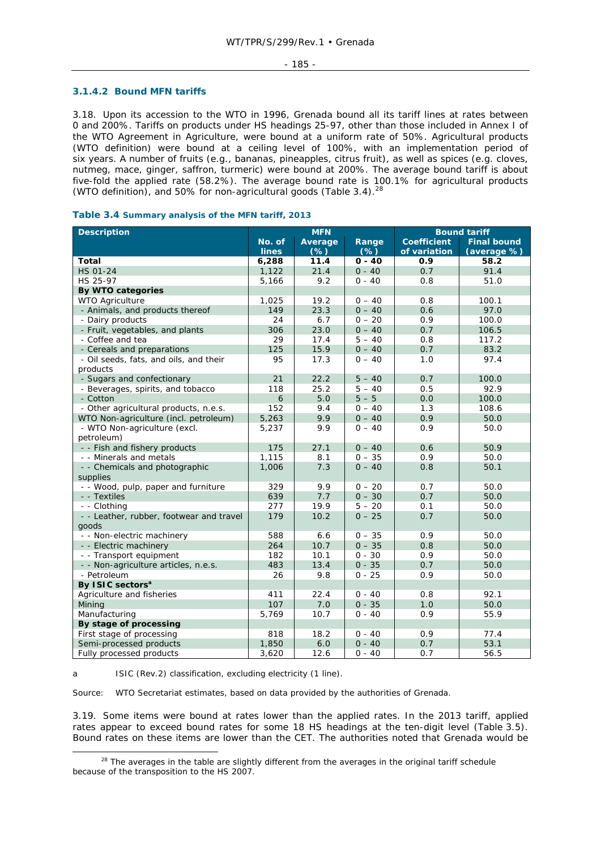#### **3.1.4.2 Bound MFN tariffs**

3.18. Upon its accession to the WTO in 1996, Grenada bound all its tariff lines at rates between 0 and 200%. Tariffs on products under HS headings 25-97, other than those included in Annex I of the WTO Agreement in Agriculture, were bound at a uniform rate of 50%. Agricultural products (WTO definition) were bound at a ceiling level of 100%, with an implementation period of six years. A number of fruits (e.g., bananas, pineapples, citrus fruit), as well as spices (e.g. cloves, nutmeg, mace, ginger, saffron, turmeric) were bound at 200%. The average bound tariff is about five-fold the applied rate (58.2%). The average bound rate is 100.1% for agricultural products (WTO definition), and 50% for non-agricultural goods (Table 3.4).<sup>28</sup>

| Table 3.4 Summary analysis of the MFN tariff, 2013 |  |  |  |  |  |  |
|----------------------------------------------------|--|--|--|--|--|--|
|----------------------------------------------------|--|--|--|--|--|--|

| <b>Description</b>                       |              | <b>MFN</b> |          | <b>Bound tariff</b> |                    |
|------------------------------------------|--------------|------------|----------|---------------------|--------------------|
|                                          | No. of       | Average    | Range    | <b>Coefficient</b>  | <b>Final bound</b> |
|                                          | <b>lines</b> | $(*)$      | $(\%)$   | of variation        | (average %)        |
| <b>Total</b>                             | 6,288        | 11.4       | $0 - 40$ | 0.9                 | 58.2               |
| <b>HS 01-24</b>                          | 1,122        | 21.4       | $0 - 40$ | 0.7                 | 91.4               |
| HS 25-97                                 | 5,166        | 9.2        | $0 - 40$ | 0.8                 | 51.0               |
| <b>By WTO categories</b>                 |              |            |          |                     |                    |
| <b>WTO Agriculture</b>                   | 1,025        | 19.2       | $0 - 40$ | 0.8                 | 100.1              |
| - Animals, and products thereof          | 149          | 23.3       | $0 - 40$ | 0.6                 | 97.0               |
| - Dairy products                         | 24           | 6.7        | $0 - 20$ | 0.9                 | 100.0              |
| - Fruit, vegetables, and plants          | 306          | 23.0       | $0 - 40$ | 0.7                 | 106.5              |
| - Coffee and tea                         | 29           | 17.4       | $5 - 40$ | 0.8                 | 117.2              |
| - Cereals and preparations               | 125          | 15.9       | $0 - 40$ | 0.7                 | 83.2               |
| - Oil seeds, fats, and oils, and their   | 95           | 17.3       | $0 - 40$ | 1.0                 | 97.4               |
| products                                 |              |            |          |                     |                    |
| - Sugars and confectionary               | 21           | 22.2       | $5 - 40$ | 0.7                 | 100.0              |
| - Beverages, spirits, and tobacco        | 118          | 25.2       | $5 - 40$ | 0.5                 | 92.9               |
| - Cotton                                 | 6            | 5.0        | $5 - 5$  | 0.0                 | 100.0              |
| - Other agricultural products, n.e.s.    | 152          | 9.4        | $0 - 40$ | 1.3                 | 108.6              |
| WTO Non-agriculture (incl. petroleum)    | 5,263        | 9.9        | $0 - 40$ | 0.9                 | 50.0               |
| - WTO Non-agriculture (excl.             | 5,237        | 9.9        | $0 - 40$ | 0.9                 | 50.0               |
| petroleum)                               |              |            |          |                     |                    |
| - - Fish and fishery products            | 175          | 27.1       | $0 - 40$ | 0.6                 | 50.9               |
| - - Minerals and metals                  | 1,115        | 8.1        | $0 - 35$ | 0.9                 | 50.0               |
| - - Chemicals and photographic           | 1,006        | 7.3        | $0 - 40$ | 0.8                 | 50.1               |
| supplies                                 |              |            |          |                     |                    |
| - - Wood, pulp, paper and furniture      | 329          | 9.9        | $0 - 20$ | 0.7                 | 50.0               |
| - - Textiles                             | 639          | 7.7        | $0 - 30$ | 0.7                 | 50.0               |
| - - Clothing                             | 277          | 19.9       | $5 - 20$ | 0.1                 | 50.0               |
| - - Leather, rubber, footwear and travel | 179          | 10.2       | $0 - 25$ | 0.7                 | 50.0               |
| goods                                    |              |            |          |                     |                    |
| - - Non-electric machinery               | 588          | 6.6        | $0 - 35$ | 0.9                 | 50.0               |
| - - Electric machinery                   | 264          | 10.7       | $0 - 35$ | 0.8                 | 50.0               |
| - - Transport equipment                  | 182          | 10.1       | $0 - 30$ | 0.9                 | 50.0               |
| - - Non-agriculture articles, n.e.s.     | 483          | 13.4       | $0 - 35$ | 0.7                 | 50.0               |
| - Petroleum                              | 26           | 9.8        | $0 - 25$ | 0.9                 | 50.0               |
| By ISIC sectors <sup>a</sup>             |              |            |          |                     |                    |
| Agriculture and fisheries                | 411          | 22.4       | $0 - 40$ | 0.8                 | 92.1               |
| Mining                                   | 107          | 7.0        | $0 - 35$ | 1.0                 | 50.0               |
| Manufacturing                            | 5,769        | 10.7       | $0 - 40$ | 0.9                 | 55.9               |
| By stage of processing                   |              |            |          |                     |                    |
| First stage of processing                | 818          | 18.2       | $0 - 40$ | 0.9                 | 77.4               |
| Semi-processed products                  | 1,850        | 6.0        | $0 - 40$ | 0.7                 | 53.1               |
| Fully processed products                 | 3,620        | 12.6       | $0 - 40$ | 0.7                 | 56.5               |

a ISIC (Rev.2) classification, excluding electricity (1 line).

Source: WTO Secretariat estimates, based on data provided by the authorities of Grenada.

3.19. Some items were bound at rates lower than the applied rates. In the 2013 tariff, applied rates appear to exceed bound rates for some 18 HS headings at the ten-digit level (Table 3.5). Bound rates on these items are lower than the CET. The authorities noted that Grenada would be

<sup>&</sup>lt;sup>28</sup> The averages in the table are slightly different from the averages in the original tariff schedule because of the transposition to the HS 2007.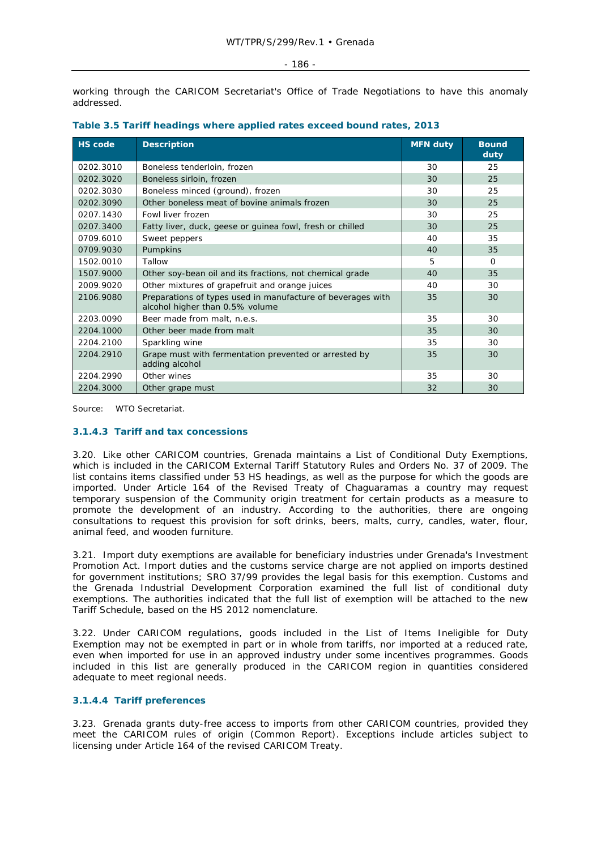working through the CARICOM Secretariat's Office of Trade Negotiations to have this anomaly addressed.

| <b>HS code</b> | <b>Description</b>                                                                             | <b>MFN duty</b> | <b>Bound</b><br>duty |
|----------------|------------------------------------------------------------------------------------------------|-----------------|----------------------|
| 0202.3010      | Boneless tenderloin, frozen                                                                    | 30              | 25                   |
| 0202.3020      | Boneless sirloin, frozen                                                                       | 30              | 25                   |
| 0202.3030      | Boneless minced (ground), frozen                                                               | 30              | 25                   |
| 0202.3090      | Other boneless meat of bovine animals frozen                                                   | 30              | 25                   |
| 0207.1430      | Fowl liver frozen                                                                              | 30              | 25                   |
| 0207.3400      | Fatty liver, duck, geese or guinea fowl, fresh or chilled                                      | 30              | 25                   |
| 0709.6010      | Sweet peppers                                                                                  | 40              | 35                   |
| 0709.9030      | Pumpkins                                                                                       | 40              | 35                   |
| 1502.0010      | Tallow                                                                                         | 5               | $\Omega$             |
| 1507.9000      | Other soy-bean oil and its fractions, not chemical grade                                       | 40              | 35                   |
| 2009.9020      | Other mixtures of grapefruit and orange juices                                                 | 40              | 30                   |
| 2106.9080      | Preparations of types used in manufacture of beverages with<br>alcohol higher than 0.5% volume | 35              | 30                   |
| 2203.0090      | Beer made from malt, n.e.s.                                                                    | 35              | 30                   |
| 2204.1000      | Other beer made from malt                                                                      | 35              | 30                   |
| 2204.2100      | Sparkling wine                                                                                 | 35              | 30                   |
| 2204.2910      | Grape must with fermentation prevented or arrested by<br>adding alcohol                        | 35              | 30                   |
| 2204.2990      | Other wines                                                                                    | 35              | 30                   |
| 2204.3000      | Other grape must                                                                               | 32              | 30                   |

|  |  | Table 3.5 Tariff headings where applied rates exceed bound rates, 2013 |  |
|--|--|------------------------------------------------------------------------|--|
|--|--|------------------------------------------------------------------------|--|

Source: WTO Secretariat.

# **3.1.4.3 Tariff and tax concessions**

3.20. Like other CARICOM countries, Grenada maintains a List of Conditional Duty Exemptions, which is included in the CARICOM External Tariff Statutory Rules and Orders No. 37 of 2009. The list contains items classified under 53 HS headings, as well as the purpose for which the goods are imported. Under Article 164 of the Revised Treaty of Chaguaramas a country may request temporary suspension of the Community origin treatment for certain products as a measure to promote the development of an industry. According to the authorities, there are ongoing consultations to request this provision for soft drinks, beers, malts, curry, candles, water, flour, animal feed, and wooden furniture.

3.21. Import duty exemptions are available for beneficiary industries under Grenada's Investment Promotion Act. Import duties and the customs service charge are not applied on imports destined for government institutions; SRO 37/99 provides the legal basis for this exemption. Customs and the Grenada Industrial Development Corporation examined the full list of conditional duty exemptions. The authorities indicated that the full list of exemption will be attached to the new Tariff Schedule, based on the HS 2012 nomenclature.

3.22. Under CARICOM regulations, goods included in the List of Items Ineligible for Duty Exemption may not be exempted in part or in whole from tariffs, nor imported at a reduced rate, even when imported for use in an approved industry under some incentives programmes. Goods included in this list are generally produced in the CARICOM region in quantities considered adequate to meet regional needs.

# **3.1.4.4 Tariff preferences**

3.23. Grenada grants duty-free access to imports from other CARICOM countries, provided they meet the CARICOM rules of origin (Common Report). Exceptions include articles subject to licensing under Article 164 of the revised CARICOM Treaty.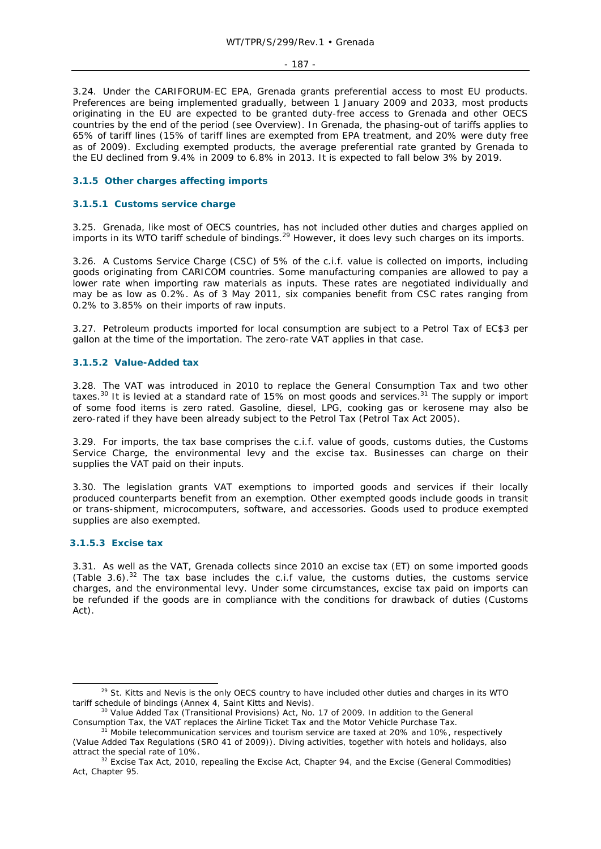- 187 -

3.24. Under the CARIFORUM-EC EPA, Grenada grants preferential access to most EU products. Preferences are being implemented gradually, between 1 January 2009 and 2033, most products originating in the EU are expected to be granted duty-free access to Grenada and other OECS countries by the end of the period (see Overview). In Grenada, the phasing-out of tariffs applies to 65% of tariff lines (15% of tariff lines are exempted from EPA treatment, and 20% were duty free as of 2009). Excluding exempted products, the average preferential rate granted by Grenada to the EU declined from 9.4% in 2009 to 6.8% in 2013. It is expected to fall below 3% by 2019.

# **3.1.5 Other charges affecting imports**

# **3.1.5.1 Customs service charge**

3.25. Grenada, like most of OECS countries, has not included other duties and charges applied on imports in its WTO tariff schedule of bindings.29 However, it does levy such charges on its imports.

3.26. A Customs Service Charge (CSC) of 5% of the c.i.f. value is collected on imports, including goods originating from CARICOM countries. Some manufacturing companies are allowed to pay a lower rate when importing raw materials as inputs. These rates are negotiated individually and may be as low as 0.2%. As of 3 May 2011, six companies benefit from CSC rates ranging from 0.2% to 3.85% on their imports of raw inputs.

3.27. Petroleum products imported for local consumption are subject to a Petrol Tax of EC\$3 per gallon at the time of the importation. The zero-rate VAT applies in that case.

## **3.1.5.2 Value-Added tax**

3.28. The VAT was introduced in 2010 to replace the General Consumption Tax and two other taxes.<sup>30</sup> It is levied at a standard rate of 15% on most goods and services.<sup>31</sup> The supply or import of some food items is zero rated. Gasoline, diesel, LPG, cooking gas or kerosene may also be zero-rated if they have been already subject to the Petrol Tax (Petrol Tax Act 2005).

3.29. For imports, the tax base comprises the c.i.f. value of goods, customs duties, the Customs Service Charge, the environmental levy and the excise tax. Businesses can charge on their supplies the VAT paid on their inputs.

3.30. The legislation grants VAT exemptions to imported goods and services if their locally produced counterparts benefit from an exemption. Other exempted goods include goods in transit or trans-shipment, microcomputers, software, and accessories. Goods used to produce exempted supplies are also exempted.

### **3.1.5.3 Excise tax**

3.31. As well as the VAT, Grenada collects since 2010 an excise tax (ET) on some imported goods (Table 3.6).<sup>32</sup> The tax base includes the c.i.f value, the customs duties, the customs service charges, and the environmental levy. Under some circumstances, excise tax paid on imports can be refunded if the goods are in compliance with the conditions for drawback of duties (Customs Act).

<sup>&</sup>lt;sup>29</sup> St. Kitts and Nevis is the only OECS country to have included other duties and charges in its WTO tariff schedule of bindings (Annex 4, Saint Kitts and Nevis).

<sup>&</sup>lt;sup>30</sup> Value Added Tax (Transitional Provisions) Act, No. 17 of 2009. In addition to the General Consumption Tax, the VAT replaces the Airline Ticket Tax and the Motor Vehicle Purchase Tax.

 $\overline{C}$ <sup>i</sup> Mobile telecommunication services and tourism service are taxed at 20% and 10%, respectively (Value Added Tax Regulations (SRO 41 of 2009)). Diving activities, together with hotels and holidays, also

attract the special rate of 10%.<br><sup>32</sup> Excise Tax Act, 2010, repealing the Excise Act, Chapter 94, and the Excise (General Commodities) Act, Chapter 95.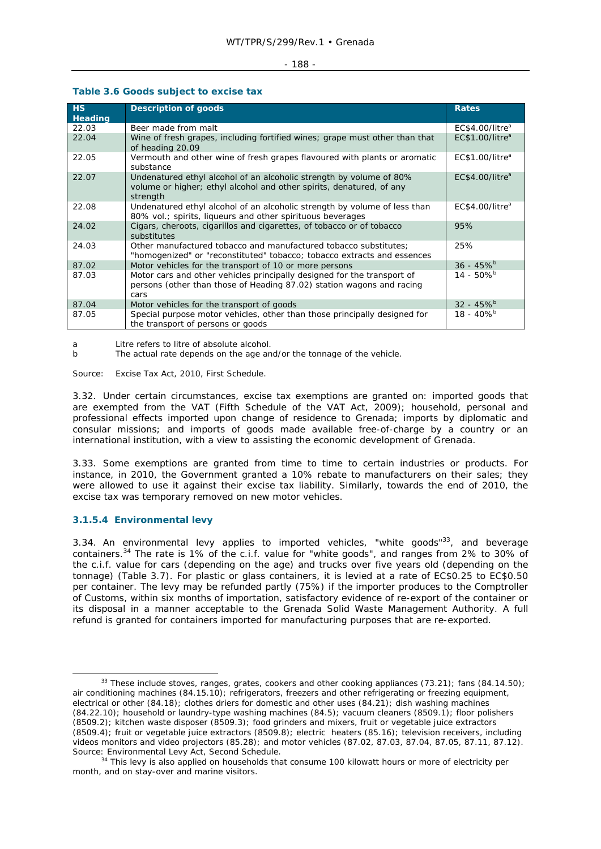#### - 188 -

# **Table 3.6 Goods subject to excise tax**

| H <sub>S</sub><br>Heading | <b>Description of goods</b>                                                                                                                              | <b>Rates</b>                |
|---------------------------|----------------------------------------------------------------------------------------------------------------------------------------------------------|-----------------------------|
| 22.03                     | Beer made from malt                                                                                                                                      | EC\$4.00/litre <sup>a</sup> |
| 22.04                     | Wine of fresh grapes, including fortified wines; grape must other than that<br>of heading 20.09                                                          | EC\$1.00/litre <sup>a</sup> |
| 22.05                     | Vermouth and other wine of fresh grapes flavoured with plants or aromatic<br>substance                                                                   | EC\$1.00/litre <sup>a</sup> |
| 22.07                     | Undenatured ethyl alcohol of an alcoholic strength by volume of 80%<br>volume or higher; ethyl alcohol and other spirits, denatured, of any<br>strength  | EC\$4.00/litre <sup>a</sup> |
| 22.08                     | Undenatured ethyl alcohol of an alcoholic strength by volume of less than<br>80% vol.; spirits, liqueurs and other spirituous beverages                  | EC\$4.00/litre <sup>a</sup> |
| 24.02                     | Cigars, cheroots, cigarillos and cigarettes, of tobacco or of tobacco<br>substitutes                                                                     | 95%                         |
| 24.03                     | Other manufactured tobacco and manufactured tobacco substitutes:<br>"homogenized" or "reconstituted" tobacco; tobacco extracts and essences              | 25%                         |
| 87.02                     | Motor vehicles for the transport of 10 or more persons                                                                                                   | $36 - 45\%$ <sup>b</sup>    |
| 87.03                     | Motor cars and other vehicles principally designed for the transport of<br>persons (other than those of Heading 87.02) station wagons and racing<br>cars | $14 - 50\%$ <sup>b</sup>    |
| 87.04                     | Motor vehicles for the transport of goods                                                                                                                | $32 - 45\%$ <sup>b</sup>    |
| 87.05                     | Special purpose motor vehicles, other than those principally designed for<br>the transport of persons or goods                                           | $18 - 40\%$ <sup>b</sup>    |

a Litre refers to litre of absolute alcohol.

b The actual rate depends on the age and/or the tonnage of the vehicle.

Source: Excise Tax Act, 2010, First Schedule.

3.32. Under certain circumstances, excise tax exemptions are granted on: imported goods that are exempted from the VAT (Fifth Schedule of the VAT Act, 2009); household, personal and professional effects imported upon change of residence to Grenada; imports by diplomatic and consular missions; and imports of goods made available free-of-charge by a country or an international institution, with a view to assisting the economic development of Grenada.

3.33. Some exemptions are granted from time to time to certain industries or products. For instance, in 2010, the Government granted a 10% rebate to manufacturers on their sales; they were allowed to use it against their excise tax liability. Similarly, towards the end of 2010, the excise tax was temporary removed on new motor vehicles.

# **3.1.5.4 Environmental levy**

3.34. An environmental levy applies to imported vehicles, "white goods"<sup>33</sup>, and beverage containers.<sup>34</sup> The rate is 1% of the c.i.f. value for "white goods", and ranges from 2% to 30% of the c.i.f. value for cars (depending on the age) and trucks over five years old (depending on the tonnage) (Table 3.7). For plastic or glass containers, it is levied at a rate of EC\$0.25 to EC\$0.50 per container. The levy may be refunded partly (75%) if the importer produces to the Comptroller of Customs, within six months of importation, satisfactory evidence of re-export of the container or its disposal in a manner acceptable to the Grenada Solid Waste Management Authority. A full refund is granted for containers imported for manufacturing purposes that are re-exported.

 $33$  These include stoves, ranges, grates, cookers and other cooking appliances (73.21); fans (84.14.50); air conditioning machines (84.15.10); refrigerators, freezers and other refrigerating or freezing equipment, electrical or other (84.18); clothes driers for domestic and other uses (84.21); dish washing machines (84.22.10); household or laundry-type washing machines (84.5); vacuum cleaners (8509.1); floor polishers (8509.2); kitchen waste disposer (8509.3); food grinders and mixers, fruit or vegetable juice extractors (8509.4); fruit or vegetable juice extractors (8509.8); electric heaters (85.16); television receivers, including videos monitors and video projectors (85.28); and motor vehicles (87.02, 87.03, 87.04, 87.05, 87.11, 87.12). Source: Environmental Levy Act, Second Schedule.<br><sup>34</sup> This levy is also applied on households that consume 100 kilowatt hours or more of electricity per

month, and on stay-over and marine visitors.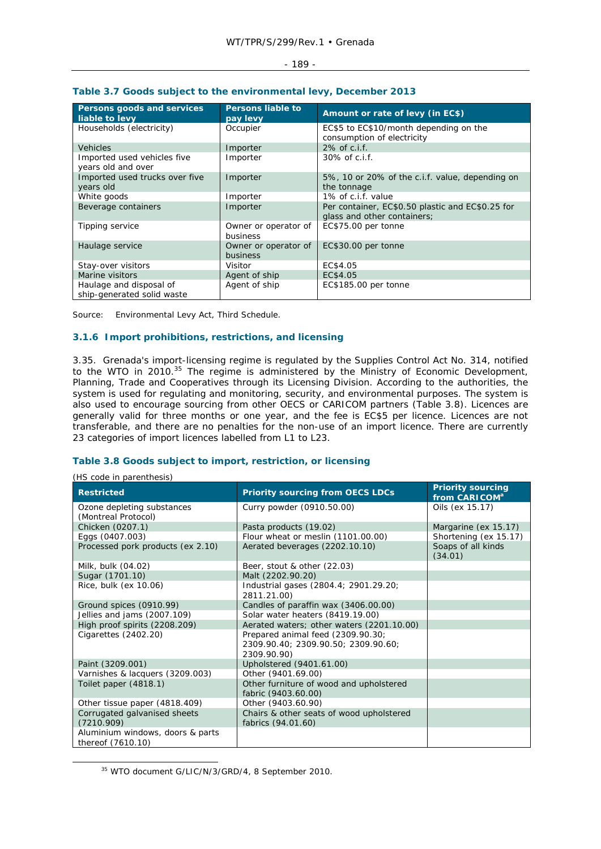#### - 189 -

| Persons goods and services<br>liable to levy          | <b>Persons liable to</b><br>pay levy | Amount or rate of levy (in EC\$)                                                |
|-------------------------------------------------------|--------------------------------------|---------------------------------------------------------------------------------|
| Households (electricity)                              | Occupier                             | EC\$5 to EC\$10/month depending on the<br>consumption of electricity            |
| <b>Vehicles</b>                                       | Importer                             | 2% of c.i.f.                                                                    |
| Imported used vehicles five<br>years old and over     | Importer                             | 30% of c.i.f.                                                                   |
| Imported used trucks over five<br>years old           | Importer                             | 5%, 10 or 20% of the c.i.f. value, depending on<br>the tonnage                  |
| White goods                                           | Importer                             | 1% of c.i.f. value                                                              |
| Beverage containers                                   | Importer                             | Per container, EC\$0.50 plastic and EC\$0.25 for<br>glass and other containers; |
| Tipping service                                       | Owner or operator of<br>business     | EC\$75.00 per tonne                                                             |
| Haulage service                                       | Owner or operator of<br>business     | EC\$30.00 per tonne                                                             |
| Stay-over visitors                                    | Visitor                              | EC\$4.05                                                                        |
| Marine visitors                                       | Agent of ship                        | EC\$4.05                                                                        |
| Haulage and disposal of<br>ship-generated solid waste | Agent of ship                        | EC\$185.00 per tonne                                                            |

# **Table 3.7 Goods subject to the environmental levy, December 2013**

Source: Environmental Levy Act, Third Schedule.

# **3.1.6 Import prohibitions, restrictions, and licensing**

3.35. Grenada's import-licensing regime is regulated by the Supplies Control Act No. 314, notified to the WTO in 2010.<sup>35</sup> The regime is administered by the Ministry of Economic Development, Planning, Trade and Cooperatives through its Licensing Division. According to the authorities, the system is used for regulating and monitoring, security, and environmental purposes. The system is also used to encourage sourcing from other OECS or CARICOM partners (Table 3.8). Licences are generally valid for three months or one year, and the fee is EC\$5 per licence. Licences are not transferable, and there are no penalties for the non-use of an import licence. There are currently 23 categories of import licences labelled from L1 to L23.

# **Table 3.8 Goods subject to import, restriction, or licensing**

| (HS code in parenthesis)                              |                                                                                         |                                                       |
|-------------------------------------------------------|-----------------------------------------------------------------------------------------|-------------------------------------------------------|
| <b>Restricted</b>                                     | <b>Priority sourcing from OECS LDCs</b>                                                 | <b>Priority sourcing</b><br>from CARICOM <sup>a</sup> |
| Ozone depleting substances<br>(Montreal Protocol)     | Curry powder (0910.50.00)                                                               | Oils (ex 15.17)                                       |
| Chicken (0207.1)                                      | Pasta products (19.02)                                                                  | Margarine (ex 15.17)                                  |
| Eggs (0407.003)                                       | Flour wheat or meslin (1101.00.00)                                                      | Shortening (ex 15.17)                                 |
| Processed pork products (ex 2.10)                     | Aerated beverages (2202.10.10)                                                          | Soaps of all kinds<br>(34.01)                         |
| Milk, bulk (04.02)                                    | Beer, stout & other (22.03)                                                             |                                                       |
| Sugar (1701.10)                                       | Malt (2202.90.20)                                                                       |                                                       |
| Rice, bulk (ex 10.06)                                 | Industrial gases (2804.4; 2901.29.20;<br>2811.21.00)                                    |                                                       |
| Ground spices (0910.99)                               | Candles of paraffin wax (3406.00.00)                                                    |                                                       |
| Jellies and jams (2007.109)                           | Solar water heaters (8419.19.00)                                                        |                                                       |
| High proof spirits (2208.209)                         | Aerated waters; other waters (2201.10.00)                                               |                                                       |
| Cigarettes (2402.20)                                  | Prepared animal feed (2309.90.30;<br>2309.90.40; 2309.90.50; 2309.90.60;<br>2309.90.90) |                                                       |
| Paint (3209.001)                                      | Upholstered (9401.61.00)                                                                |                                                       |
| Varnishes & lacquers (3209.003)                       | Other (9401.69.00)                                                                      |                                                       |
| Toilet paper (4818.1)                                 | Other furniture of wood and upholstered<br>fabric (9403.60.00)                          |                                                       |
| Other tissue paper (4818.409)                         | Other (9403.60.90)                                                                      |                                                       |
| Corrugated galvanised sheets<br>(7210.909)            | Chairs & other seats of wood upholstered<br>fabrics (94.01.60)                          |                                                       |
| Aluminium windows, doors & parts<br>thereof (7610.10) |                                                                                         |                                                       |

35 WTO document G/LIC/N/3/GRD/4, 8 September 2010.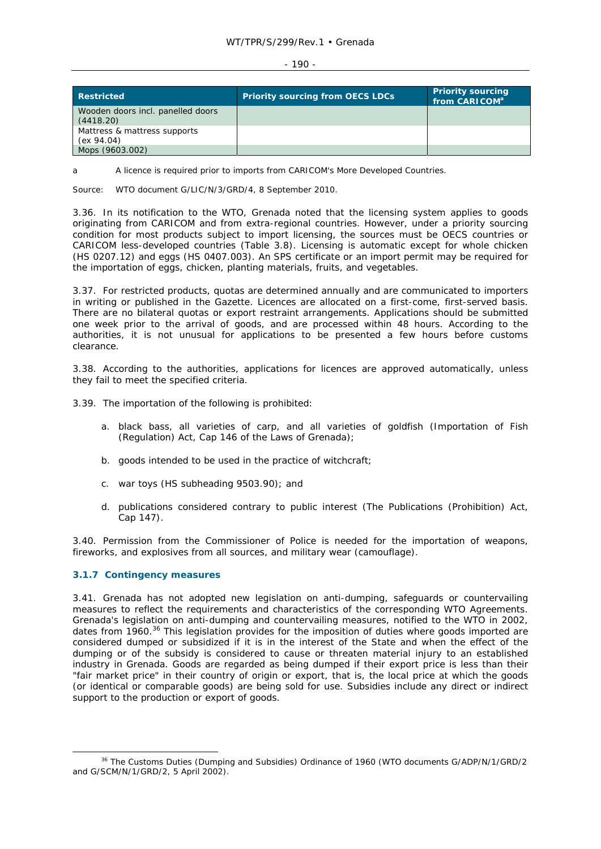#### WT/TPR/S/299/Rev.1 • Grenada

#### $-190 -$

| <b>Restricted</b>                              | <b>Priority sourcing from OECS LDCs</b> | <b>Priority sourcing</b><br>from CARICOM <sup>a</sup> |
|------------------------------------------------|-----------------------------------------|-------------------------------------------------------|
| Wooden doors incl. panelled doors<br>(4418.20) |                                         |                                                       |
| Mattress & mattress supports<br>(ex 94.04)     |                                         |                                                       |
| Mops (9603.002)                                |                                         |                                                       |

a A licence is required prior to imports from CARICOM's More Developed Countries.

Source: WTO document G/LIC/N/3/GRD/4, 8 September 2010.

3.36. In its notification to the WTO, Grenada noted that the licensing system applies to goods originating from CARICOM and from extra-regional countries. However, under a priority sourcing condition for most products subject to import licensing, the sources must be OECS countries or CARICOM less-developed countries (Table 3.8). Licensing is automatic except for whole chicken (HS 0207.12) and eggs (HS 0407.003). An SPS certificate or an import permit may be required for the importation of eggs, chicken, planting materials, fruits, and vegetables.

3.37. For restricted products, quotas are determined annually and are communicated to importers in writing or published in the *Gazette*. Licences are allocated on a first-come, first-served basis. There are no bilateral quotas or export restraint arrangements. Applications should be submitted one week prior to the arrival of goods, and are processed within 48 hours. According to the authorities, it is not unusual for applications to be presented a few hours before customs clearance.

3.38. According to the authorities, applications for licences are approved automatically, unless they fail to meet the specified criteria.

3.39. The importation of the following is prohibited:

- a. black bass, all varieties of carp, and all varieties of goldfish (Importation of Fish (Regulation) Act, Cap 146 of the Laws of Grenada);
- b. goods intended to be used in the practice of witchcraft;
- c. war toys (HS subheading 9503.90); and
- d. publications considered contrary to public interest (The Publications (Prohibition) Act, Cap 147).

3.40. Permission from the Commissioner of Police is needed for the importation of weapons, fireworks, and explosives from all sources, and military wear (camouflage).

### **3.1.7 Contingency measures**

3.41. Grenada has not adopted new legislation on anti-dumping, safeguards or countervailing measures to reflect the requirements and characteristics of the corresponding WTO Agreements. Grenada's legislation on anti-dumping and countervailing measures, notified to the WTO in 2002, dates from 1960.<sup>36</sup> This legislation provides for the imposition of duties where goods imported are considered dumped or subsidized if it is in the interest of the State and when the effect of the dumping or of the subsidy is considered to cause or threaten material injury to an established industry in Grenada. Goods are regarded as being dumped if their export price is less than their "fair market price" in their country of origin or export, that is, the local price at which the goods (or identical or comparable goods) are being sold for use. Subsidies include any direct or indirect support to the production or export of goods.

<sup>&</sup>lt;sup>36</sup> The Customs Duties (Dumping and Subsidies) Ordinance of 1960 (WTO documents G/ADP/N/1/GRD/2 and G/SCM/N/1/GRD/2, 5 April 2002).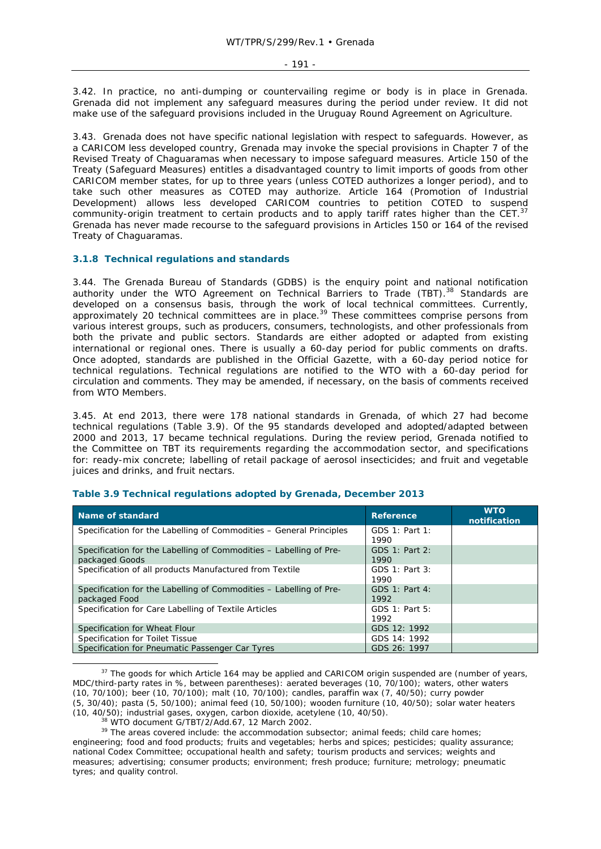3.42. In practice, no anti-dumping or countervailing regime or body is in place in Grenada. Grenada did not implement any safeguard measures during the period under review. It did not make use of the safeguard provisions included in the Uruguay Round Agreement on Agriculture.

3.43. Grenada does not have specific national legislation with respect to safeguards. However, as a CARICOM less developed country, Grenada may invoke the special provisions in Chapter 7 of the Revised Treaty of Chaguaramas when necessary to impose safeguard measures. Article 150 of the Treaty (Safeguard Measures) entitles a disadvantaged country to limit imports of goods from other CARICOM member states, for up to three years (unless COTED authorizes a longer period), and to take such other measures as COTED may authorize. Article 164 (Promotion of Industrial Development) allows less developed CARICOM countries to petition COTED to suspend community-origin treatment to certain products and to apply tariff rates higher than the CET.<sup>37</sup> Grenada has never made recourse to the safeguard provisions in Articles 150 or 164 of the revised Treaty of Chaguaramas.

### **3.1.8 Technical regulations and standards**

3.44. The Grenada Bureau of Standards (GDBS) is the enquiry point and national notification authority under the WTO Agreement on Technical Barriers to Trade (TBT).<sup>38</sup> Standards are developed on a consensus basis, through the work of local technical committees. Currently, approximately 20 technical committees are in place.<sup>39</sup> These committees comprise persons from various interest groups, such as producers, consumers, technologists, and other professionals from both the private and public sectors. Standards are either adopted or adapted from existing international or regional ones. There is usually a 60-day period for public comments on drafts. Once adopted, standards are published in the *Official Gazette*, with a 60-day period notice for technical regulations. Technical regulations are notified to the WTO with a 60-day period for circulation and comments. They may be amended, if necessary, on the basis of comments received from WTO Members.

3.45. At end 2013, there were 178 national standards in Grenada, of which 27 had become technical regulations (Table 3.9). Of the 95 standards developed and adopted/adapted between 2000 and 2013, 17 became technical regulations. During the review period, Grenada notified to the Committee on TBT its requirements regarding the accommodation sector, and specifications for: ready-mix concrete; labelling of retail package of aerosol insecticides; and fruit and vegetable juices and drinks, and fruit nectars.

| Name of standard                                                                     | <b>Reference</b>       | <b>WTO</b><br>notification |
|--------------------------------------------------------------------------------------|------------------------|----------------------------|
| Specification for the Labelling of Commodities - General Principles                  | GDS 1: Part 1:<br>1990 |                            |
| Specification for the Labelling of Commodities – Labelling of Pre-<br>packaged Goods | GDS 1: Part 2:<br>1990 |                            |
| Specification of all products Manufactured from Textile                              | GDS 1: Part 3:<br>1990 |                            |
| Specification for the Labelling of Commodities – Labelling of Pre-<br>packaged Food  | GDS 1: Part 4:<br>1992 |                            |
| Specification for Care Labelling of Textile Articles                                 | GDS 1: Part 5:<br>1992 |                            |
| Specification for Wheat Flour                                                        | GDS 12: 1992           |                            |
| Specification for Toilet Tissue                                                      | GDS 14: 1992           |                            |
| Specification for Pneumatic Passenger Car Tyres                                      | GDS 26: 1997           |                            |

#### **Table 3.9 Technical regulations adopted by Grenada, December 2013**

 $37$  The goods for which Article 164 may be applied and CARICOM origin suspended are (number of years, MDC/third-party rates in %, between parentheses): aerated beverages (10, 70/100); waters, other waters (10, 70/100); beer (10, 70/100); malt (10, 70/100); candles, paraffin wax (7, 40/50); curry powder (5, 30/40); pasta (5, 50/100); animal feed (10, 50/100); wooden furniture (10, 40/50); solar water heaters (10, 40/50); industrial gases, oxygen, carbon dioxide, acetylene (10, 40/50). 38 WTO document G/TBT/2/Add.67, 12 March 2002. 39 The areas covered include: the accommodation subsector; animal feeds; child care homes;

engineering; food and food products; fruits and vegetables; herbs and spices; pesticides; quality assurance; national Codex Committee; occupational health and safety; tourism products and services; weights and measures; advertising; consumer products; environment; fresh produce; furniture; metrology; pneumatic tyres; and quality control.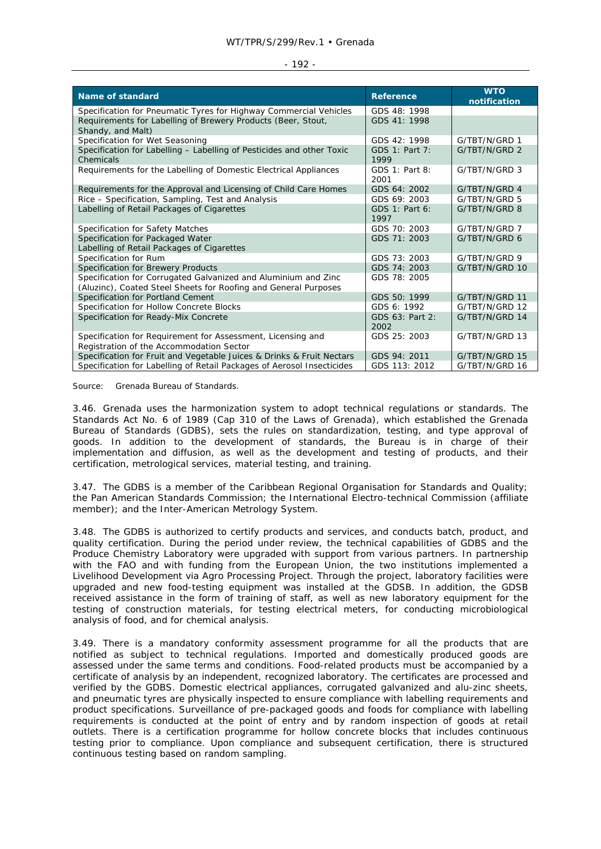| <b>Name of standard</b>                                                | <b>Reference</b> | <b>WTO</b><br>notification |
|------------------------------------------------------------------------|------------------|----------------------------|
| Specification for Pneumatic Tyres for Highway Commercial Vehicles      | GDS 48: 1998     |                            |
| Requirements for Labelling of Brewery Products (Beer, Stout,           | GDS 41: 1998     |                            |
| Shandy, and Malt)                                                      |                  |                            |
| Specification for Wet Seasoning                                        | GDS 42: 1998     | G/TBT/N/GRD 1              |
| Specification for Labelling - Labelling of Pesticides and other Toxic  | GDS 1: Part 7:   | G/TBT/N/GRD 2              |
| Chemicals                                                              | 1999             |                            |
| Requirements for the Labelling of Domestic Electrical Appliances       | GDS 1: Part 8:   | G/TBT/N/GRD 3              |
|                                                                        | 2001             |                            |
| Requirements for the Approval and Licensing of Child Care Homes        | GDS 64: 2002     | G/TBT/N/GRD 4              |
| Rice - Specification, Sampling, Test and Analysis                      | GDS 69: 2003     | G/TBT/N/GRD 5              |
| Labelling of Retail Packages of Cigarettes                             | GDS 1: Part 6:   | G/TBT/N/GRD 8              |
|                                                                        | 1997             |                            |
| Specification for Safety Matches                                       | GDS 70: 2003     | G/TBT/N/GRD 7              |
| Specification for Packaged Water                                       | GDS 71: 2003     | G/TBT/N/GRD 6              |
| Labelling of Retail Packages of Cigarettes                             |                  |                            |
| Specification for Rum                                                  | GDS 73: 2003     | G/TBT/N/GRD 9              |
| Specification for Brewery Products                                     | GDS 74: 2003     | G/TBT/N/GRD 10             |
| Specification for Corrugated Galvanized and Aluminium and Zinc         | GDS 78: 2005     |                            |
| (Aluzinc), Coated Steel Sheets for Roofing and General Purposes        |                  |                            |
| Specification for Portland Cement                                      | GDS 50: 1999     | G/TBT/N/GRD 11             |
| Specification for Hollow Concrete Blocks                               | GDS 6: 1992      | G/TBT/N/GRD 12             |
| Specification for Ready-Mix Concrete                                   | GDS 63: Part 2:  | G/TBT/N/GRD 14             |
|                                                                        | 2002             |                            |
| Specification for Requirement for Assessment, Licensing and            | GDS 25: 2003     | G/TBT/N/GRD 13             |
| Registration of the Accommodation Sector                               |                  |                            |
| Specification for Fruit and Vegetable Juices & Drinks & Fruit Nectars  | GDS 94: 2011     | G/TBT/N/GRD 15             |
| Specification for Labelling of Retail Packages of Aerosol Insecticides | GDS 113: 2012    | G/TBT/N/GRD 16             |

Source: Grenada Bureau of Standards.

3.46. Grenada uses the harmonization system to adopt technical regulations or standards. The Standards Act No. 6 of 1989 (Cap 310 of the Laws of Grenada), which established the Grenada Bureau of Standards (GDBS), sets the rules on standardization, testing, and type approval of goods. In addition to the development of standards, the Bureau is in charge of their implementation and diffusion, as well as the development and testing of products, and their certification, metrological services, material testing, and training.

3.47. The GDBS is a member of the Caribbean Regional Organisation for Standards and Quality; the Pan American Standards Commission; the International Electro-technical Commission (affiliate member); and the Inter-American Metrology System.

3.48. The GDBS is authorized to certify products and services, and conducts batch, product, and quality certification. During the period under review, the technical capabilities of GDBS and the Produce Chemistry Laboratory were upgraded with support from various partners. In partnership with the FAO and with funding from the European Union, the two institutions implemented a Livelihood Development via Agro Processing Project. Through the project, laboratory facilities were upgraded and new food-testing equipment was installed at the GDSB. In addition, the GDSB received assistance in the form of training of staff, as well as new laboratory equipment for the testing of construction materials, for testing electrical meters, for conducting microbiological analysis of food, and for chemical analysis.

3.49. There is a mandatory conformity assessment programme for all the products that are notified as subject to technical regulations. Imported and domestically produced goods are assessed under the same terms and conditions. Food-related products must be accompanied by a certificate of analysis by an independent, recognized laboratory. The certificates are processed and verified by the GDBS. Domestic electrical appliances, corrugated galvanized and alu-zinc sheets, and pneumatic tyres are physically inspected to ensure compliance with labelling requirements and product specifications. Surveillance of pre-packaged goods and foods for compliance with labelling requirements is conducted at the point of entry and by random inspection of goods at retail outlets. There is a certification programme for hollow concrete blocks that includes continuous testing prior to compliance. Upon compliance and subsequent certification, there is structured continuous testing based on random sampling.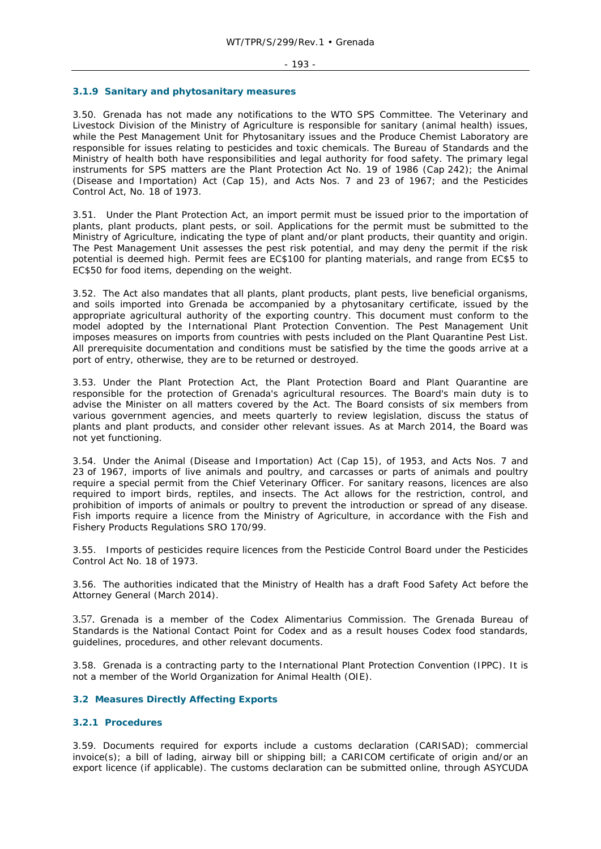#### $-193 -$

### **3.1.9 Sanitary and phytosanitary measures**

3.50. Grenada has not made any notifications to the WTO SPS Committee. The Veterinary and Livestock Division of the Ministry of Agriculture is responsible for sanitary (animal health) issues, while the Pest Management Unit for Phytosanitary issues and the Produce Chemist Laboratory are responsible for issues relating to pesticides and toxic chemicals. The Bureau of Standards and the Ministry of health both have responsibilities and legal authority for food safety. The primary legal instruments for SPS matters are the Plant Protection Act No. 19 of 1986 (Cap 242); the Animal (Disease and Importation) Act (Cap 15), and Acts Nos. 7 and 23 of 1967; and the Pesticides Control Act, No. 18 of 1973.

3.51. Under the Plant Protection Act, an import permit must be issued prior to the importation of plants, plant products, plant pests, or soil. Applications for the permit must be submitted to the Ministry of Agriculture, indicating the type of plant and/or plant products, their quantity and origin. The Pest Management Unit assesses the pest risk potential, and may deny the permit if the risk potential is deemed high. Permit fees are EC\$100 for planting materials, and range from EC\$5 to EC\$50 for food items, depending on the weight.

3.52. The Act also mandates that all plants, plant products, plant pests, live beneficial organisms, and soils imported into Grenada be accompanied by a phytosanitary certificate, issued by the appropriate agricultural authority of the exporting country. This document must conform to the model adopted by the International Plant Protection Convention. The Pest Management Unit imposes measures on imports from countries with pests included on the Plant Quarantine Pest List. All prerequisite documentation and conditions must be satisfied by the time the goods arrive at a port of entry, otherwise, they are to be returned or destroyed.

3.53. Under the Plant Protection Act, the Plant Protection Board and Plant Quarantine are responsible for the protection of Grenada's agricultural resources. The Board's main duty is to advise the Minister on all matters covered by the Act. The Board consists of six members from various government agencies, and meets quarterly to review legislation, discuss the status of plants and plant products, and consider other relevant issues. As at March 2014, the Board was not yet functioning.

3.54. Under the Animal (Disease and Importation) Act (Cap 15), of 1953, and Acts Nos. 7 and 23 of 1967, imports of live animals and poultry, and carcasses or parts of animals and poultry require a special permit from the Chief Veterinary Officer. For sanitary reasons, licences are also required to import birds, reptiles, and insects. The Act allows for the restriction, control, and prohibition of imports of animals or poultry to prevent the introduction or spread of any disease. Fish imports require a licence from the Ministry of Agriculture, in accordance with the Fish and Fishery Products Regulations SRO 170/99.

3.55. Imports of pesticides require licences from the Pesticide Control Board under the Pesticides Control Act No. 18 of 1973.

3.56. The authorities indicated that the Ministry of Health has a draft Food Safety Act before the Attorney General (March 2014).

3.57. Grenada is a member of the Codex Alimentarius Commission. The Grenada Bureau of Standards is the National Contact Point for Codex and as a result houses Codex food standards, guidelines, procedures, and other relevant documents.

3.58. Grenada is a contracting party to the International Plant Protection Convention (IPPC). It is not a member of the World Organization for Animal Health (OIE).

# **3.2 Measures Directly Affecting Exports**

## **3.2.1 Procedures**

3.59. Documents required for exports include a customs declaration (CARISAD); commercial invoice(s); a bill of lading, airway bill or shipping bill; a CARICOM certificate of origin and/or an export licence (if applicable). The customs declaration can be submitted online, through ASYCUDA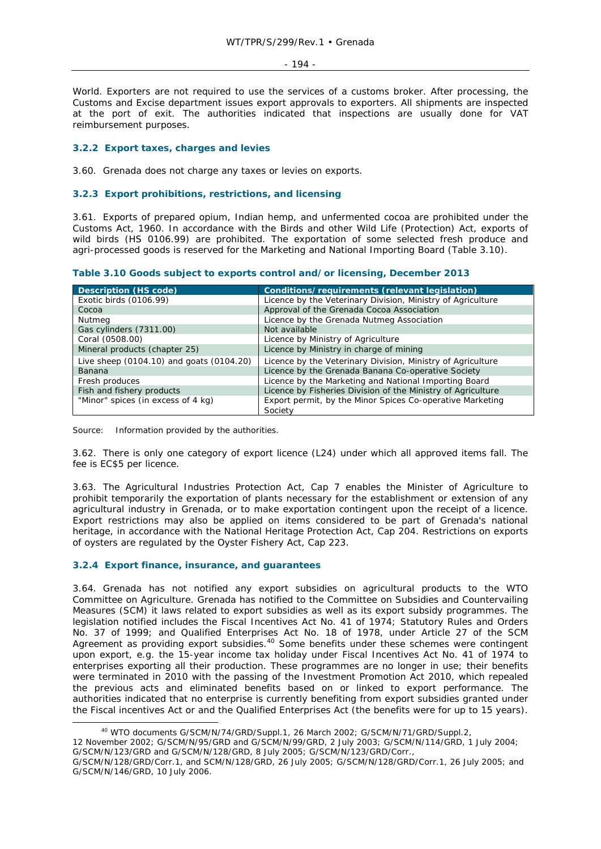#### - 194 -

World. Exporters are not required to use the services of a customs broker. After processing, the Customs and Excise department issues export approvals to exporters. All shipments are inspected at the port of exit. The authorities indicated that inspections are usually done for VAT reimbursement purposes.

# **3.2.2 Export taxes, charges and levies**

3.60. Grenada does not charge any taxes or levies on exports.

# **3.2.3 Export prohibitions, restrictions, and licensing**

3.61. Exports of prepared opium, Indian hemp, and unfermented cocoa are prohibited under the Customs Act, 1960. In accordance with the Birds and other Wild Life (Protection) Act, exports of wild birds (HS 0106.99) are prohibited. The exportation of some selected fresh produce and agri-processed goods is reserved for the Marketing and National Importing Board (Table 3.10).

**Table 3.10 Goods subject to exports control and/or licensing, December 2013** 

| <b>Description (HS code)</b>             | Conditions/requirements (relevant legislation)                       |
|------------------------------------------|----------------------------------------------------------------------|
| Exotic birds (0106.99)                   | Licence by the Veterinary Division, Ministry of Agriculture          |
| Cocoa                                    | Approval of the Grenada Cocoa Association                            |
| Nutmeg                                   | Licence by the Grenada Nutmeg Association                            |
| Gas cylinders (7311.00)                  | Not available                                                        |
| Coral (0508.00)                          | Licence by Ministry of Agriculture                                   |
| Mineral products (chapter 25)            | Licence by Ministry in charge of mining                              |
| Live sheep (0104.10) and goats (0104.20) | Licence by the Veterinary Division, Ministry of Agriculture          |
| Banana                                   | Licence by the Grenada Banana Co-operative Society                   |
| Fresh produces                           | Licence by the Marketing and National Importing Board                |
| Fish and fishery products                | Licence by Fisheries Division of the Ministry of Agriculture         |
| "Minor" spices (in excess of 4 kg)       | Export permit, by the Minor Spices Co-operative Marketing<br>Society |

Source: Information provided by the authorities.

3.62. There is only one category of export licence (L24) under which all approved items fall. The fee is EC\$5 per licence.

3.63. The Agricultural Industries Protection Act, Cap 7 enables the Minister of Agriculture to prohibit temporarily the exportation of plants necessary for the establishment or extension of any agricultural industry in Grenada, or to make exportation contingent upon the receipt of a licence. Export restrictions may also be applied on items considered to be part of Grenada's national heritage, in accordance with the National Heritage Protection Act, Cap 204. Restrictions on exports of oysters are regulated by the Oyster Fishery Act, Cap 223.

### **3.2.4 Export finance, insurance, and guarantees**

3.64. Grenada has not notified any export subsidies on agricultural products to the WTO Committee on Agriculture. Grenada has notified to the Committee on Subsidies and Countervailing Measures (SCM) it laws related to export subsidies as well as its export subsidy programmes. The legislation notified includes the Fiscal Incentives Act No. 41 of 1974; Statutory Rules and Orders No. 37 of 1999; and Qualified Enterprises Act No. 18 of 1978, under Article 27 of the SCM Agreement as providing export subsidies.<sup>40</sup> Some benefits under these schemes were contingent upon export, e.g. the 15-year income tax holiday under Fiscal Incentives Act No. 41 of 1974 to enterprises exporting all their production. These programmes are no longer in use; their benefits were terminated in 2010 with the passing of the Investment Promotion Act 2010, which repealed the previous acts and eliminated benefits based on or linked to export performance. The authorities indicated that no enterprise is currently benefiting from export subsidies granted under the Fiscal incentives Act or and the Qualified Enterprises Act (the benefits were for up to 15 years).

12 November 2002; G/SCM/N/95/GRD and G/SCM/N/99/GRD, 2 July 2003; G/SCM/N/114/GRD, 1 July 2004; G/SCM/N/123/GRD and G/SCM/N/128/GRD, 8 July 2005; G/SCM/N/123/GRD/Corr.,

 <sup>40</sup> WTO documents G/SCM/N/74/GRD/Suppl.1, 26 March 2002; G/SCM/N/71/GRD/Suppl.2,

G/SCM/N/128/GRD/Corr.1, and SCM/N/128/GRD, 26 July 2005; G/SCM/N/128/GRD/Corr.1, 26 July 2005; and G/SCM/N/146/GRD, 10 July 2006.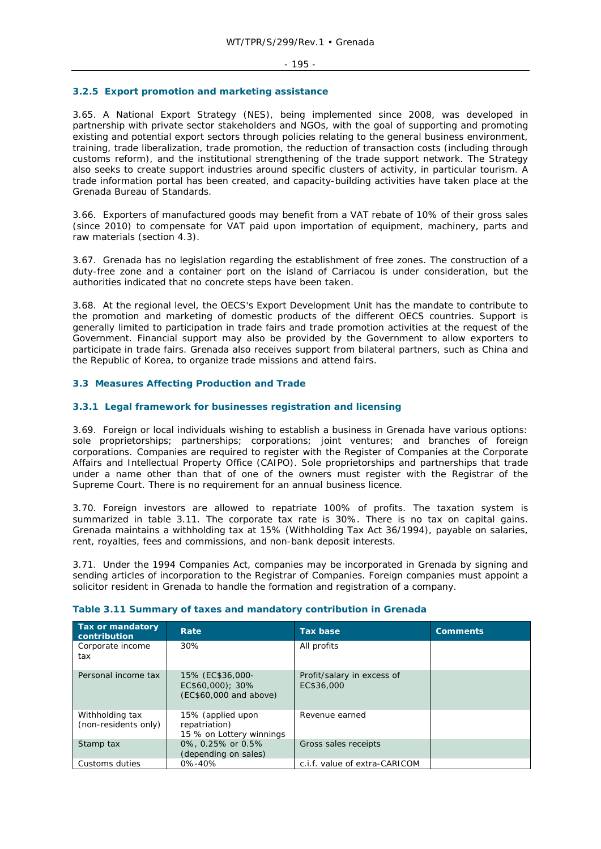### **3.2.5 Export promotion and marketing assistance**

3.65. A National Export Strategy (NES), being implemented since 2008, was developed in partnership with private sector stakeholders and NGOs, with the goal of supporting and promoting existing and potential export sectors through policies relating to the general business environment, training, trade liberalization, trade promotion, the reduction of transaction costs (including through customs reform), and the institutional strengthening of the trade support network. The Strategy also seeks to create support industries around specific clusters of activity, in particular tourism. A trade information portal has been created, and capacity-building activities have taken place at the Grenada Bureau of Standards.

3.66. Exporters of manufactured goods may benefit from a VAT rebate of 10% of their gross sales (since 2010) to compensate for VAT paid upon importation of equipment, machinery, parts and raw materials (section 4.3).

3.67. Grenada has no legislation regarding the establishment of free zones. The construction of a duty-free zone and a container port on the island of Carriacou is under consideration, but the authorities indicated that no concrete steps have been taken.

3.68. At the regional level, the OECS's Export Development Unit has the mandate to contribute to the promotion and marketing of domestic products of the different OECS countries. Support is generally limited to participation in trade fairs and trade promotion activities at the request of the Government. Financial support may also be provided by the Government to allow exporters to participate in trade fairs. Grenada also receives support from bilateral partners, such as China and the Republic of Korea, to organize trade missions and attend fairs.

# **3.3 Measures Affecting Production and Trade**

### **3.3.1 Legal framework for businesses registration and licensing**

3.69. Foreign or local individuals wishing to establish a business in Grenada have various options: sole proprietorships; partnerships; corporations; joint ventures; and branches of foreign corporations. Companies are required to register with the Register of Companies at the Corporate Affairs and Intellectual Property Office (CAIPO). Sole proprietorships and partnerships that trade under a name other than that of one of the owners must register with the Registrar of the Supreme Court. There is no requirement for an annual business licence.

3.70. Foreign investors are allowed to repatriate 100% of profits. The taxation system is summarized in table 3.11. The corporate tax rate is 30%. There is no tax on capital gains. Grenada maintains a withholding tax at 15% (Withholding Tax Act 36/1994), payable on salaries, rent, royalties, fees and commissions, and non-bank deposit interests.

3.71. Under the 1994 Companies Act, companies may be incorporated in Grenada by signing and sending articles of incorporation to the Registrar of Companies. Foreign companies must appoint a solicitor resident in Grenada to handle the formation and registration of a company.

| Tax or mandatory<br>contribution        | <b>Rate</b>                                                    | <b>Tax base</b>                          | <b>Comments</b> |
|-----------------------------------------|----------------------------------------------------------------|------------------------------------------|-----------------|
| Corporate income<br>tax                 | 30%                                                            | All profits                              |                 |
| Personal income tax                     | 15% (EC\$36,000-<br>EC\$60,000); 30%<br>(EC\$60,000 and above) | Profit/salary in excess of<br>EC\$36,000 |                 |
| Withholding tax<br>(non-residents only) | 15% (applied upon<br>repatriation)<br>15 % on Lottery winnings | Revenue earned                           |                 |
| Stamp tax                               | 0%, 0.25% or 0.5%<br>(depending on sales)                      | Gross sales receipts                     |                 |
| Customs duties                          | $0\% - 40\%$                                                   | c.i.f. value of extra-CARICOM            |                 |

# **Table 3.11 Summary of taxes and mandatory contribution in Grenada**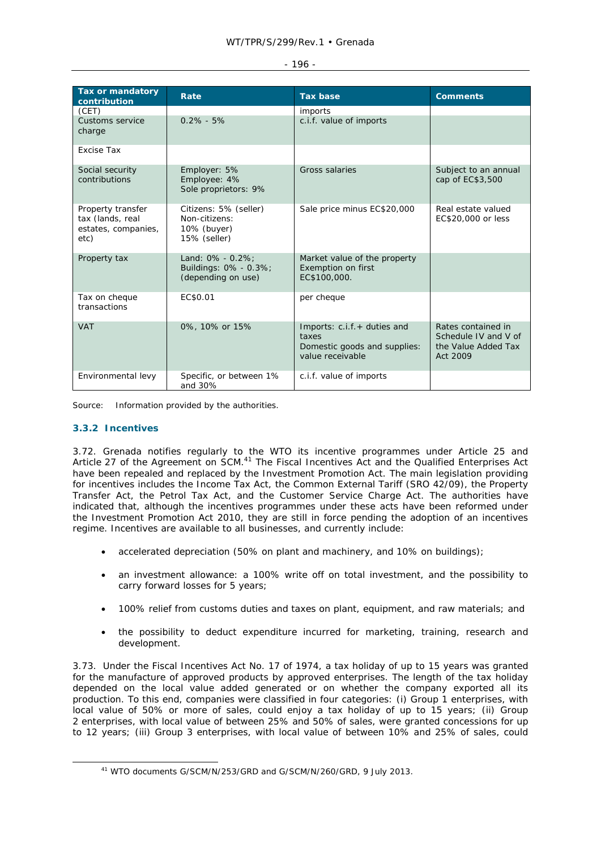### - 196 -

| <b>Tax or mandatory</b><br>contribution                              | Rate                                                                  | <b>Tax base</b>                                                                          | <b>Comments</b>                                                               |
|----------------------------------------------------------------------|-----------------------------------------------------------------------|------------------------------------------------------------------------------------------|-------------------------------------------------------------------------------|
| (CET)                                                                |                                                                       | imports                                                                                  |                                                                               |
| Customs service<br>charge                                            | $0.2\% - 5\%$                                                         | c.i.f. value of imports                                                                  |                                                                               |
| Excise Tax                                                           |                                                                       |                                                                                          |                                                                               |
| Social security<br>contributions                                     | Employer: 5%<br>Employee: 4%<br>Sole proprietors: 9%                  | Gross salaries                                                                           | Subject to an annual<br>cap of EC\$3,500                                      |
| Property transfer<br>tax (lands, real<br>estates, companies,<br>etc) | Citizens: 5% (seller)<br>Non-citizens:<br>10% (buyer)<br>15% (seller) | Sale price minus EC\$20,000                                                              | Real estate valued<br>EC\$20,000 or less                                      |
| Property tax                                                         | Land: $0\% - 0.2\%$ :<br>Buildings: 0% - 0.3%;<br>(depending on use)  | Market value of the property<br><b>Exemption on first</b><br>EC\$100,000.                |                                                                               |
| Tax on cheque<br>transactions                                        | EC\$0.01                                                              | per cheque                                                                               |                                                                               |
| <b>VAT</b>                                                           | 0%, 10% or 15%                                                        | Imports: c.i.f.+ duties and<br>taxes<br>Domestic goods and supplies:<br>value receivable | Rates contained in<br>Schedule IV and V of<br>the Value Added Tax<br>Act 2009 |
| Environmental levy                                                   | Specific, or between 1%<br>and 30%                                    | c.i.f. value of imports                                                                  |                                                                               |

Source: Information provided by the authorities.

# **3.3.2 Incentives**

3.72. Grenada notifies regularly to the WTO its incentive programmes under Article 25 and Article 27 of the Agreement on SCM.<sup>41</sup> The Fiscal Incentives Act and the Qualified Enterprises Act have been repealed and replaced by the Investment Promotion Act. The main legislation providing for incentives includes the Income Tax Act, the Common External Tariff (SRO 42/09), the Property Transfer Act, the Petrol Tax Act, and the Customer Service Charge Act. The authorities have indicated that, although the incentives programmes under these acts have been reformed under the Investment Promotion Act 2010, they are still in force pending the adoption of an incentives regime. Incentives are available to all businesses, and currently include:

- accelerated depreciation (50% on plant and machinery, and 10% on buildings);
- an investment allowance: a 100% write off on total investment, and the possibility to carry forward losses for 5 years;
- 100% relief from customs duties and taxes on plant, equipment, and raw materials; and
- the possibility to deduct expenditure incurred for marketing, training, research and development.

3.73. Under the Fiscal Incentives Act No. 17 of 1974, a tax holiday of up to 15 years was granted for the manufacture of approved products by approved enterprises. The length of the tax holiday depended on the local value added generated or on whether the company exported all its production. To this end, companies were classified in four categories: (i) Group 1 enterprises, with local value of 50% or more of sales, could enjoy a tax holiday of up to 15 years; (ii) Group 2 enterprises, with local value of between 25% and 50% of sales, were granted concessions for up to 12 years; (iii) Group 3 enterprises, with local value of between 10% and 25% of sales, could

 <sup>41</sup> WTO documents G/SCM/N/253/GRD and G/SCM/N/260/GRD, 9 July 2013.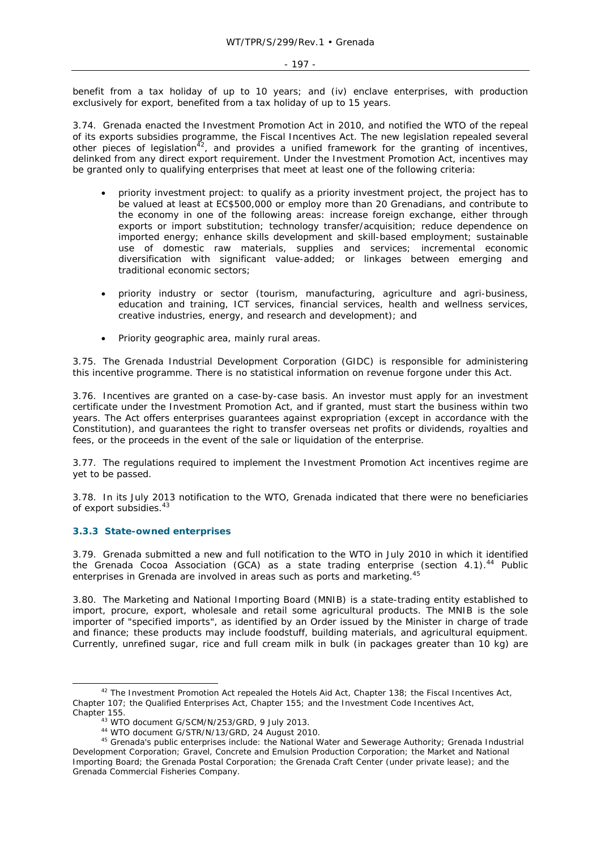benefit from a tax holiday of up to 10 years; and (iv) enclave enterprises, with production exclusively for export, benefited from a tax holiday of up to 15 years.

3.74. Grenada enacted the Investment Promotion Act in 2010, and notified the WTO of the repeal of its exports subsidies programme, the Fiscal Incentives Act. The new legislation repealed several other pieces of legislation<sup> $42$ </sup>, and provides a unified framework for the granting of incentives, delinked from any direct export requirement. Under the Investment Promotion Act, incentives may be granted only to qualifying enterprises that meet at least one of the following criteria:

- priority investment project: to qualify as a priority investment project, the project has to be valued at least at EC\$500,000 or employ more than 20 Grenadians, and contribute to the economy in one of the following areas: increase foreign exchange, either through exports or import substitution; technology transfer/acquisition; reduce dependence on imported energy; enhance skills development and skill-based employment; sustainable use of domestic raw materials, supplies and services; incremental economic diversification with significant value-added; or linkages between emerging and traditional economic sectors;
- priority industry or sector (tourism, manufacturing, agriculture and agri-business, education and training, ICT services, financial services, health and wellness services, creative industries, energy, and research and development); and
- Priority geographic area, mainly rural areas.

3.75. The Grenada Industrial Development Corporation (GIDC) is responsible for administering this incentive programme. There is no statistical information on revenue forgone under this Act.

3.76. Incentives are granted on a case-by-case basis. An investor must apply for an investment certificate under the Investment Promotion Act, and if granted, must start the business within two years. The Act offers enterprises guarantees against expropriation (except in accordance with the Constitution), and guarantees the right to transfer overseas net profits or dividends, royalties and fees, or the proceeds in the event of the sale or liquidation of the enterprise.

3.77. The regulations required to implement the Investment Promotion Act incentives regime are yet to be passed.

3.78. In its July 2013 notification to the WTO, Grenada indicated that there were no beneficiaries of export subsidies.<sup>43</sup>

### **3.3.3 State-owned enterprises**

3.79. Grenada submitted a new and full notification to the WTO in July 2010 in which it identified the Grenada Cocoa Association (GCA) as a state trading enterprise (section 4.1).<sup>44</sup> Public enterprises in Grenada are involved in areas such as ports and marketing.<sup>45</sup>

3.80. The Marketing and National Importing Board (MNIB) is a state-trading entity established to import, procure, export, wholesale and retail some agricultural products. The MNIB is the sole importer of "specified imports", as identified by an Order issued by the Minister in charge of trade and finance; these products may include foodstuff, building materials, and agricultural equipment. Currently, unrefined sugar, rice and full cream milk in bulk (in packages greater than 10 kg) are

 $42$  The Investment Promotion Act repealed the Hotels Aid Act, Chapter 138; the Fiscal Incentives Act, Chapter 107; the Qualified Enterprises Act, Chapter 155; and the Investment Code Incentives Act,

Chapter 155.<br>
43 WTO document G/SCM/N/253/GRD, 9 July 2013.<br>
44 WTO document G/STR/N/13/GRD, 24 August 2010.<br>
45 Grenada's public enterprises include: the National Water and Sewerage Authority; Grenada Industrial Development Corporation; Gravel, Concrete and Emulsion Production Corporation; the Market and National Importing Board; the Grenada Postal Corporation; the Grenada Craft Center (under private lease); and the Grenada Commercial Fisheries Company.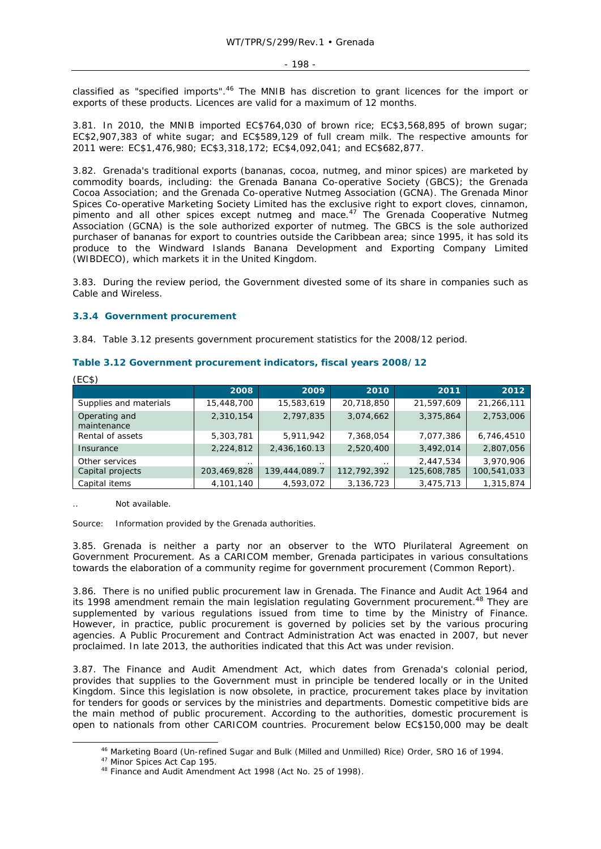classified as "specified imports".<sup>46</sup> The MNIB has discretion to grant licences for the import or exports of these products. Licences are valid for a maximum of 12 months.

3.81. In 2010, the MNIB imported EC\$764,030 of brown rice; EC\$3,568,895 of brown sugar; EC\$2,907,383 of white sugar; and EC\$589,129 of full cream milk. The respective amounts for 2011 were: EC\$1,476,980; EC\$3,318,172; EC\$4,092,041; and EC\$682,877.

3.82. Grenada's traditional exports (bananas, cocoa, nutmeg, and minor spices) are marketed by commodity boards, including: the Grenada Banana Co-operative Society (GBCS); the Grenada Cocoa Association; and the Grenada Co-operative Nutmeg Association (GCNA). The Grenada Minor Spices Co-operative Marketing Society Limited has the exclusive right to export cloves, cinnamon, pimento and all other spices except nutmeg and mace.47 The Grenada Cooperative Nutmeg Association (GCNA) is the sole authorized exporter of nutmeg. The GBCS is the sole authorized purchaser of bananas for export to countries outside the Caribbean area; since 1995, it has sold its produce to the Windward Islands Banana Development and Exporting Company Limited (WIBDECO), which markets it in the United Kingdom.

3.83. During the review period, the Government divested some of its share in companies such as Cable and Wireless.

#### **3.3.4 Government procurement**

3.84. Table 3.12 presents government procurement statistics for the 2008/12 period.

| (EC\$)                       |             |               |             |             |             |
|------------------------------|-------------|---------------|-------------|-------------|-------------|
|                              | 2008        | 2009          | 2010        | 2011        | 2012        |
| Supplies and materials       | 15,448,700  | 15,583,619    | 20,718,850  | 21,597,609  | 21,266,111  |
| Operating and<br>maintenance | 2,310,154   | 2,797,835     | 3,074,662   | 3,375,864   | 2,753,006   |
| Rental of assets             | 5,303,781   | 5,911,942     | 7,368,054   | 7,077,386   | 6,746,4510  |
| Insurance                    | 2,224,812   | 2,436,160.13  | 2,520,400   | 3,492,014   | 2,807,056   |
| Other services               | $\cdot$ .   | $\cdot$ .     | $\cdot$ .   | 2,447,534   | 3,970,906   |
| Capital projects             | 203,469,828 | 139,444,089.7 | 112,792,392 | 125,608,785 | 100,541,033 |
| Capital items                | 4,101,140   | 4,593,072     | 3,136,723   | 3,475,713   | 1,315,874   |

## **Table 3.12 Government procurement indicators, fiscal years 2008/12**

Not available.

Source: Information provided by the Grenada authorities.

3.85. Grenada is neither a party nor an observer to the WTO Plurilateral Agreement on Government Procurement. As a CARICOM member, Grenada participates in various consultations towards the elaboration of a community regime for government procurement (Common Report).

3.86. There is no unified public procurement law in Grenada. The Finance and Audit Act 1964 and its 1998 amendment remain the main legislation regulating Government procurement.<sup>48</sup> They are supplemented by various regulations issued from time to time by the Ministry of Finance. However, in practice, public procurement is governed by policies set by the various procuring agencies. A Public Procurement and Contract Administration Act was enacted in 2007, but never proclaimed. In late 2013, the authorities indicated that this Act was under revision.

3.87. The Finance and Audit Amendment Act, which dates from Grenada's colonial period, provides that supplies to the Government must in principle be tendered locally or in the United Kingdom. Since this legislation is now obsolete, in practice, procurement takes place by invitation for tenders for goods or services by the ministries and departments. Domestic competitive bids are the main method of public procurement. According to the authorities, domestic procurement is open to nationals from other CARICOM countries. Procurement below EC\$150,000 may be dealt

<sup>&</sup>lt;sup>46</sup> Marketing Board (Un-refined Sugar and Bulk (Milled and Unmilled) Rice) Order, SRO 16 of 1994.<br><sup>47</sup> Minor Spices Act Cap 195.<br><sup>48</sup> Finance and Audit Amendment Act 1998 (Act No. 25 of 1998).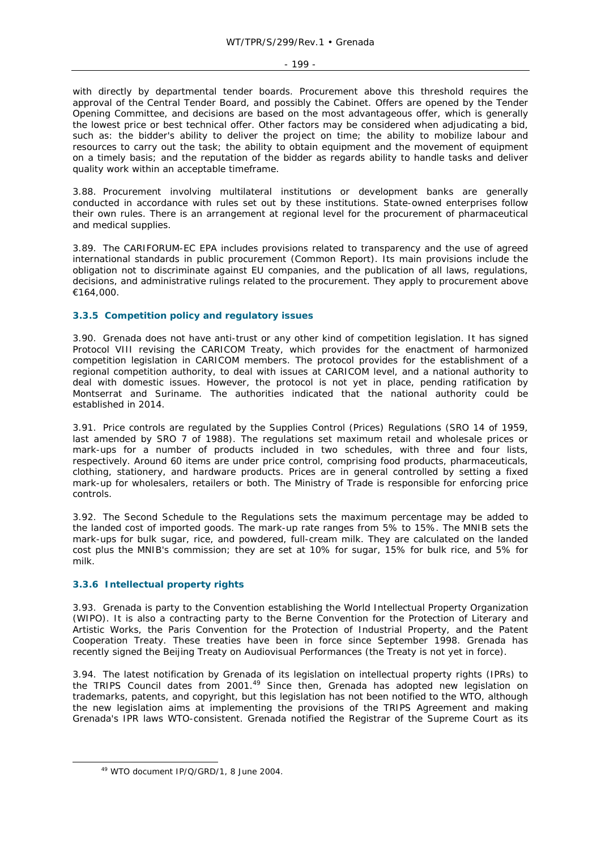#### - 199 -

with directly by departmental tender boards. Procurement above this threshold requires the approval of the Central Tender Board, and possibly the Cabinet. Offers are opened by the Tender Opening Committee, and decisions are based on the most advantageous offer, which is generally the lowest price or best technical offer. Other factors may be considered when adjudicating a bid, such as: the bidder's ability to deliver the project on time; the ability to mobilize labour and resources to carry out the task; the ability to obtain equipment and the movement of equipment on a timely basis; and the reputation of the bidder as regards ability to handle tasks and deliver quality work within an acceptable timeframe.

3.88. Procurement involving multilateral institutions or development banks are generally conducted in accordance with rules set out by these institutions. State-owned enterprises follow their own rules. There is an arrangement at regional level for the procurement of pharmaceutical and medical supplies.

3.89. The CARIFORUM-EC EPA includes provisions related to transparency and the use of agreed international standards in public procurement (Common Report). Its main provisions include the obligation not to discriminate against EU companies, and the publication of all laws, regulations, decisions, and administrative rulings related to the procurement. They apply to procurement above €164,000.

# **3.3.5 Competition policy and regulatory issues**

3.90. Grenada does not have anti-trust or any other kind of competition legislation. It has signed Protocol VIII revising the CARICOM Treaty, which provides for the enactment of harmonized competition legislation in CARICOM members. The protocol provides for the establishment of a regional competition authority, to deal with issues at CARICOM level, and a national authority to deal with domestic issues. However, the protocol is not yet in place, pending ratification by Montserrat and Suriname. The authorities indicated that the national authority could be established in 2014.

3.91. Price controls are regulated by the Supplies Control (Prices) Regulations (SRO 14 of 1959, last amended by SRO 7 of 1988). The regulations set maximum retail and wholesale prices or mark-ups for a number of products included in two schedules, with three and four lists, respectively. Around 60 items are under price control, comprising food products, pharmaceuticals, clothing, stationery, and hardware products. Prices are in general controlled by setting a fixed mark-up for wholesalers, retailers or both. The Ministry of Trade is responsible for enforcing price controls.

3.92. The Second Schedule to the Regulations sets the maximum percentage may be added to the landed cost of imported goods. The mark-up rate ranges from 5% to 15%. The MNIB sets the mark-ups for bulk sugar, rice, and powdered, full-cream milk. They are calculated on the landed cost plus the MNIB's commission; they are set at 10% for sugar, 15% for bulk rice, and 5% for milk.

# **3.3.6 Intellectual property rights**

3.93. Grenada is party to the Convention establishing the World Intellectual Property Organization (WIPO). It is also a contracting party to the Berne Convention for the Protection of Literary and Artistic Works, the Paris Convention for the Protection of Industrial Property, and the Patent Cooperation Treaty. These treaties have been in force since September 1998. Grenada has recently signed the Beijing Treaty on Audiovisual Performances (the Treaty is not yet in force).

3.94. The latest notification by Grenada of its legislation on intellectual property rights (IPRs) to the TRIPS Council dates from 2001.<sup>49</sup> Since then, Grenada has adopted new legislation on trademarks, patents, and copyright, but this legislation has not been notified to the WTO, although the new legislation aims at implementing the provisions of the TRIPS Agreement and making Grenada's IPR laws WTO-consistent. Grenada notified the Registrar of the Supreme Court as its

 <sup>49</sup> WTO document IP/Q/GRD/1, 8 June 2004.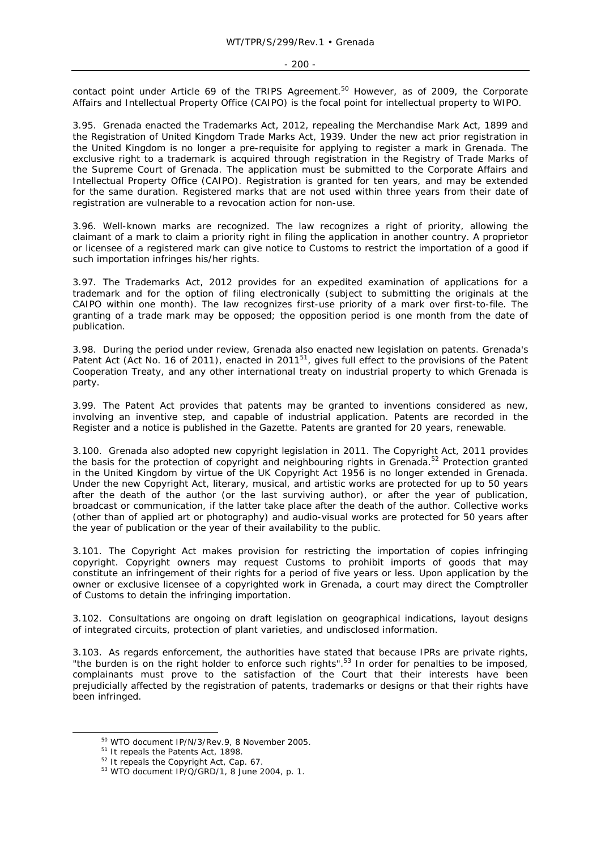contact point under Article 69 of the TRIPS Agreement.<sup>50</sup> However, as of 2009, the Corporate Affairs and Intellectual Property Office (CAIPO) is the focal point for intellectual property to WIPO.

3.95. Grenada enacted the Trademarks Act, 2012, repealing the Merchandise Mark Act, 1899 and the Registration of United Kingdom Trade Marks Act, 1939. Under the new act prior registration in the United Kingdom is no longer a pre-requisite for applying to register a mark in Grenada. The exclusive right to a trademark is acquired through registration in the Registry of Trade Marks of the Supreme Court of Grenada. The application must be submitted to the Corporate Affairs and Intellectual Property Office (CAIPO). Registration is granted for ten years, and may be extended for the same duration. Registered marks that are not used within three years from their date of registration are vulnerable to a revocation action for non-use.

3.96. Well-known marks are recognized. The law recognizes a right of priority, allowing the claimant of a mark to claim a priority right in filing the application in another country. A proprietor or licensee of a registered mark can give notice to Customs to restrict the importation of a good if such importation infringes his/her rights.

3.97. The Trademarks Act, 2012 provides for an expedited examination of applications for a trademark and for the option of filing electronically (subject to submitting the originals at the CAIPO within one month). The law recognizes first-use priority of a mark over first-to-file. The granting of a trade mark may be opposed; the opposition period is one month from the date of publication.

3.98. During the period under review, Grenada also enacted new legislation on patents. Grenada's Patent Act (Act No. 16 of 2011), enacted in 2011<sup>51</sup>, gives full effect to the provisions of the Patent Cooperation Treaty, and any other international treaty on industrial property to which Grenada is party.

3.99. The Patent Act provides that patents may be granted to inventions considered as new, involving an inventive step, and capable of industrial application. Patents are recorded in the Register and a notice is published in the *Gazette.* Patents are granted for 20 years, renewable.

3.100. Grenada also adopted new copyright legislation in 2011. The Copyright Act, 2011 provides the basis for the protection of copyright and neighbouring rights in Grenada.<sup>52</sup> Protection granted in the United Kingdom by virtue of the UK Copyright Act 1956 is no longer extended in Grenada. Under the new Copyright Act, literary, musical, and artistic works are protected for up to 50 years after the death of the author (or the last surviving author), or after the year of publication, broadcast or communication, if the latter take place after the death of the author. Collective works (other than of applied art or photography) and audio-visual works are protected for 50 years after the year of publication or the year of their availability to the public.

3.101. The Copyright Act makes provision for restricting the importation of copies infringing copyright. Copyright owners may request Customs to prohibit imports of goods that may constitute an infringement of their rights for a period of five years or less. Upon application by the owner or exclusive licensee of a copyrighted work in Grenada, a court may direct the Comptroller of Customs to detain the infringing importation.

3.102. Consultations are ongoing on draft legislation on geographical indications, layout designs of integrated circuits, protection of plant varieties, and undisclosed information.

3.103. As regards enforcement, the authorities have stated that because IPRs are private rights, "the burden is on the right holder to enforce such rights".<sup>53</sup> In order for penalties to be imposed, complainants must prove to the satisfaction of the Court that their interests have been prejudicially affected by the registration of patents, trademarks or designs or that their rights have been infringed.

<sup>&</sup>lt;sup>50</sup> WTO document IP/N/3/Rev.9, 8 November 2005.<br><sup>51</sup> It repeals the Patents Act, 1898.<br><sup>52</sup> It repeals the Copyright Act, Cap. 67.<br><sup>53</sup> WTO document IP/Q/GRD/1, 8 June 2004, p. 1.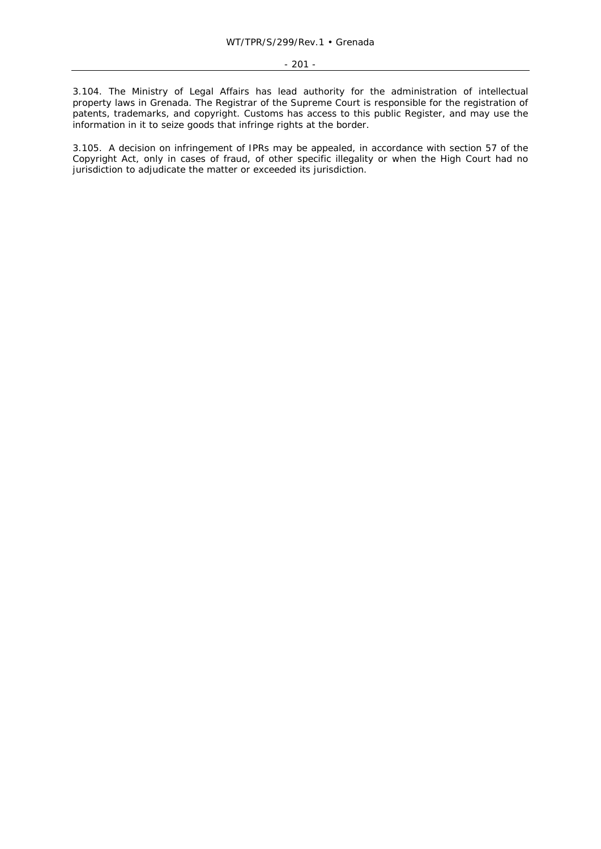3.104. The Ministry of Legal Affairs has lead authority for the administration of intellectual property laws in Grenada. The Registrar of the Supreme Court is responsible for the registration of patents, trademarks, and copyright. Customs has access to this public Register, and may use the information in it to seize goods that infringe rights at the border.

3.105. A decision on infringement of IPRs may be appealed, in accordance with section 57 of the Copyright Act, only in cases of fraud, of other specific illegality or when the High Court had no jurisdiction to adjudicate the matter or exceeded its jurisdiction.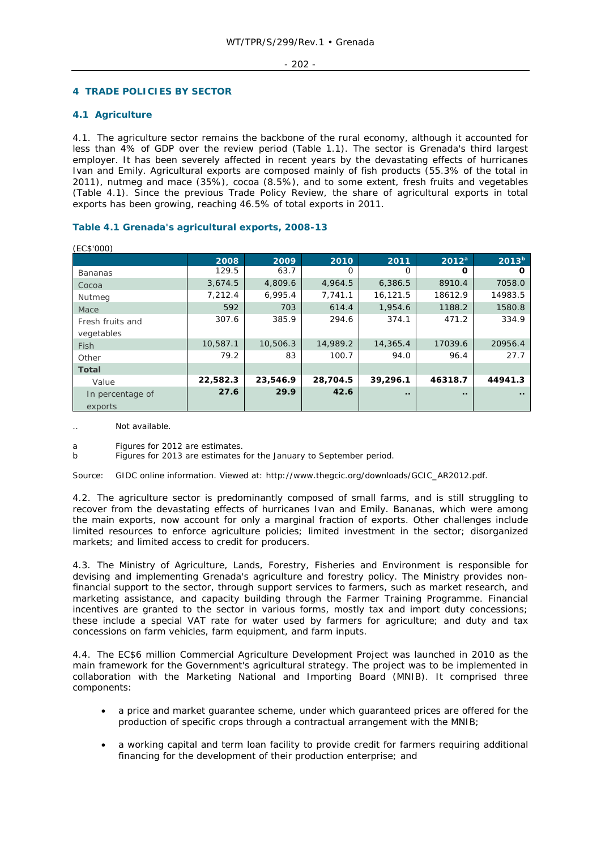#### $-202 -$

# **4 TRADE POLICIES BY SECTOR**

# **4.1 Agriculture**

4.1. The agriculture sector remains the backbone of the rural economy, although it accounted for less than 4% of GDP over the review period (Table 1.1). The sector is Grenada's third largest employer. It has been severely affected in recent years by the devastating effects of hurricanes Ivan and Emily. Agricultural exports are composed mainly of fish products (55.3% of the total in 2011), nutmeg and mace (35%), cocoa (8.5%), and to some extent, fresh fruits and vegetables (Table 4.1). Since the previous Trade Policy Review, the share of agricultural exports in total exports has been growing, reaching 46.5% of total exports in 2011.

# **Table 4.1 Grenada's agricultural exports, 2008-13**

| (EC\$'000)       |          |          |          |             |             |                   |
|------------------|----------|----------|----------|-------------|-------------|-------------------|
|                  | 2008     | 2009     | 2010     | 2011        | $2012^a$    | 2013 <sup>b</sup> |
| <b>Bananas</b>   | 129.5    | 63.7     | O        | O           | Ω           |                   |
| Cocoa            | 3,674.5  | 4,809.6  | 4,964.5  | 6,386.5     | 8910.4      | 7058.0            |
| Nutmeg           | 7.212.4  | 6.995.4  | 7.741.1  | 16,121.5    | 18612.9     | 14983.5           |
| Mace             | 592      | 703      | 614.4    | 1,954.6     | 1188.2      | 1580.8            |
| Fresh fruits and | 307.6    | 385.9    | 294.6    | 374.1       | 471.2       | 334.9             |
| vegetables       |          |          |          |             |             |                   |
| Fish             | 10,587.1 | 10,506.3 | 14,989.2 | 14,365.4    | 17039.6     | 20956.4           |
| Other            | 79.2     | 83       | 100.7    | 94.0        | 96.4        | 27.7              |
| <b>Total</b>     |          |          |          |             |             |                   |
| Value            | 22,582.3 | 23,546.9 | 28,704.5 | 39,296.1    | 46318.7     | 44941.3           |
| In percentage of | 27.6     | 29.9     | 42.6     | $\bullet$ . | $\bullet$ . |                   |
| exports          |          |          |          |             |             |                   |

Not available

a Figures for 2012 are estimates.

b Figures for 2013 are estimates for the January to September period.

Source: GIDC online information. Viewed at: http://www.thegcic.org/downloads/GCIC\_AR2012.pdf.

4.2. The agriculture sector is predominantly composed of small farms, and is still struggling to recover from the devastating effects of hurricanes Ivan and Emily. Bananas, which were among the main exports, now account for only a marginal fraction of exports. Other challenges include limited resources to enforce agriculture policies; limited investment in the sector; disorganized markets; and limited access to credit for producers.

4.3. The Ministry of Agriculture, Lands, Forestry, Fisheries and Environment is responsible for devising and implementing Grenada's agriculture and forestry policy. The Ministry provides nonfinancial support to the sector, through support services to farmers, such as market research, and marketing assistance, and capacity building through the Farmer Training Programme. Financial incentives are granted to the sector in various forms, mostly tax and import duty concessions; these include a special VAT rate for water used by farmers for agriculture; and duty and tax concessions on farm vehicles, farm equipment, and farm inputs.

4.4. The EC\$6 million Commercial Agriculture Development Project was launched in 2010 as the main framework for the Government's agricultural strategy. The project was to be implemented in collaboration with the Marketing National and Importing Board (MNIB). It comprised three components:

- a price and market guarantee scheme, under which guaranteed prices are offered for the production of specific crops through a contractual arrangement with the MNIB;
- a working capital and term loan facility to provide credit for farmers requiring additional financing for the development of their production enterprise; and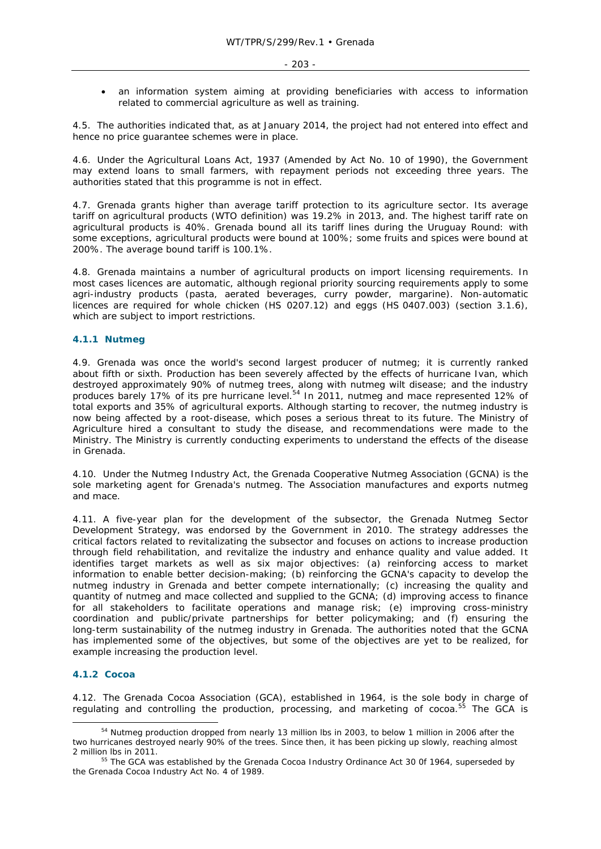• an information system aiming at providing beneficiaries with access to information related to commercial agriculture as well as training.

4.5. The authorities indicated that, as at January 2014, the project had not entered into effect and hence no price guarantee schemes were in place.

4.6. Under the Agricultural Loans Act, 1937 (Amended by Act No. 10 of 1990), the Government may extend loans to small farmers, with repayment periods not exceeding three years. The authorities stated that this programme is not in effect.

4.7. Grenada grants higher than average tariff protection to its agriculture sector. Its average tariff on agricultural products (WTO definition) was 19.2% in 2013, and. The highest tariff rate on agricultural products is 40%. Grenada bound all its tariff lines during the Uruguay Round: with some exceptions, agricultural products were bound at 100%; some fruits and spices were bound at 200%. The average bound tariff is 100.1%.

4.8. Grenada maintains a number of agricultural products on import licensing requirements. In most cases licences are automatic, although regional priority sourcing requirements apply to some agri-industry products (pasta, aerated beverages, curry powder, margarine). Non-automatic licences are required for whole chicken (HS 0207.12) and eggs (HS 0407.003) (section 3.1.6), which are subject to import restrictions.

### **4.1.1 Nutmeg**

4.9. Grenada was once the world's second largest producer of nutmeg; it is currently ranked about fifth or sixth. Production has been severely affected by the effects of hurricane Ivan, which destroyed approximately 90% of nutmeg trees, along with nutmeg wilt disease; and the industry produces barely 17% of its pre hurricane level.<sup>54</sup> In 2011, nutmeg and mace represented 12% of total exports and 35% of agricultural exports. Although starting to recover, the nutmeg industry is now being affected by a root-disease, which poses a serious threat to its future. The Ministry of Agriculture hired a consultant to study the disease, and recommendations were made to the Ministry. The Ministry is currently conducting experiments to understand the effects of the disease in Grenada.

4.10. Under the Nutmeg Industry Act, the Grenada Cooperative Nutmeg Association (GCNA) is the sole marketing agent for Grenada's nutmeg. The Association manufactures and exports nutmeg and mace.

4.11. A five-year plan for the development of the subsector, the Grenada Nutmeg Sector Development Strategy, was endorsed by the Government in 2010. The strategy addresses the critical factors related to revitalizating the subsector and focuses on actions to increase production through field rehabilitation, and revitalize the industry and enhance quality and value added. It identifies target markets as well as six major objectives: (a) reinforcing access to market information to enable better decision-making; (b) reinforcing the GCNA's capacity to develop the nutmeg industry in Grenada and better compete internationally; (c) increasing the quality and quantity of nutmeg and mace collected and supplied to the GCNA; (d) improving access to finance for all stakeholders to facilitate operations and manage risk; (e) improving cross-ministry coordination and public/private partnerships for better policymaking; and (f) ensuring the long-term sustainability of the nutmeg industry in Grenada. The authorities noted that the GCNA has implemented some of the objectives, but some of the objectives are yet to be realized, for example increasing the production level.

### **4.1.2 Cocoa**

4.12. The Grenada Cocoa Association (GCA), established in 1964, is the sole body in charge of regulating and controlling the production, processing, and marketing of cocoa. $55$  The GCA is

<sup>&</sup>lt;sup>54</sup> Nutmeg production dropped from nearly 13 million lbs in 2003, to below 1 million in 2006 after the two hurricanes destroyed nearly 90% of the trees. Since then, it has been picking up slowly, reaching almost 2 million lbs in 2011. 55 The GCA was established by the Grenada Cocoa Industry Ordinance Act 30 0f 1964, superseded by

the Grenada Cocoa Industry Act No. 4 of 1989.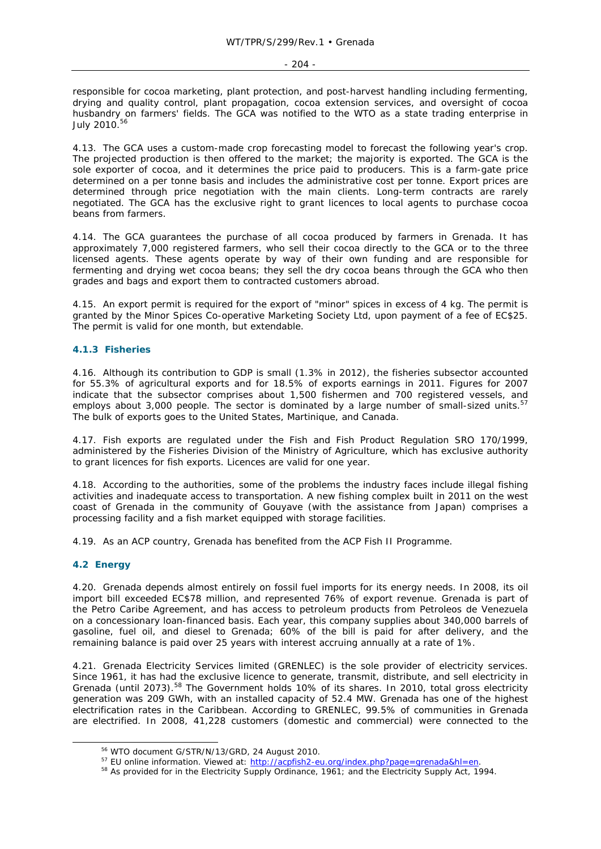responsible for cocoa marketing, plant protection, and post-harvest handling including fermenting, drying and quality control, plant propagation, cocoa extension services, and oversight of cocoa husbandry on farmers' fields. The GCA was notified to the WTO as a state trading enterprise in July 2010.56

4.13. The GCA uses a custom-made crop forecasting model to forecast the following year's crop. The projected production is then offered to the market; the majority is exported. The GCA is the sole exporter of cocoa, and it determines the price paid to producers. This is a farm-gate price determined on a per tonne basis and includes the administrative cost per tonne. Export prices are determined through price negotiation with the main clients. Long-term contracts are rarely negotiated. The GCA has the exclusive right to grant licences to local agents to purchase cocoa beans from farmers.

4.14. The GCA guarantees the purchase of all cocoa produced by farmers in Grenada. It has approximately 7,000 registered farmers, who sell their cocoa directly to the GCA or to the three licensed agents. These agents operate by way of their own funding and are responsible for fermenting and drying wet cocoa beans; they sell the dry cocoa beans through the GCA who then grades and bags and export them to contracted customers abroad.

4.15. An export permit is required for the export of "minor" spices in excess of 4 kg. The permit is granted by the Minor Spices Co-operative Marketing Society Ltd, upon payment of a fee of EC\$25. The permit is valid for one month, but extendable.

# **4.1.3 Fisheries**

4.16. Although its contribution to GDP is small (1.3% in 2012), the fisheries subsector accounted for 55.3% of agricultural exports and for 18.5% of exports earnings in 2011. Figures for 2007 indicate that the subsector comprises about 1,500 fishermen and 700 registered vessels, and employs about 3,000 people. The sector is dominated by a large number of small-sized units.<sup>57</sup> The bulk of exports goes to the United States, Martinique, and Canada.

4.17. Fish exports are regulated under the Fish and Fish Product Regulation SRO 170/1999, administered by the Fisheries Division of the Ministry of Agriculture, which has exclusive authority to grant licences for fish exports. Licences are valid for one year.

4.18. According to the authorities, some of the problems the industry faces include illegal fishing activities and inadequate access to transportation. A new fishing complex built in 2011 on the west coast of Grenada in the community of Gouyave (with the assistance from Japan) comprises a processing facility and a fish market equipped with storage facilities.

4.19. As an ACP country, Grenada has benefited from the ACP Fish II Programme.

# **4.2 Energy**

4.20. Grenada depends almost entirely on fossil fuel imports for its energy needs. In 2008, its oil import bill exceeded EC\$78 million, and represented 76% of export revenue. Grenada is part of the Petro Caribe Agreement, and has access to petroleum products from Petroleos de Venezuela on a concessionary loan-financed basis. Each year, this company supplies about 340,000 barrels of gasoline, fuel oil, and diesel to Grenada; 60% of the bill is paid for after delivery, and the remaining balance is paid over 25 years with interest accruing annually at a rate of 1%.

4.21. Grenada Electricity Services limited (GRENLEC) is the sole provider of electricity services. Since 1961, it has had the exclusive licence to generate, transmit, distribute, and sell electricity in Grenada (until 2073).<sup>58</sup> The Government holds 10% of its shares. In 2010, total gross electricity generation was 209 GWh, with an installed capacity of 52.4 MW. Grenada has one of the highest electrification rates in the Caribbean. According to GRENLEC, 99.5% of communities in Grenada are electrified. In 2008, 41,228 customers (domestic and commercial) were connected to the

<sup>&</sup>lt;sup>56</sup> WTO document G/STR/N/13/GRD, 24 August 2010.<br><sup>57</sup> EU online information. Viewed at: http://acpfish2-eu.org/index.php?page=grenada&hl=en.<br><sup>58</sup> As provided for in the Electricity Supply Ordinance, 1961; and the Electric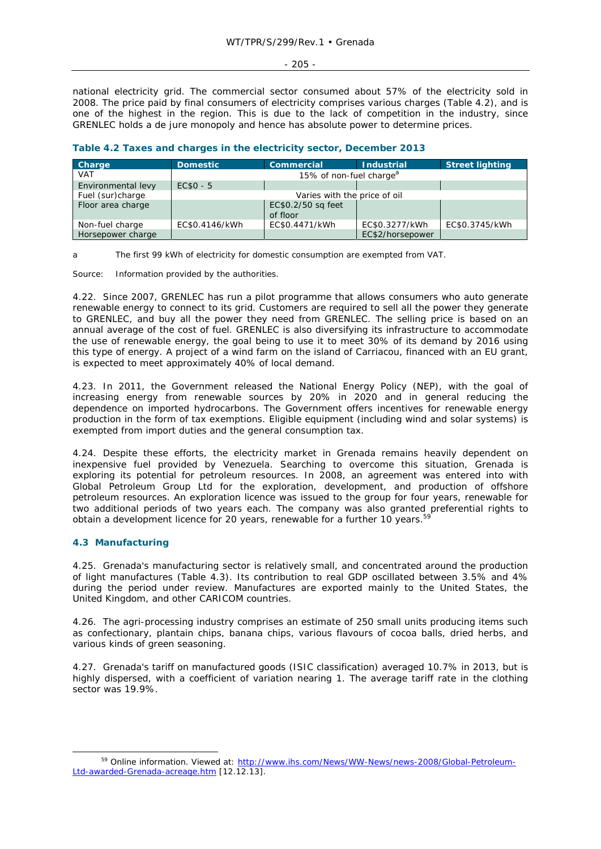#### - 205 -

national electricity grid. The commercial sector consumed about 57% of the electricity sold in 2008. The price paid by final consumers of electricity comprises various charges (Table 4.2), and is one of the highest in the region. This is due to the lack of competition in the industry, since GRENLEC holds a de jure monopoly and hence has absolute power to determine prices.

| Charge             | <b>Domestic</b> | <b>Commercial</b>                   | <b>Industrial</b> | <b>Street lighting</b> |
|--------------------|-----------------|-------------------------------------|-------------------|------------------------|
| <b>VAT</b>         |                 | 15% of non-fuel charge <sup>a</sup> |                   |                        |
| Environmental levy | $EC$0 - 5$      |                                     |                   |                        |
| Fuel (sur)charge   |                 | Varies with the price of oil        |                   |                        |
| Floor area charge  |                 | EC\$0.2/50 sq feet<br>of floor      |                   |                        |
| Non-fuel charge    | EC\$0.4146/kWh  | EC\$0.4471/kWh                      | EC\$0.3277/kWh    | EC\$0.3745/kWh         |
| Horsepower charge  |                 |                                     | EC\$2/horsepower  |                        |

# **Table 4.2 Taxes and charges in the electricity sector, December 2013**

a The first 99 kWh of electricity for domestic consumption are exempted from VAT.

Source: Information provided by the authorities.

4.22. Since 2007, GRENLEC has run a pilot programme that allows consumers who auto generate renewable energy to connect to its grid. Customers are required to sell all the power they generate to GRENLEC, and buy all the power they need from GRENLEC. The selling price is based on an annual average of the cost of fuel. GRENLEC is also diversifying its infrastructure to accommodate the use of renewable energy, the goal being to use it to meet 30% of its demand by 2016 using this type of energy. A project of a wind farm on the island of Carriacou, financed with an EU grant, is expected to meet approximately 40% of local demand.

4.23. In 2011, the Government released the National Energy Policy (NEP), with the goal of increasing energy from renewable sources by 20% in 2020 and in general reducing the dependence on imported hydrocarbons. The Government offers incentives for renewable energy production in the form of tax exemptions. Eligible equipment (including wind and solar systems) is exempted from import duties and the general consumption tax.

4.24. Despite these efforts, the electricity market in Grenada remains heavily dependent on inexpensive fuel provided by Venezuela. Searching to overcome this situation, Grenada is exploring its potential for petroleum resources. In 2008, an agreement was entered into with Global Petroleum Group Ltd for the exploration, development, and production of offshore petroleum resources. An exploration licence was issued to the group for four years, renewable for two additional periods of two years each. The company was also granted preferential rights to obtain a development licence for 20 years, renewable for a further 10 years.<sup>59</sup>

# **4.3 Manufacturing**

4.25. Grenada's manufacturing sector is relatively small, and concentrated around the production of light manufactures (Table 4.3). Its contribution to real GDP oscillated between 3.5% and 4% during the period under review. Manufactures are exported mainly to the United States, the United Kingdom, and other CARICOM countries.

4.26. The agri-processing industry comprises an estimate of 250 small units producing items such as confectionary, plantain chips, banana chips, various flavours of cocoa balls, dried herbs, and various kinds of green seasoning.

4.27. Grenada's tariff on manufactured goods (ISIC classification) averaged 10.7% in 2013, but is highly dispersed, with a coefficient of variation nearing 1. The average tariff rate in the clothing sector was 19.9%.

<sup>59</sup> Online information. Viewed at: http://www.ihs.com/News/WW-News/news-2008/Global-Petroleum-Ltd-awarded-Grenada-acreage.htm [12.12.13].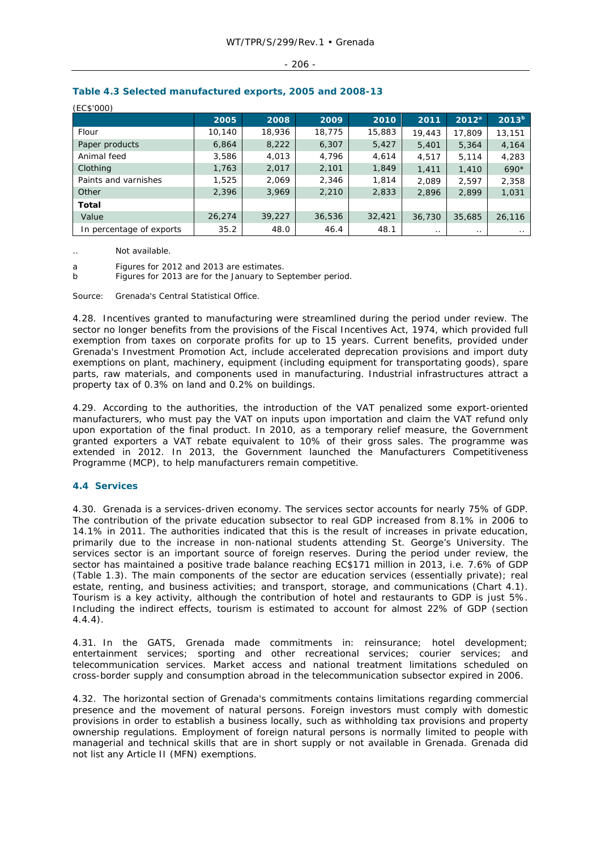#### $-206 -$

| (EC\$'000)               |        |        |        |        |        |           |                   |
|--------------------------|--------|--------|--------|--------|--------|-----------|-------------------|
|                          | 2005   | 2008   | 2009   | 2010   | 2011   | $2012^a$  | 2013 <sup>b</sup> |
| Flour                    | 10,140 | 18,936 | 18,775 | 15,883 | 19,443 | 17.809    | 13,151            |
| Paper products           | 6,864  | 8,222  | 6,307  | 5,427  | 5,401  | 5,364     | 4,164             |
| Animal feed              | 3,586  | 4,013  | 4,796  | 4,614  | 4,517  | 5,114     | 4,283             |
| Clothing                 | 1,763  | 2,017  | 2,101  | 1,849  | 1,411  | 1,410     | $690*$            |
| Paints and varnishes     | 1,525  | 2,069  | 2,346  | 1,814  | 2,089  | 2.597     | 2,358             |
| Other                    | 2,396  | 3,969  | 2,210  | 2,833  | 2,896  | 2,899     | 1,031             |
| <b>Total</b>             |        |        |        |        |        |           |                   |
| Value                    | 26,274 | 39,227 | 36,536 | 32,421 | 36,730 | 35,685    | 26,116            |
| In percentage of exports | 35.2   | 48.0   | 46.4   | 48.1   | . .    | $\cdot$ . | . .               |

# **Table 4.3 Selected manufactured exports, 2005 and 2008-13**

Not available.

a Figures for 2012 and 2013 are estimates.

b Figures for 2013 are for the January to September period.

Source: Grenada's Central Statistical Office.

4.28. Incentives granted to manufacturing were streamlined during the period under review. The sector no longer benefits from the provisions of the Fiscal Incentives Act, 1974, which provided full exemption from taxes on corporate profits for up to 15 years. Current benefits, provided under Grenada's Investment Promotion Act, include accelerated deprecation provisions and import duty exemptions on plant, machinery, equipment (including equipment for transportating goods), spare parts, raw materials, and components used in manufacturing. Industrial infrastructures attract a property tax of 0.3% on land and 0.2% on buildings.

4.29. According to the authorities, the introduction of the VAT penalized some export-oriented manufacturers, who must pay the VAT on inputs upon importation and claim the VAT refund only upon exportation of the final product. In 2010, as a temporary relief measure, the Government granted exporters a VAT rebate equivalent to 10% of their gross sales. The programme was extended in 2012. In 2013, the Government launched the Manufacturers Competitiveness Programme (MCP), to help manufacturers remain competitive.

### **4.4 Services**

4.30. Grenada is a services-driven economy. The services sector accounts for nearly 75% of GDP. The contribution of the private education subsector to real GDP increased from 8.1% in 2006 to 14.1% in 2011. The authorities indicated that this is the result of increases in private education, primarily due to the increase in non-national students attending St. George's University. The services sector is an important source of foreign reserves. During the period under review, the sector has maintained a positive trade balance reaching EC\$171 million in 2013, i.e. 7.6% of GDP (Table 1.3). The main components of the sector are education services (essentially private); real estate, renting, and business activities; and transport, storage, and communications (Chart 4.1). Tourism is a key activity, although the contribution of hotel and restaurants to GDP is just 5%. Including the indirect effects, tourism is estimated to account for almost 22% of GDP (section 4.4.4).

4.31. In the GATS, Grenada made commitments in: reinsurance; hotel development; entertainment services; sporting and other recreational services; courier services; and telecommunication services. Market access and national treatment limitations scheduled on cross-border supply and consumption abroad in the telecommunication subsector expired in 2006.

4.32. The horizontal section of Grenada's commitments contains limitations regarding commercial presence and the movement of natural persons. Foreign investors must comply with domestic provisions in order to establish a business locally, such as withholding tax provisions and property ownership regulations. Employment of foreign natural persons is normally limited to people with managerial and technical skills that are in short supply or not available in Grenada. Grenada did not list any Article II (MFN) exemptions.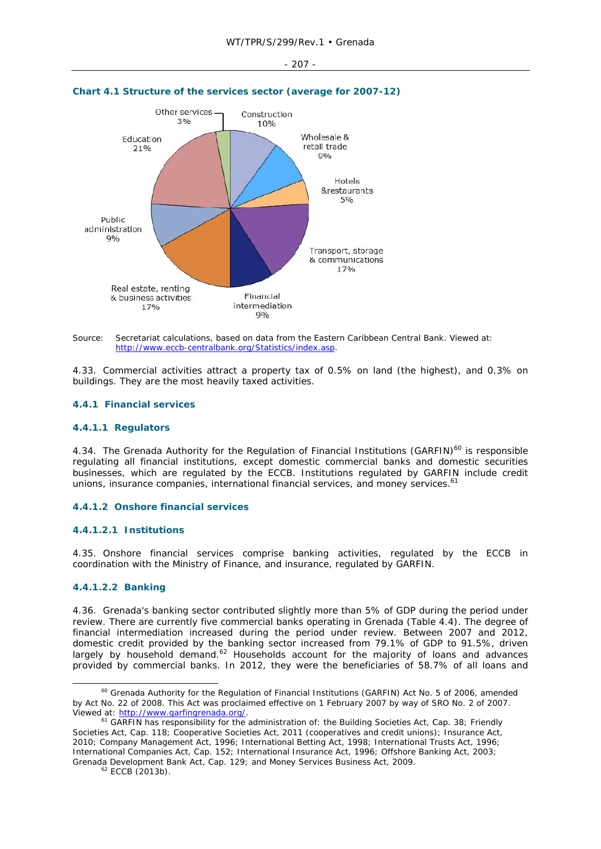- 207 -



#### **Chart 4.1 Structure of the services sector (average for 2007-12)**

Source: Secretariat calculations, based on data from the Eastern Caribbean Central Bank. Viewed at: http://www.eccb-centralbank.org/Statistics/index.asp.

4.33. Commercial activities attract a property tax of 0.5% on land (the highest), and 0.3% on buildings. They are the most heavily taxed activities.

#### **4.4.1 Financial services**

# **4.4.1.1 Regulators**

4.34. The Grenada Authority for the Regulation of Financial Institutions (GARFIN)<sup>60</sup> is responsible regulating all financial institutions, except domestic commercial banks and domestic securities businesses, which are regulated by the ECCB. Institutions regulated by GARFIN include credit unions, insurance companies, international financial services, and money services.<sup>61</sup>

### **4.4.1.2 Onshore financial services**

# **4.4.1.2.1 Institutions**

4.35. Onshore financial services comprise banking activities, regulated by the ECCB in coordination with the Ministry of Finance, and insurance, regulated by GARFIN.

### **4.4.1.2.2 Banking**

4.36. Grenada's banking sector contributed slightly more than 5% of GDP during the period under review. There are currently five commercial banks operating in Grenada (Table 4.4). The degree of financial intermediation increased during the period under review. Between 2007 and 2012, domestic credit provided by the banking sector increased from 79.1% of GDP to 91.5%, driven largely by household demand.<sup>62</sup> Households account for the majority of loans and advances provided by commercial banks. In 2012, they were the beneficiaries of 58.7% of all loans and

<sup>&</sup>lt;sup>60</sup> Grenada Authority for the Regulation of Financial Institutions (GARFIN) Act No. 5 of 2006, amended by Act No. 22 of 2008. This Act was proclaimed effective on 1 February 2007 by way of SRO No. 2 of 2007. Viewed at: http://www.garfingrenada.org/.<br><sup>61</sup> GARFIN has responsibility for the administration of: the Building Societies Act, Cap. 38; Friendly

Societies Act, Cap. 118; Cooperative Societies Act, 2011 (cooperatives and credit unions); Insurance Act, 2010; Company Management Act, 1996; International Betting Act, 1998; International Trusts Act, 1996; International Companies Act, Cap. 152; International Insurance Act, 1996; Offshore Banking Act, 2003; Grenada Development Bank Act, Cap. 129; and Money Services Business Act, 2009.<br><sup>62</sup> ECCB (2013b).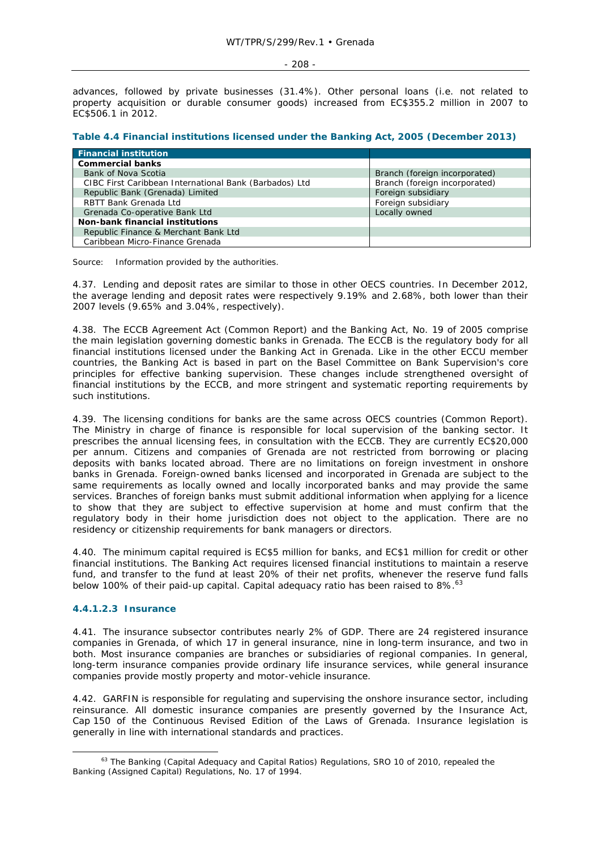#### $-208 -$

advances, followed by private businesses (31.4%). Other personal loans (i.e. not related to property acquisition or durable consumer goods) increased from EC\$355.2 million in 2007 to EC\$506.1 in 2012.

|  |  |  | Table 4.4 Financial institutions licensed under the Banking Act, 2005 (December 2013) |  |
|--|--|--|---------------------------------------------------------------------------------------|--|
|  |  |  |                                                                                       |  |

| <b>Financial institution</b>                           |                               |
|--------------------------------------------------------|-------------------------------|
| <b>Commercial banks</b>                                |                               |
| Bank of Nova Scotia                                    | Branch (foreign incorporated) |
| CIBC First Caribbean International Bank (Barbados) Ltd | Branch (foreign incorporated) |
| Republic Bank (Grenada) Limited                        | Foreign subsidiary            |
| RBTT Bank Grenada Ltd                                  | Foreign subsidiary            |
| Grenada Co-operative Bank Ltd                          | Locally owned                 |
| <b>Non-bank financial institutions</b>                 |                               |
| Republic Finance & Merchant Bank Ltd                   |                               |
| Caribbean Micro-Finance Grenada                        |                               |

Source: Information provided by the authorities.

4.37. Lending and deposit rates are similar to those in other OECS countries. In December 2012, the average lending and deposit rates were respectively 9.19% and 2.68%, both lower than their 2007 levels (9.65% and 3.04%, respectively).

4.38. The ECCB Agreement Act (Common Report) and the Banking Act, No. 19 of 2005 comprise the main legislation governing domestic banks in Grenada. The ECCB is the regulatory body for all financial institutions licensed under the Banking Act in Grenada. Like in the other ECCU member countries, the Banking Act is based in part on the Basel Committee on Bank Supervision's core principles for effective banking supervision. These changes include strengthened oversight of financial institutions by the ECCB, and more stringent and systematic reporting requirements by such institutions.

4.39. The licensing conditions for banks are the same across OECS countries (Common Report). The Ministry in charge of finance is responsible for local supervision of the banking sector. It prescribes the annual licensing fees, in consultation with the ECCB. They are currently EC\$20,000 per annum. Citizens and companies of Grenada are not restricted from borrowing or placing deposits with banks located abroad. There are no limitations on foreign investment in onshore banks in Grenada. Foreign-owned banks licensed and incorporated in Grenada are subject to the same requirements as locally owned and locally incorporated banks and may provide the same services. Branches of foreign banks must submit additional information when applying for a licence to show that they are subject to effective supervision at home and must confirm that the regulatory body in their home jurisdiction does not object to the application. There are no residency or citizenship requirements for bank managers or directors.

4.40. The minimum capital required is EC\$5 million for banks, and EC\$1 million for credit or other financial institutions. The Banking Act requires licensed financial institutions to maintain a reserve fund, and transfer to the fund at least 20% of their net profits, whenever the reserve fund falls below 100% of their paid-up capital. Capital adequacy ratio has been raised to  $8\%$ .<sup>63</sup>

### **4.4.1.2.3 Insurance**

4.41. The insurance subsector contributes nearly 2% of GDP. There are 24 registered insurance companies in Grenada, of which 17 in general insurance, nine in long-term insurance, and two in both. Most insurance companies are branches or subsidiaries of regional companies. In general, long-term insurance companies provide ordinary life insurance services, while general insurance companies provide mostly property and motor-vehicle insurance.

4.42. GARFIN is responsible for regulating and supervising the onshore insurance sector, including reinsurance. All domestic insurance companies are presently governed by the Insurance Act, Cap 150 of the Continuous Revised Edition of the Laws of Grenada. Insurance legislation is generally in line with international standards and practices.

<sup>&</sup>lt;sup>63</sup> The Banking (Capital Adequacy and Capital Ratios) Regulations, SRO 10 of 2010, repealed the Banking (Assigned Capital) Regulations, No. 17 of 1994.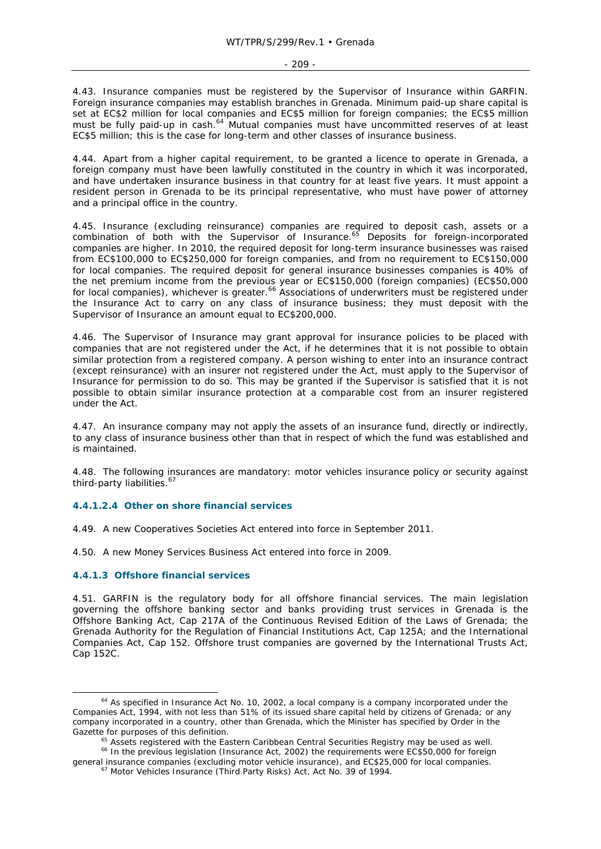4.43. Insurance companies must be registered by the Supervisor of Insurance within GARFIN. Foreign insurance companies may establish branches in Grenada. Minimum paid-up share capital is set at EC\$2 million for local companies and EC\$5 million for foreign companies; the EC\$5 million must be fully paid-up in cash.<sup>64</sup> Mutual companies must have uncommitted reserves of at least EC\$5 million; this is the case for long-term and other classes of insurance business.

4.44. Apart from a higher capital requirement, to be granted a licence to operate in Grenada, a foreign company must have been lawfully constituted in the country in which it was incorporated, and have undertaken insurance business in that country for at least five years. It must appoint a resident person in Grenada to be its principal representative, who must have power of attorney and a principal office in the country.

4.45. Insurance (excluding reinsurance) companies are required to deposit cash, assets or a combination of both with the Supervisor of Insurance.<sup>65</sup> Deposits for foreign-incorporated companies are higher. In 2010, the required deposit for long-term insurance businesses was raised from EC\$100,000 to EC\$250,000 for foreign companies, and from no requirement to EC\$150,000 for local companies. The required deposit for general insurance businesses companies is 40% of the net premium income from the previous year or EC\$150,000 (foreign companies) (EC\$50,000 for local companies), whichever is greater.<sup>66</sup> Associations of underwriters must be registered under the Insurance Act to carry on any class of insurance business; they must deposit with the Supervisor of Insurance an amount equal to EC\$200,000.

4.46. The Supervisor of Insurance may grant approval for insurance policies to be placed with companies that are not registered under the Act, if he determines that it is not possible to obtain similar protection from a registered company. A person wishing to enter into an insurance contract (except reinsurance) with an insurer not registered under the Act, must apply to the Supervisor of Insurance for permission to do so. This may be granted if the Supervisor is satisfied that it is not possible to obtain similar insurance protection at a comparable cost from an insurer registered under the Act.

4.47. An insurance company may not apply the assets of an insurance fund, directly or indirectly, to any class of insurance business other than that in respect of which the fund was established and is maintained.

4.48. The following insurances are mandatory: motor vehicles insurance policy or security against third-party liabilities.<sup>67</sup>

### **4.4.1.2.4 Other on shore financial services**

4.49. A new Cooperatives Societies Act entered into force in September 2011.

4.50. A new Money Services Business Act entered into force in 2009.

### **4.4.1.3 Offshore financial services**

4.51. GARFIN is the regulatory body for all offshore financial services. The main legislation governing the offshore banking sector and banks providing trust services in Grenada is the Offshore Banking Act, Cap 217A of the Continuous Revised Edition of the Laws of Grenada; the Grenada Authority for the Regulation of Financial Institutions Act, Cap 125A; and the International Companies Act, Cap 152. Offshore trust companies are governed by the International Trusts Act, Cap 152C.

 $64$  As specified in Insurance Act No. 10, 2002, a local company is a company incorporated under the Companies Act, 1994, with not less than 51% of its issued share capital held by citizens of Grenada; or any company incorporated in a country, other than Grenada, which the Minister has specified by Order in the *Gazette* for purposes of this definition.

<sup>&</sup>lt;sup>65</sup> Assets registered with the Eastern Caribbean Central Securities Registry may be used as well.

<sup>&</sup>lt;sup>66</sup> In the previous legislation (Insurance Act, 2002) the requirements were EC\$50,000 for foreign general insurance companies (excluding motor vehicle insurance), and EC\$25,000 for local companies. 67 Motor Vehicles Insurance (Third Party Risks) Act, Act No. 39 of 1994.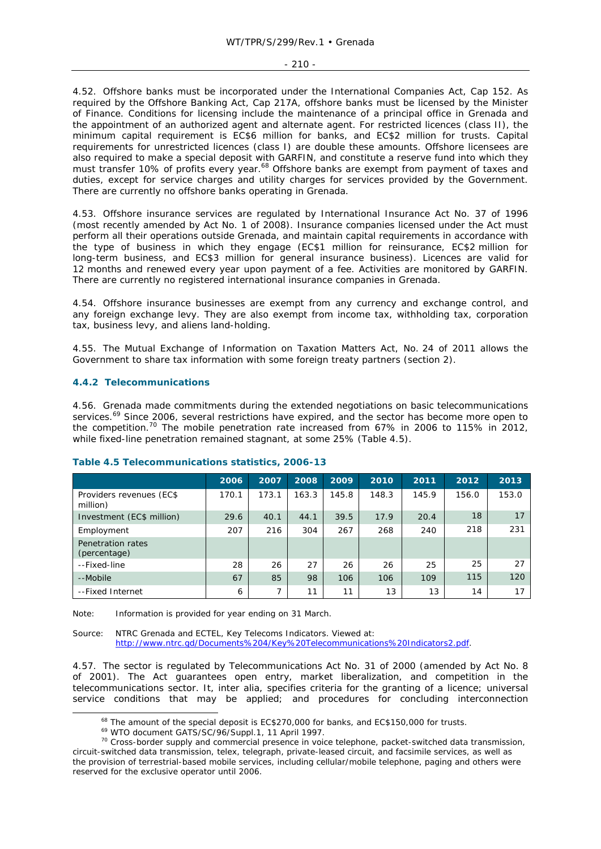4.52. Offshore banks must be incorporated under the International Companies Act, Cap 152. As required by the Offshore Banking Act, Cap 217A, offshore banks must be licensed by the Minister of Finance. Conditions for licensing include the maintenance of a principal office in Grenada and the appointment of an authorized agent and alternate agent. For restricted licences (class II), the minimum capital requirement is EC\$6 million for banks, and EC\$2 million for trusts. Capital requirements for unrestricted licences (class I) are double these amounts. Offshore licensees are also required to make a special deposit with GARFIN, and constitute a reserve fund into which they must transfer 10% of profits every year.<sup>68</sup> Offshore banks are exempt from payment of taxes and duties, except for service charges and utility charges for services provided by the Government. There are currently no offshore banks operating in Grenada.

4.53. Offshore insurance services are regulated by International Insurance Act No. 37 of 1996 (most recently amended by Act No. 1 of 2008). Insurance companies licensed under the Act must perform all their operations outside Grenada, and maintain capital requirements in accordance with the type of business in which they engage (EC\$1 million for reinsurance, EC\$2 million for long-term business, and EC\$3 million for general insurance business). Licences are valid for 12 months and renewed every year upon payment of a fee. Activities are monitored by GARFIN. There are currently no registered international insurance companies in Grenada.

4.54. Offshore insurance businesses are exempt from any currency and exchange control, and any foreign exchange levy. They are also exempt from income tax, withholding tax, corporation tax, business levy, and aliens land-holding.

4.55. The Mutual Exchange of Information on Taxation Matters Act, No. 24 of 2011 allows the Government to share tax information with some foreign treaty partners (section 2).

# **4.4.2 Telecommunications**

4.56. Grenada made commitments during the extended negotiations on basic telecommunications services.<sup>69</sup> Since 2006, several restrictions have expired, and the sector has become more open to the competition.<sup>70</sup> The mobile penetration rate increased from 67% in 2006 to 115% in 2012, while fixed-line penetration remained stagnant, at some 25% (Table 4.5).

|                                      | 2006  | 2007  | 2008  | 2009  | 2010  | 2011  | 2012  | 2013  |
|--------------------------------------|-------|-------|-------|-------|-------|-------|-------|-------|
| Providers revenues (EC\$<br>million) | 170.1 | 173.1 | 163.3 | 145.8 | 148.3 | 145.9 | 156.0 | 153.0 |
| Investment (EC\$ million)            | 29.6  | 40.1  | 44.1  | 39.5  | 17.9  | 20.4  | 18    | 17    |
| Employment                           | 207   | 216   | 304   | 267   | 268   | 240   | 218   | 231   |
| Penetration rates<br>(percentage)    |       |       |       |       |       |       |       |       |
| --Fixed-line                         | 28    | 26    | 27    | 26    | 26    | 25    | 25    | 27    |
| --Mobile                             | 67    | 85    | 98    | 106   | 106   | 109   | 115   | 120   |
| --Fixed Internet                     | 6     | 7     | 11    | 11    | 13    | 13    | 14    | 17    |

# **Table 4.5 Telecommunications statistics, 2006-13**

Note: Information is provided for year ending on 31 March.

Source: NTRC Grenada and ECTEL, *Key Telecoms Indicators*. Viewed at: http://www.ntrc.gd/Documents%204/Key%20Telecommunications%20Indicators2.pdf.

4.57. The sector is regulated by Telecommunications Act No. 31 of 2000 (amended by Act No. 8 of 2001). The Act guarantees open entry, market liberalization, and competition in the telecommunications sector. It, *inter alia*, specifies criteria for the granting of a licence; universal service conditions that may be applied; and procedures for concluding interconnection

<sup>&</sup>lt;sup>68</sup> The amount of the special deposit is EC\$270,000 for banks, and EC\$150,000 for trusts.<br><sup>69</sup> WTO document GATS/SC/96/Suppl.1, 11 April 1997.<br><sup>70</sup> Cross-border supply and commercial presence in voice telephone, packet-s circuit-switched data transmission, telex, telegraph, private-leased circuit, and facsimile services, as well as the provision of terrestrial-based mobile services, including cellular/mobile telephone, paging and others were reserved for the exclusive operator until 2006.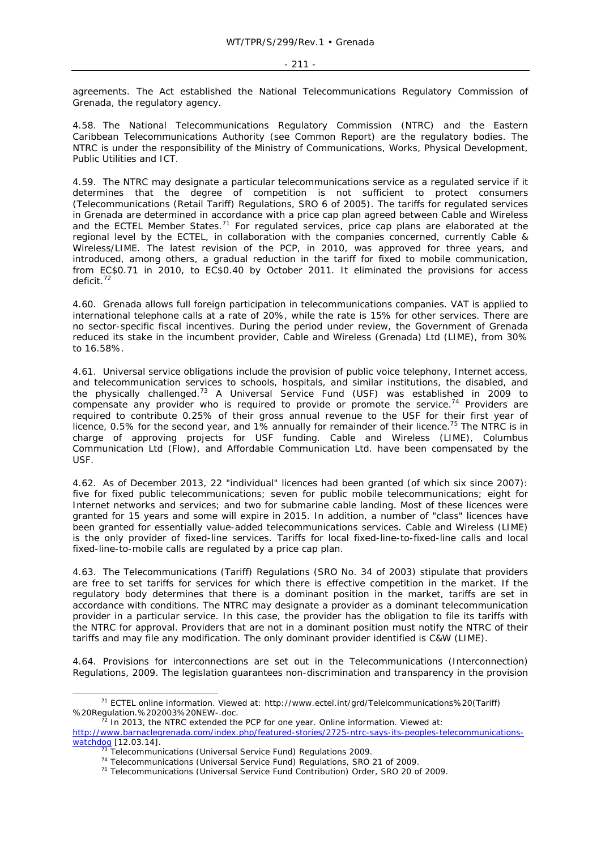agreements. The Act established the National Telecommunications Regulatory Commission of Grenada, the regulatory agency.

4.58. The National Telecommunications Regulatory Commission (NTRC) and the Eastern Caribbean Telecommunications Authority (see Common Report) are the regulatory bodies. The NTRC is under the responsibility of the Ministry of Communications, Works, Physical Development, Public Utilities and ICT.

4.59. The NTRC may designate a particular telecommunications service as a regulated service if it determines that the degree of competition is not sufficient to protect consumers (Telecommunications (Retail Tariff) Regulations, SRO 6 of 2005). The tariffs for regulated services in Grenada are determined in accordance with a price cap plan agreed between Cable and Wireless and the ECTEL Member States.<sup>71</sup> For regulated services, price cap plans are elaborated at the regional level by the ECTEL, in collaboration with the companies concerned, currently Cable & Wireless/LIME. The latest revision of the PCP, in 2010, was approved for three years, and introduced, among others, a gradual reduction in the tariff for fixed to mobile communication, from EC\$0.71 in 2010, to EC\$0.40 by October 2011. It eliminated the provisions for access deficit.72

4.60. Grenada allows full foreign participation in telecommunications companies. VAT is applied to international telephone calls at a rate of 20%, while the rate is 15% for other services. There are no sector-specific fiscal incentives. During the period under review, the Government of Grenada reduced its stake in the incumbent provider, Cable and Wireless (Grenada) Ltd (LIME), from 30% to 16.58%.

4.61. Universal service obligations include the provision of public voice telephony, Internet access, and telecommunication services to schools, hospitals, and similar institutions, the disabled, and the physically challenged.73 A Universal Service Fund (USF) was established in 2009 to compensate any provider who is required to provide or promote the service.<sup>74</sup> Providers are required to contribute 0.25% of their gross annual revenue to the USF for their first year of licence, 0.5% for the second year, and 1% annually for remainder of their licence.<sup>75</sup> The NTRC is in charge of approving projects for USF funding. Cable and Wireless (LIME), Columbus Communication Ltd (Flow), and Affordable Communication Ltd. have been compensated by the USF.

4.62. As of December 2013, 22 "individual" licences had been granted (of which six since 2007): five for fixed public telecommunications; seven for public mobile telecommunications; eight for Internet networks and services; and two for submarine cable landing. Most of these licences were granted for 15 years and some will expire in 2015. In addition, a number of "class" licences have been granted for essentially value-added telecommunications services. Cable and Wireless (LIME) is the only provider of fixed-line services. Tariffs for local fixed-line-to-fixed-line calls and local fixed-line-to-mobile calls are regulated by a price cap plan.

4.63. The Telecommunications (Tariff) Regulations (SRO No. 34 of 2003) stipulate that providers are free to set tariffs for services for which there is effective competition in the market. If the regulatory body determines that there is a dominant position in the market, tariffs are set in accordance with conditions. The NTRC may designate a provider as a dominant telecommunication provider in a particular service. In this case, the provider has the obligation to file its tariffs with the NTRC for approval. Providers that are not in a dominant position must notify the NTRC of their tariffs and may file any modification. The only dominant provider identified is C&W (LIME).

4.64. Provisions for interconnections are set out in the Telecommunications (Interconnection) Regulations, 2009. The legislation guarantees non-discrimination and transparency in the provision

 <sup>71</sup> ECTEL online information. Viewed at: http://www.ectel.int/grd/Telelcommunications%20(Tariff) %20Regulation.%202003%20NEW-.doc.<br><sup>72</sup> In 2013, the NTRC extended the PCP for one year. Online information. Viewed at:

http://www.barnaclegrenada.com/index.php/featured-stories/2725-ntrc-says-its-peoples-telecommunications-watchdog [12.03.14].

 $^{73}$  Telecommunications (Universal Service Fund) Regulations 2009.<br><sup>74</sup> Telecommunications (Universal Service Fund) Regulations, SRO 21 of 2009.<br><sup>75</sup> Telecommunications (Universal Service Fund Contribution) Order, SRO 2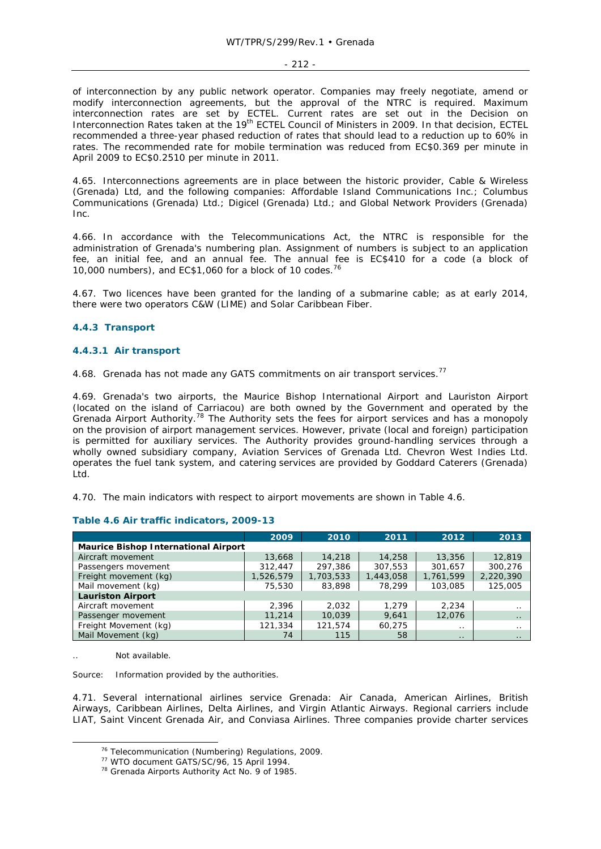#### - 212 -

of interconnection by any public network operator. Companies may freely negotiate, amend or modify interconnection agreements, but the approval of the NTRC is required. Maximum interconnection rates are set by ECTEL. Current rates are set out in the Decision on Interconnection Rates taken at the 19<sup>th</sup> ECTEL Council of Ministers in 2009. In that decision, ECTEL recommended a three-year phased reduction of rates that should lead to a reduction up to 60% in rates. The recommended rate for mobile termination was reduced from EC\$0.369 per minute in April 2009 to EC\$0.2510 per minute in 2011.

4.65. Interconnections agreements are in place between the historic provider, Cable & Wireless (Grenada) Ltd, and the following companies: Affordable Island Communications Inc.; Columbus Communications (Grenada) Ltd.; Digicel (Grenada) Ltd.; and Global Network Providers (Grenada) Inc.

4.66. In accordance with the Telecommunications Act, the NTRC is responsible for the administration of Grenada's numbering plan. Assignment of numbers is subject to an application fee, an initial fee, and an annual fee. The annual fee is EC\$410 for a code (a block of 10,000 numbers), and EC\$1,060 for a block of 10 codes.76

4.67. Two licences have been granted for the landing of a submarine cable; as at early 2014, there were two operators C&W (LIME) and Solar Caribbean Fiber.

### **4.4.3 Transport**

#### **4.4.3.1 Air transport**

4.68. Grenada has not made any GATS commitments on air transport services.<sup>77</sup>

4.69. Grenada's two airports, the Maurice Bishop International Airport and Lauriston Airport (located on the island of Carriacou) are both owned by the Government and operated by the Grenada Airport Authority.78 The Authority sets the fees for airport services and has a monopoly on the provision of airport management services. However, private (local and foreign) participation is permitted for auxiliary services. The Authority provides ground-handling services through a wholly owned subsidiary company, Aviation Services of Grenada Ltd. Chevron West Indies Ltd. operates the fuel tank system, and catering services are provided by Goddard Caterers (Grenada) Ltd.

4.70. The main indicators with respect to airport movements are shown in Table 4.6.

|                                             | 2009      | 2010      | 2011      | 2012      | 2013      |  |  |  |  |  |  |
|---------------------------------------------|-----------|-----------|-----------|-----------|-----------|--|--|--|--|--|--|
| <b>Maurice Bishop International Airport</b> |           |           |           |           |           |  |  |  |  |  |  |
| Aircraft movement                           | 13,668    | 14,218    | 14,258    | 13,356    | 12,819    |  |  |  |  |  |  |
| Passengers movement                         | 312,447   | 297.386   | 307,553   | 301,657   | 300.276   |  |  |  |  |  |  |
| Freight movement (kg)                       | 1,526,579 | 1,703,533 | 1,443,058 | 1,761,599 | 2,220,390 |  |  |  |  |  |  |
| Mail movement (kg)                          | 75,530    | 83,898    | 78,299    | 103,085   | 125,005   |  |  |  |  |  |  |
| <b>Lauriston Airport</b>                    |           |           |           |           |           |  |  |  |  |  |  |
| Aircraft movement                           | 2.396     | 2.032     | 1.279     | 2.234     | $\cdot$ . |  |  |  |  |  |  |
| Passenger movement                          | 11,214    | 10,039    | 9,641     | 12,076    | $\cdot$ . |  |  |  |  |  |  |
| Freight Movement (kg)                       | 121,334   | 121.574   | 60.275    | $\cdot$ . | $\cdot$ . |  |  |  |  |  |  |
| Mail Movement (kg)                          | 74        | 115       | 58        | $\cdot$ . | $\cdot$ . |  |  |  |  |  |  |

#### **Table 4.6 Air traffic indicators, 2009-13**

Not available.

Source: Information provided by the authorities.

4.71. Several international airlines service Grenada: Air Canada, American Airlines, British Airways, Caribbean Airlines, Delta Airlines, and Virgin Atlantic Airways. Regional carriers include LIAT, Saint Vincent Grenada Air, and Conviasa Airlines. Three companies provide charter services

<sup>&</sup>lt;sup>76</sup> Telecommunication (Numbering) Regulations, 2009.<br><sup>77</sup> WTO document GATS/SC/96, 15 April 1994.<br><sup>78</sup> Grenada Airports Authority Act No. 9 of 1985.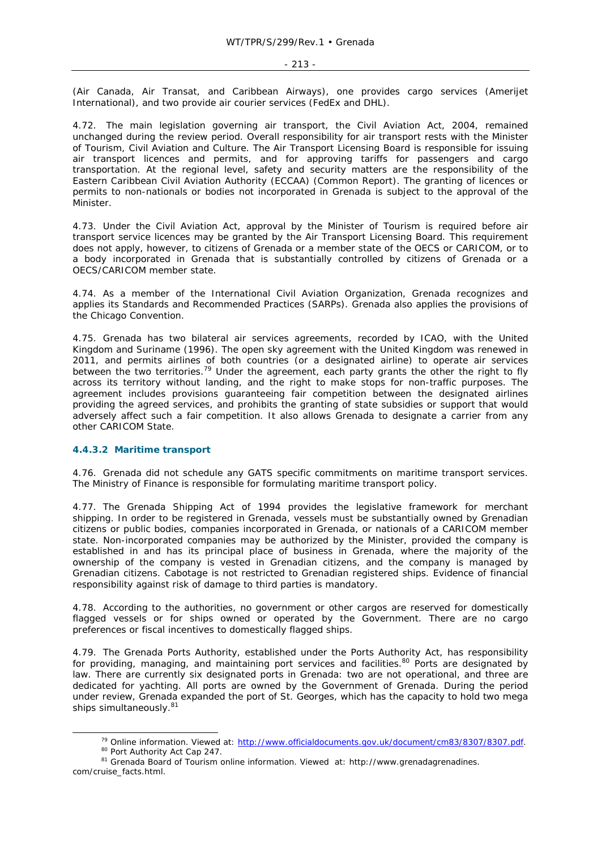(Air Canada, Air Transat, and Caribbean Airways), one provides cargo services (Amerijet International), and two provide air courier services (FedEx and DHL).

4.72. The main legislation governing air transport, the Civil Aviation Act, 2004, remained unchanged during the review period. Overall responsibility for air transport rests with the Minister of Tourism, Civil Aviation and Culture. The Air Transport Licensing Board is responsible for issuing air transport licences and permits, and for approving tariffs for passengers and cargo transportation. At the regional level, safety and security matters are the responsibility of the Eastern Caribbean Civil Aviation Authority (ECCAA) (Common Report). The granting of licences or permits to non-nationals or bodies not incorporated in Grenada is subject to the approval of the Minister.

4.73. Under the Civil Aviation Act, approval by the Minister of Tourism is required before air transport service licences may be granted by the Air Transport Licensing Board. This requirement does not apply, however, to citizens of Grenada or a member state of the OECS or CARICOM, or to a body incorporated in Grenada that is substantially controlled by citizens of Grenada or a OECS/CARICOM member state.

4.74. As a member of the International Civil Aviation Organization, Grenada recognizes and applies its Standards and Recommended Practices (SARPs). Grenada also applies the provisions of the Chicago Convention.

4.75. Grenada has two bilateral air services agreements, recorded by ICAO, with the United Kingdom and Suriname (1996). The open sky agreement with the United Kingdom was renewed in 2011, and permits airlines of both countries (or a designated airline) to operate air services between the two territories.<sup>79</sup> Under the agreement, each party grants the other the right to fly across its territory without landing, and the right to make stops for non-traffic purposes. The agreement includes provisions guaranteeing fair competition between the designated airlines providing the agreed services, and prohibits the granting of state subsidies or support that would adversely affect such a fair competition. It also allows Grenada to designate a carrier from any other CARICOM State.

### **4.4.3.2 Maritime transport**

4.76. Grenada did not schedule any GATS specific commitments on maritime transport services. The Ministry of Finance is responsible for formulating maritime transport policy.

4.77. The Grenada Shipping Act of 1994 provides the legislative framework for merchant shipping. In order to be registered in Grenada, vessels must be substantially owned by Grenadian citizens or public bodies, companies incorporated in Grenada, or nationals of a CARICOM member state. Non-incorporated companies may be authorized by the Minister, provided the company is established in and has its principal place of business in Grenada, where the majority of the ownership of the company is vested in Grenadian citizens, and the company is managed by Grenadian citizens. Cabotage is not restricted to Grenadian registered ships. Evidence of financial responsibility against risk of damage to third parties is mandatory.

4.78. According to the authorities, no government or other cargos are reserved for domestically flagged vessels or for ships owned or operated by the Government. There are no cargo preferences or fiscal incentives to domestically flagged ships.

4.79. The Grenada Ports Authority, established under the Ports Authority Act, has responsibility for providing, managing, and maintaining port services and facilities.<sup>80</sup> Ports are designated by law. There are currently six designated ports in Grenada: two are not operational, and three are dedicated for yachting. All ports are owned by the Government of Grenada. During the period under review, Grenada expanded the port of St. Georges, which has the capacity to hold two mega ships simultaneously. $8$ 

<sup>&</sup>lt;sup>79</sup> Online information. Viewed at: http://www.officialdocuments.gov.uk/document/cm83/8307/8307.pdf. 80 Port Authority Act Cap 247. 81 Grenada Board of Tourism online information. Viewed at: http://www.grenadagrenadines.

com/cruise\_facts.html.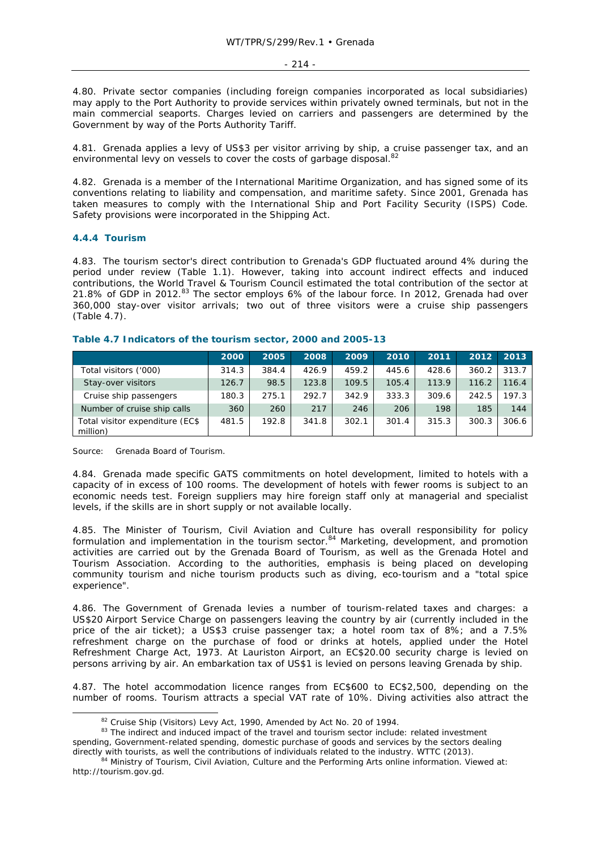4.80. Private sector companies (including foreign companies incorporated as local subsidiaries) may apply to the Port Authority to provide services within privately owned terminals, but not in the main commercial seaports. Charges levied on carriers and passengers are determined by the Government by way of the Ports Authority Tariff.

4.81. Grenada applies a levy of US\$3 per visitor arriving by ship, a cruise passenger tax, and an environmental levy on vessels to cover the costs of garbage disposal.<sup>82</sup>

4.82. Grenada is a member of the International Maritime Organization, and has signed some of its conventions relating to liability and compensation, and maritime safety. Since 2001, Grenada has taken measures to comply with the International Ship and Port Facility Security (ISPS) Code. Safety provisions were incorporated in the Shipping Act.

### **4.4.4 Tourism**

4.83. The tourism sector's direct contribution to Grenada's GDP fluctuated around 4% during the period under review (Table 1.1). However, taking into account indirect effects and induced contributions, the World Travel & Tourism Council estimated the total contribution of the sector at 21.8% of GDP in 2012.83 The sector employs 6% of the labour force. In 2012, Grenada had over 360,000 stay-over visitor arrivals; two out of three visitors were a cruise ship passengers (Table 4.7).

|                                             | 2000  | 2005  | 2008  | 2009  | 2010  | 2011  | 2012  | 2013  |
|---------------------------------------------|-------|-------|-------|-------|-------|-------|-------|-------|
| Total visitors ('000)                       | 314.3 | 384.4 | 426.9 | 459.2 | 445.6 | 428.6 | 360.2 | 313.7 |
| Stay-over visitors                          | 126.7 | 98.5  | 123.8 | 109.5 | 105.4 | 113.9 | 116.2 | 116.4 |
| Cruise ship passengers                      | 180.3 | 275.1 | 292.7 | 342.9 | 333.3 | 309.6 | 242.5 | 197.3 |
| Number of cruise ship calls                 | 360   | 260   | 217   | 246   | 206   | 198   | 185   | 144   |
| Total visitor expenditure (EC\$<br>million) | 481.5 | 192.8 | 341.8 | 302.1 | 301.4 | 315.3 | 300.3 | 306.6 |

#### **Table 4.7 Indicators of the tourism sector, 2000 and 2005-13**

Source: Grenada Board of Tourism.

4.84. Grenada made specific GATS commitments on hotel development, limited to hotels with a capacity of in excess of 100 rooms. The development of hotels with fewer rooms is subject to an economic needs test. Foreign suppliers may hire foreign staff only at managerial and specialist levels, if the skills are in short supply or not available locally.

4.85. The Minister of Tourism, Civil Aviation and Culture has overall responsibility for policy formulation and implementation in the tourism sector.<sup>84</sup> Marketing, development, and promotion activities are carried out by the Grenada Board of Tourism, as well as the Grenada Hotel and Tourism Association. According to the authorities, emphasis is being placed on developing community tourism and niche tourism products such as diving, eco-tourism and a "total spice experience".

4.86. The Government of Grenada levies a number of tourism-related taxes and charges: a US\$20 Airport Service Charge on passengers leaving the country by air (currently included in the price of the air ticket); a US\$3 cruise passenger tax; a hotel room tax of 8%; and a 7.5% refreshment charge on the purchase of food or drinks at hotels, applied under the Hotel Refreshment Charge Act, 1973. At Lauriston Airport, an EC\$20.00 security charge is levied on persons arriving by air. An embarkation tax of US\$1 is levied on persons leaving Grenada by ship.

4.87. The hotel accommodation licence ranges from EC\$600 to EC\$2,500, depending on the number of rooms. Tourism attracts a special VAT rate of 10%. Diving activities also attract the

 $82$  Cruise Ship (Visitors) Levy Act, 1990, Amended by Act No. 20 of 1994.<br>  $83$  The indirect and induced impact of the travel and tourism sector include: related investment spending, Government-related spending, domestic purchase of goods and services by the sectors dealing directly with tourists, as well the contributions of individuals related to the industry. WTTC (2013).<br><sup>84</sup> Ministry of Tourism, Civil Aviation, Culture and the Performing Arts online information. Viewed at:

http://tourism.gov.gd.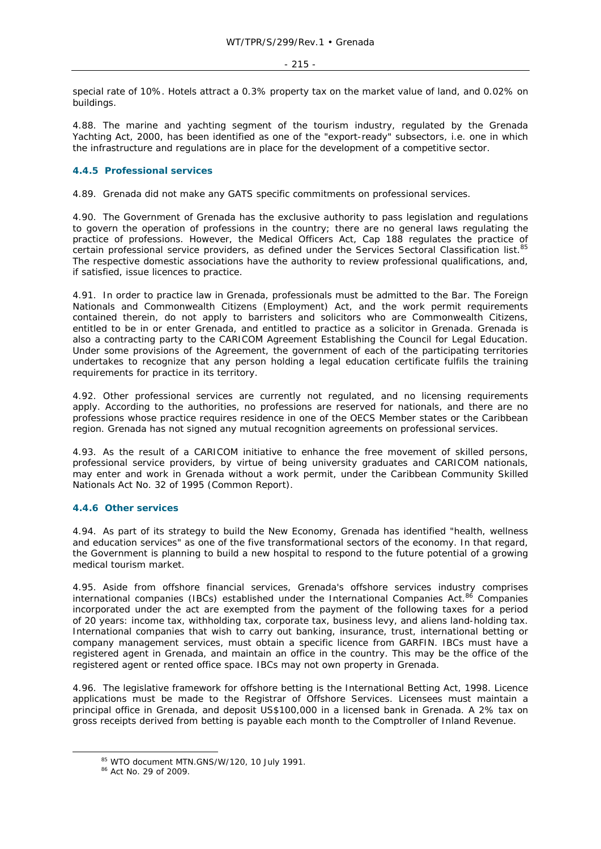special rate of 10%. Hotels attract a 0.3% property tax on the market value of land, and 0.02% on buildings.

4.88. The marine and yachting segment of the tourism industry, regulated by the Grenada Yachting Act, 2000, has been identified as one of the "export-ready" subsectors, i.e. one in which the infrastructure and regulations are in place for the development of a competitive sector.

# **4.4.5 Professional services**

4.89. Grenada did not make any GATS specific commitments on professional services.

4.90. The Government of Grenada has the exclusive authority to pass legislation and regulations to govern the operation of professions in the country; there are no general laws regulating the practice of professions. However, the Medical Officers Act, Cap 188 regulates the practice of certain professional service providers, as defined under the Services Sectoral Classification list.<sup>85</sup> The respective domestic associations have the authority to review professional qualifications, and, if satisfied, issue licences to practice.

4.91. In order to practice law in Grenada, professionals must be admitted to the Bar. The Foreign Nationals and Commonwealth Citizens (Employment) Act, and the work permit requirements contained therein, do not apply to barristers and solicitors who are Commonwealth Citizens, entitled to be in or enter Grenada, and entitled to practice as a solicitor in Grenada. Grenada is also a contracting party to the CARICOM Agreement Establishing the Council for Legal Education. Under some provisions of the Agreement, the government of each of the participating territories undertakes to recognize that any person holding a legal education certificate fulfils the training requirements for practice in its territory.

4.92. Other professional services are currently not regulated, and no licensing requirements apply. According to the authorities, no professions are reserved for nationals, and there are no professions whose practice requires residence in one of the OECS Member states or the Caribbean region. Grenada has not signed any mutual recognition agreements on professional services.

4.93. As the result of a CARICOM initiative to enhance the free movement of skilled persons, professional service providers, by virtue of being university graduates and CARICOM nationals, may enter and work in Grenada without a work permit, under the Caribbean Community Skilled Nationals Act No. 32 of 1995 (Common Report).

# **4.4.6 Other services**

4.94. As part of its strategy to build the New Economy, Grenada has identified "health, wellness and education services" as one of the five transformational sectors of the economy. In that regard, the Government is planning to build a new hospital to respond to the future potential of a growing medical tourism market.

4.95. Aside from offshore financial services, Grenada's offshore services industry comprises international companies (IBCs) established under the International Companies Act.<sup>86</sup> Companies incorporated under the act are exempted from the payment of the following taxes for a period of 20 years: income tax, withholding tax, corporate tax, business levy, and aliens land-holding tax. International companies that wish to carry out banking, insurance, trust, international betting or company management services, must obtain a specific licence from GARFIN. IBCs must have a registered agent in Grenada, and maintain an office in the country. This may be the office of the registered agent or rented office space. IBCs may not own property in Grenada.

4.96. The legislative framework for offshore betting is the International Betting Act, 1998. Licence applications must be made to the Registrar of Offshore Services. Licensees must maintain a principal office in Grenada, and deposit US\$100,000 in a licensed bank in Grenada. A 2% tax on gross receipts derived from betting is payable each month to the Comptroller of Inland Revenue.

 $85$  WTO document MTN.GNS/W/120, 10 July 1991.<br> $86$  Act No. 29 of 2009.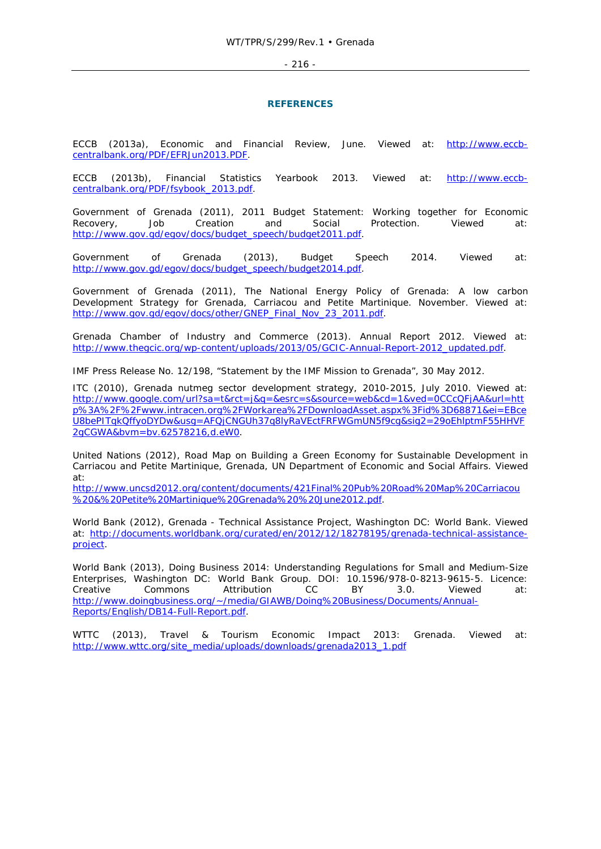#### - 216 -

#### **REFERENCES**

ECCB (2013a), *Economic and Financial Review*, June. Viewed at: http://www.eccbcentralbank.org/PDF/EFRJun2013.PDF.

ECCB (2013b), *Financial Statistics Yearbook 2013*. Viewed at: http://www.eccbcentralbank.org/PDF/fsybook\_2013.pdf.

Government of Grenada (2011), *2011 Budget Statement: Working together for Economic Recovery, Job Creation and Social Protection*. Viewed at: http://www.gov.gd/egov/docs/budget\_speech/budget2011.pdf.

Government of Grenada (2013), *Budget Speech 2014*. Viewed at: http://www.gov.gd/egov/docs/budget\_speech/budget2014.pdf.

Government of Grenada (2011), *The National Energy Policy of Grenada: A low carbon Development Strategy for Grenada, Carriacou and Petite Martinique*. November. Viewed at: http://www.gov.gd/egov/docs/other/GNEP\_Final\_Nov\_23\_2011.pdf.

Grenada Chamber of Industry and Commerce (2013). *Annual Report 2012*. Viewed at: http://www.thegcic.org/wp-content/uploads/2013/05/GCIC-Annual-Report-2012\_updated.pdf.

IMF Press Release No. 12/198, "Statement by the IMF Mission to Grenada", 30 May 2012.

ITC (2010), *Grenada nutmeg sector development strategy, 2010-2015*, July 2010. Viewed at: http://www.google.com/url?sa=t&rct=j&q=&esrc=s&source=web&cd=1&ved=0CCcQFjAA&url=htt p%3A%2F%2Fwww.intracen.org%2FWorkarea%2FDownloadAsset.aspx%3Fid%3D68871&ei=EBce U8bePITqkQffyoDYDw&usg=AFQjCNGUh37q8lyRaVEctFRFWGmUN5f9cg&sig2=29oEhlptmF55HHVF 2gCGWA&bvm=bv.62578216,d.eW0.

United Nations (2012), *Road Map on Building a Green Economy for Sustainable Development in Carriacou and Petite Martinique, Grenada,* UN Department of Economic and Social Affairs. Viewed at:

http://www.uncsd2012.org/content/documents/421Final%20Pub%20Road%20Map%20Carriacou %20&%20Petite%20Martinique%20Grenada%20%20June2012.pdf.

World Bank (2012), *Grenada - Technical Assistance Project,* Washington DC: World Bank. Viewed at: http://documents.worldbank.org/curated/en/2012/12/18278195/grenada-technical-assistanceproject.

World Bank (2013), *Doing Business 2014: Understanding Regulations for Small and Medium-Size Enterprises*, Washington DC: World Bank Group. DOI: 10.1596/978-0-8213-9615-5. Licence: Creative Commons Attribution CC BY 3.0. Viewed at: http://www.doingbusiness.org/~/media/GIAWB/Doing%20Business/Documents/Annual-Reports/English/DB14-Full-Report.pdf.

WTTC (2013), *Travel & Tourism Economic Impact 2013: Grenada.* Viewed at: http://www.wttc.org/site\_media/uploads/downloads/grenada2013\_1.pdf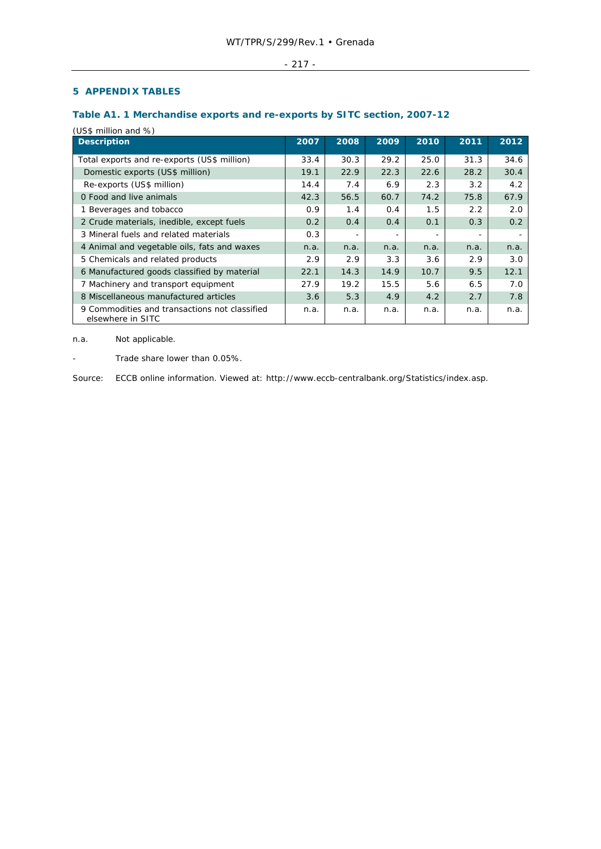### - 217 -

# **5 APPENDIX TABLES**

# **Table A1. 1 Merchandise exports and re-exports by SITC section, 2007-12**

(US\$ million and %)

| <b>Description</b>                                                 | 2007 | 2008 | 2009 | 2010 | 2011 | 2012 |
|--------------------------------------------------------------------|------|------|------|------|------|------|
| Total exports and re-exports (US\$ million)                        | 33.4 | 30.3 | 29.2 | 25.0 | 31.3 | 34.6 |
| Domestic exports (US\$ million)                                    | 19.1 | 22.9 | 22.3 | 22.6 | 28.2 | 30.4 |
| Re-exports (US\$ million)                                          | 14.4 | 7.4  | 6.9  | 2.3  | 3.2  | 4.2  |
| 0 Food and live animals                                            | 42.3 | 56.5 | 60.7 | 74.2 | 75.8 | 67.9 |
| 1 Beverages and tobacco                                            | 0.9  | 1.4  | 0.4  | 1.5  | 2.2  | 2.0  |
| 2 Crude materials, inedible, except fuels                          | 0.2  | 0.4  | 0.4  | 0.1  | 0.3  | 0.2  |
| 3 Mineral fuels and related materials                              | 0.3  |      |      |      |      |      |
| 4 Animal and vegetable oils, fats and waxes                        | n.a. | n.a. | n.a. | n.a. | n.a. | n.a. |
| 5 Chemicals and related products                                   | 2.9  | 2.9  | 3.3  | 3.6  | 2.9  | 3.0  |
| 6 Manufactured goods classified by material                        | 22.1 | 14.3 | 14.9 | 10.7 | 9.5  | 12.1 |
| 7 Machinery and transport equipment                                | 27.9 | 19.2 | 15.5 | 5.6  | 6.5  | 7.0  |
| 8 Miscellaneous manufactured articles                              | 3.6  | 5.3  | 4.9  | 4.2  | 2.7  | 7.8  |
| 9 Commodities and transactions not classified<br>elsewhere in SITC | n.a. | n.a. | n.a. | n.a. | n.a. | n.a. |

n.a. Not applicable.

- Trade share lower than 0.05%.

Source: ECCB online information. Viewed at: http://www.eccb-centralbank.org/Statistics/index.asp.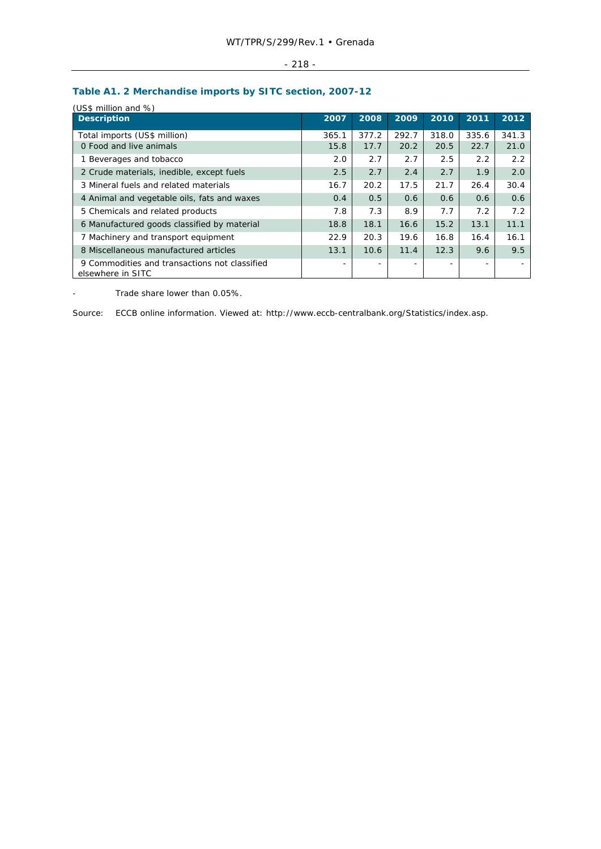| $\sim$ $\sim$<br>. .<br>$- \cdot -$ |
|-------------------------------------|
|                                     |

# **Table A1. 2 Merchandise imports by SITC section, 2007-12**

| <b>Description</b>                                                 | 2007                     | 2008                     | 2009  | 2010  | 2011  | 2012  |
|--------------------------------------------------------------------|--------------------------|--------------------------|-------|-------|-------|-------|
| Total imports (US\$ million)                                       | 365.1                    | 377.2                    | 292.7 | 318.0 | 335.6 | 341.3 |
| 0 Food and live animals                                            | 15.8                     | 17.7                     | 20.2  | 20.5  | 22.7  | 21.0  |
| 1 Beverages and tobacco                                            | 2.0                      | 2.7                      | 2.7   | 2.5   | 2.2   | 2.2   |
| 2 Crude materials, inedible, except fuels                          | 2.5                      | 2.7                      | 2.4   | 2.7   | 1.9   | 2.0   |
| 3 Mineral fuels and related materials                              | 16.7                     | 20.2                     | 17.5  | 21.7  | 26.4  | 30.4  |
| 4 Animal and vegetable oils, fats and waxes                        | 0.4                      | 0.5                      | 0.6   | 0.6   | 0.6   | 0.6   |
| 5 Chemicals and related products                                   | 7.8                      | 7.3                      | 8.9   | 7.7   | 7.2   | 7.2   |
| 6 Manufactured goods classified by material                        | 18.8                     | 18.1                     | 16.6  | 15.2  | 13.1  | 11.1  |
| 7 Machinery and transport equipment                                | 22.9                     | 20.3                     | 19.6  | 16.8  | 16.4  | 16.1  |
| 8 Miscellaneous manufactured articles                              | 13.1                     | 10.6                     | 11.4  | 12.3  | 9.6   | 9.5   |
| 9 Commodities and transactions not classified<br>elsewhere in SITC | $\overline{\phantom{a}}$ | $\overline{\phantom{0}}$ |       |       |       |       |

- Trade share lower than 0.05%.

Source: ECCB online information. Viewed at: http://www.eccb-centralbank.org/Statistics/index.asp.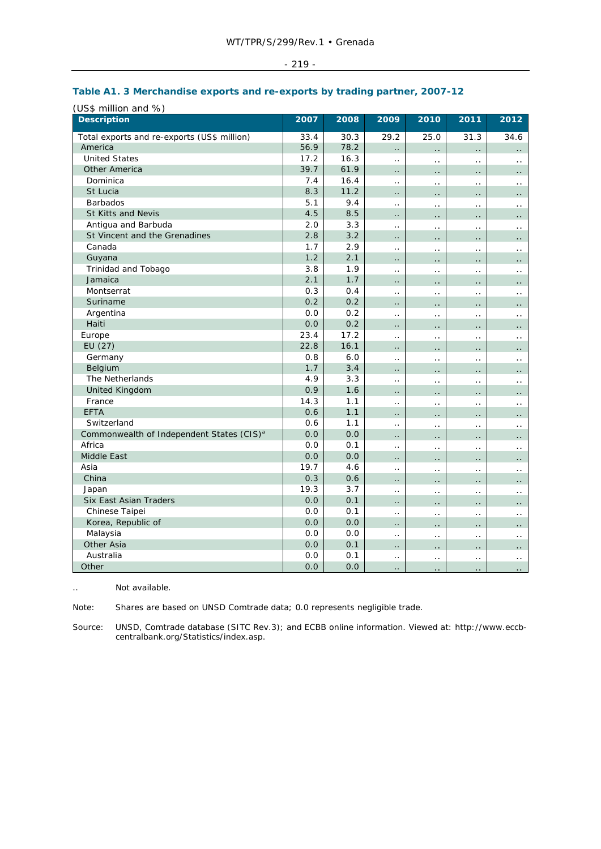|  | ٠ |
|--|---|
|--|---|

### (US\$ million and %) **Description 2007 2008 2009 2010 2011 2012** Total exports and re-exports (US\$ million) 33.4 30.3 29.2 25.0 31.3 34.6 America 56.9 78.2 .. .. .. .. United States 17.2 16.3 .. .. .. .. Other America  $\begin{bmatrix} 39.7 & 61.9 & \dots & \dots & \dots \end{bmatrix}$  Dominica 7.4 16.4 .. .. .. .. St Lucia 8.3 11.2 .. .. .. .. .. ا ... | ... | ... | ... | ... | ... | ... | ... | ... | ... | ... | ... | ... | ... | ... | ... | ... | ... St Kitts and Nevis 4.5 8.5 .. .. .. .. Antigua and Barbuda 2.0 3.3 .. .. .. .. St Vincent and the Grenadines 2.8 3.2 .. .. .. .. .. المساح السابق التابعي المساح التي التي تعليم التي تعليم التي تعليم التي تعليم التي تعليم التي تعليم التي تع<br>التي التي تعليم التي تعليم التي تعليم التي تعليم التي تعليم التي تعليم التي تعليم التي تعليم التي تعليم التي ت ... المساحل الساحل المساحل المساحل المساحل المساحل المساحل المساحل المساحل المساحل المساحل المساحل المساحل الم Trinidad and Tobago 3.8 1.9 ... Jamaica 2.1 1.7 .. .. .. .. Montserrat 0.3 0.4 .. .. .. .. Suriname 0.2 0.2 .. .. .. .. Argentina 0.0 0.2 .. .. .. .. ... السلطان السلطان العربي العربي العربي العربي العربي العربي العربي العربي العربي العربي العربي العربي العربي Europe 23.4 17.2 .. .. .. .. EU (27) EU (27)  $\begin{bmatrix} 22.8 & 16.1 & \dots & \dots & \dots & \dots \end{bmatrix}$  Germany 0.8 6.0 .. .. .. .. ... المساوات المساوات المساوات المساوات المساوات المساوات المساوات المساوات المساوات المساوات المساوات المساوا The Netherlands  $\begin{array}{|c|c|c|c|c|c|c|c|} \hline 4.9 & 3.3 & . . . \hline \end{array}$  United Kingdom 0.9 1.6 .. .. .. .. France 14.3 1.1 .. .. .. .. EFTA 0.6 1.1 .. .. .. .. Switzerland  $\begin{bmatrix} 0.6 & 1.1 & \dots & 0.1 \end{bmatrix}$ Commonwealth of Independent States  $(CIS)^a$  0.0 0.0 ... ... Africa 0.0 0.1 .. .. .. .. Middle East 0.0 0.0 .. .. .. .. Asia 19.7 4.6 .. .. .. .. China  $\begin{bmatrix} 0.3 & 0.6 & \cdots & \cdots & \cdots \end{bmatrix}$  Japan 19.3 3.7 .. .. .. .. Six East Asian Traders  $\begin{bmatrix} 0.0 & 0.1 & \dots & \dots & \dots \end{bmatrix}$  Chinese Taipei 0.0 0.1 .. .. .. .. Korea, Republic of 0.0 0.0 .. .. .. .. Malaysia 0.0 0.0 .. .. .. .. Other Asia 0.0 0.1 .. .. .. .. .. ا ا الله السال الله عنه الله عنه الله عنه الله عنه الله عنه الله عنه الله عنه الله عنه الله عنه الله عنه ال<br>الله عنه الله عنه الله عنه الله عنه الله عنه الله عنه الله عنه الله عنه الله عنه الله عنه الله عنه الله عنه ال Other 0.0 0.0 .. .. .. ..

#### **Table A1. 3 Merchandise exports and re-exports by trading partner, 2007-12**

.. Not available.

Note: Shares are based on UNSD Comtrade data; 0.0 represents negligible trade.

Source: UNSD, Comtrade database (SITC Rev.3); and ECBB online information. Viewed at: http://www.eccbcentralbank.org/Statistics/index.asp.